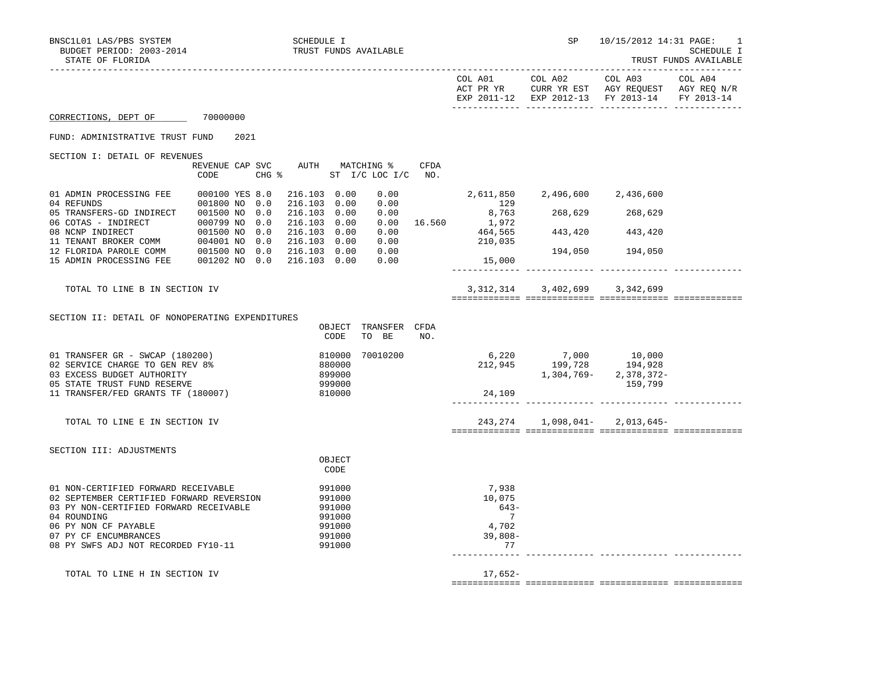| TRUST FUNDS AVAILABLE |  |
|-----------------------|--|
|-----------------------|--|

|                                                                                                                                                                                                                                  |               |      |                              |                                                                    |                                                             |      |                                                            | EXP 2011-12 EXP 2012-13 FY 2013-14                                                                                                                                                                                            |                 | FY 2013-14 |
|----------------------------------------------------------------------------------------------------------------------------------------------------------------------------------------------------------------------------------|---------------|------|------------------------------|--------------------------------------------------------------------|-------------------------------------------------------------|------|------------------------------------------------------------|-------------------------------------------------------------------------------------------------------------------------------------------------------------------------------------------------------------------------------|-----------------|------------|
| CORRECTIONS, DEPT OF 70000000                                                                                                                                                                                                    |               |      |                              |                                                                    |                                                             |      |                                                            |                                                                                                                                                                                                                               |                 |            |
| FUND: ADMINISTRATIVE TRUST FUND                                                                                                                                                                                                  |               | 2021 |                              |                                                                    |                                                             |      |                                                            |                                                                                                                                                                                                                               |                 |            |
| SECTION I: DETAIL OF REVENUES                                                                                                                                                                                                    |               |      |                              |                                                                    |                                                             |      |                                                            |                                                                                                                                                                                                                               |                 |            |
|                                                                                                                                                                                                                                  | CODE          |      |                              |                                                                    | REVENUE CAP SVC AUTH MATCHING %<br>CHG % ST I/C LOC I/C NO. | CFDA |                                                            |                                                                                                                                                                                                                               |                 |            |
| 01 ADMIN PROCESSING FEE 000100 YES 8.0<br>04 REFUNDS                                                                                                                                                                             | 001800 NO 0.0 |      | 216.103 0.00<br>216.103 0.00 |                                                                    | 0.00                                                        | 0.00 | 129                                                        | 2,611,850 2,496,600 2,436,600                                                                                                                                                                                                 |                 |            |
| 05 TRANSFERS-GD INDIRECT 001500 NO 0.0<br>06 COTAS - INDIRECT 000799 NO 0.0                                                                                                                                                      |               |      | 216.103 0.00<br>216.103 0.00 |                                                                    |                                                             |      |                                                            | $\begin{array}{cccc} 0.00 & & & & 8.763 \ 0.00 & 16.560 & & 1.972 \ 0.00 & & & 464.565 & & 443.420 \ 0.00 & & & & 210.035 \end{array}$ 268,629<br>$\begin{array}{cccc} 268,629 & & 268.629 \ 443.420 & & 443.420 \end{array}$ |                 |            |
| 00 COMP INDIRECT<br>001500 NO 0.0 216.103 0.00<br>11 TENANT BROKER COMM 004001 NO 0.0 216.103 0.00                                                                                                                               |               |      |                              |                                                                    |                                                             |      |                                                            |                                                                                                                                                                                                                               |                 |            |
| 12 FLORIDA PAROLE COMM 001500 NO 0.0 216.103 0.00<br>15 ADMIN PROCESSING FEE   001202 NO 0.0   216.103   0.00                                                                                                                    |               |      |                              |                                                                    | 0.00<br>0.00                                                |      | 15,000                                                     |                                                                                                                                                                                                                               | 194,050 194,050 |            |
|                                                                                                                                                                                                                                  |               |      |                              |                                                                    |                                                             |      |                                                            |                                                                                                                                                                                                                               |                 |            |
| TOTAL TO LINE B IN SECTION IV                                                                                                                                                                                                    |               |      |                              |                                                                    |                                                             |      |                                                            | 3, 312, 314 3, 402, 699 3, 342, 699                                                                                                                                                                                           |                 |            |
| SECTION II: DETAIL OF NONOPERATING EXPENDITURES                                                                                                                                                                                  |               |      |                              |                                                                    |                                                             |      |                                                            |                                                                                                                                                                                                                               |                 |            |
|                                                                                                                                                                                                                                  |               |      |                              | CODE                                                               | OBJECT TRANSFER CFDA<br>TO BE                               | NO.  |                                                            |                                                                                                                                                                                                                               |                 |            |
| 01 TRANSFER GR - SWCAP (180200)<br>02 SERVICE CHARGE TO GEN REV 8%<br>03 EXCESS BUDGET AUTHORITY<br>05 STATE TRUST FUND RESERVE                                                                                                  |               |      |                              | 810000<br>880000<br>899000<br>999000                               | 70010200                                                    |      |                                                            | 6,220 7,000 10,000<br>212,945 199,728 194,928<br>1, 304, 769 - 2, 378, 372 -                                                                                                                                                  | 159,799         |            |
| 11 TRANSFER/FED GRANTS TF (180007)                                                                                                                                                                                               |               |      |                              | 810000                                                             |                                                             |      | 24,109                                                     |                                                                                                                                                                                                                               |                 |            |
| TOTAL TO LINE E IN SECTION IV                                                                                                                                                                                                    |               |      |                              |                                                                    |                                                             |      |                                                            | 243, 274 1, 098, 041 - 2, 013, 645 -                                                                                                                                                                                          |                 |            |
| SECTION III: ADJUSTMENTS                                                                                                                                                                                                         |               |      |                              |                                                                    |                                                             |      |                                                            |                                                                                                                                                                                                                               |                 |            |
|                                                                                                                                                                                                                                  |               |      |                              | OBJECT<br>CODE                                                     |                                                             |      |                                                            |                                                                                                                                                                                                                               |                 |            |
| 01 NON-CERTIFIED FORWARD RECEIVABLE<br>02 SEPTEMBER CERTIFIED FORWARD REVERSION<br>03 PY NON-CERTIFIED FORWARD RECEIVABLE<br>04 ROUNDING<br>06 PY NON CF PAYABLE<br>07 PY CF ENCUMBRANCES<br>08 PY SWFS ADJ NOT RECORDED FY10-11 |               |      |                              | 991000<br>991000<br>991000<br>991000<br>991000<br>991000<br>991000 |                                                             |      | 7,938<br>10,075<br>$643-$<br>7<br>4,702<br>$39,808-$<br>77 |                                                                                                                                                                                                                               |                 |            |
| TOTAL TO LINE H IN SECTION IV                                                                                                                                                                                                    |               |      |                              |                                                                    |                                                             |      | 17,652-                                                    |                                                                                                                                                                                                                               |                 |            |

============= ============= ============= =============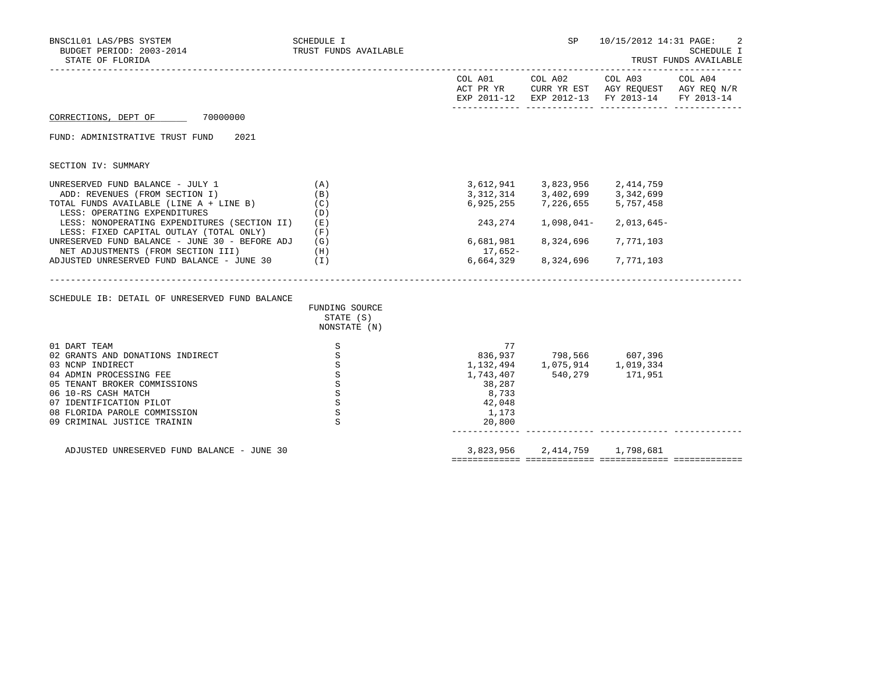| BNSC1L01 LAS/PBS SYSTEM<br>BUDGET PERIOD: 2003-2014<br>STATE OF FLORIDA                                                                                                                                                                          | <b>SCHEDULE I</b><br>TRUST FUNDS AVAILABLE                                       |                                                                              |                                                                                                       | SP 10/15/2012 14:31 PAGE:                                                                                                         | 2<br>SCHEDULE I<br>TRUST FUNDS AVAILABLE |
|--------------------------------------------------------------------------------------------------------------------------------------------------------------------------------------------------------------------------------------------------|----------------------------------------------------------------------------------|------------------------------------------------------------------------------|-------------------------------------------------------------------------------------------------------|-----------------------------------------------------------------------------------------------------------------------------------|------------------------------------------|
|                                                                                                                                                                                                                                                  |                                                                                  |                                                                              |                                                                                                       | COL A01 COL A02 COL A03 COL A04<br>ACT PR YR CURR YR EST AGY REQUEST AGY REQ N/R<br>EXP 2011-12 EXP 2012-13 FY 2013-14 FY 2013-14 |                                          |
| CORRECTIONS, DEPT OF 70000000                                                                                                                                                                                                                    |                                                                                  |                                                                              |                                                                                                       |                                                                                                                                   |                                          |
| FUND: ADMINISTRATIVE TRUST FUND<br>2021                                                                                                                                                                                                          |                                                                                  |                                                                              |                                                                                                       |                                                                                                                                   |                                          |
| SECTION IV: SUMMARY                                                                                                                                                                                                                              |                                                                                  |                                                                              |                                                                                                       |                                                                                                                                   |                                          |
| UNRESERVED FUND BALANCE - JULY 1<br>ADD: REVENUES (FROM SECTION I)<br>TOTAL FUNDS AVAILABLE (LINE A + LINE B)                                                                                                                                    | (A)<br>(B)<br>(C)                                                                |                                                                              | 3,612,941 3,823,956 2,414,759<br>3,312,314 3,402,699 3,342,699<br>$6,925,255$ $7,226,655$ $5,757,458$ |                                                                                                                                   |                                          |
| LESS: OPERATING EXPENDITURES<br>LESS: NONOPERATING EXPENDITURES (SECTION II)<br>LESS: FIXED CAPITAL OUTLAY (TOTAL ONLY)<br>UNRESERVED FUND BALANCE - JUNE 30 - BEFORE ADJ                                                                        | (D)<br>(E)<br>(F)<br>(G)                                                         | 243,274<br>6,681,981                                                         | 1,098,041-<br>8,324,696                                                                               | 2,013,645-<br>7,771,103                                                                                                           |                                          |
| NET ADJUSTMENTS (FROM SECTION III)<br>ADJUSTED UNRESERVED FUND BALANCE - JUNE 30                                                                                                                                                                 | (H)<br>$(\lrcorner)$                                                             | 17,652-<br>6,664,329                                                         | 8,324,696                                                                                             | 7,771,103                                                                                                                         |                                          |
| SCHEDULE IB: DETAIL OF UNRESERVED FUND BALANCE                                                                                                                                                                                                   | FUNDING SOURCE<br>STATE (S)<br>NONSTATE (N)                                      |                                                                              |                                                                                                       |                                                                                                                                   |                                          |
| 01 DART TEAM<br>02 GRANTS AND DONATIONS INDIRECT<br>03 NCNP INDIRECT<br>04 ADMIN PROCESSING FEE<br>05 TENANT BROKER COMMISSIONS<br>06 10-RS CASH MATCH<br>07 IDENTIFICATION PILOT<br>08 FLORIDA PAROLE COMMISSION<br>09 CRIMINAL JUSTICE TRAININ | S<br>S<br>S<br>$\, \mathbb{S} \,$<br>S<br>S<br>$\mathtt{S}$<br>S<br>$\mathbf{S}$ | 77<br>1,132,494<br>1,743,407<br>38,287<br>8,733<br>42,048<br>1,173<br>20,800 | 836,937 798,566 607,396<br>1,075,914 1,019,334<br>540,279                                             | 171,951                                                                                                                           |                                          |
| ADJUSTED UNRESERVED FUND BALANCE - JUNE 30                                                                                                                                                                                                       |                                                                                  |                                                                              | 3,823,956 2,414,759 1,798,681                                                                         |                                                                                                                                   |                                          |

============= ============= ============= =============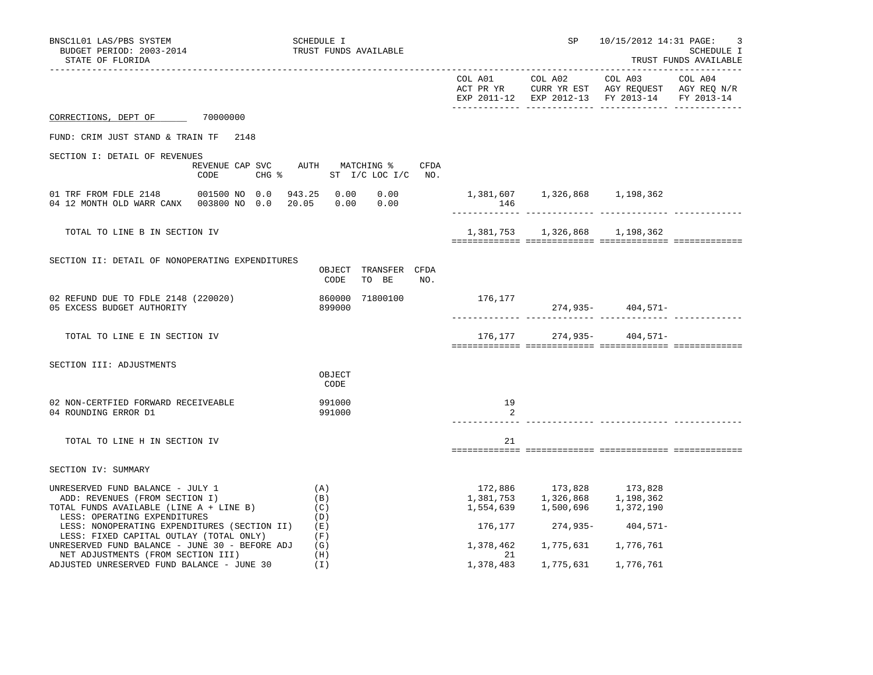| BNSC1L01 LAS/PBS SYSTEM<br>BUDGET PERIOD: 2003-2014<br>STATE OF FLORIDA                                                                       |      | SCHEDULE I<br>TRUST FUNDS AVAILABLE                                 |                 |                                                                                                                                   | SP 10/15/2012 14:31 PAGE:<br>SCHEDULE I<br>TRUST FUNDS AVAILABLE |  |  |
|-----------------------------------------------------------------------------------------------------------------------------------------------|------|---------------------------------------------------------------------|-----------------|-----------------------------------------------------------------------------------------------------------------------------------|------------------------------------------------------------------|--|--|
|                                                                                                                                               |      |                                                                     |                 |                                                                                                                                   | EXP 2011-12 EXP 2012-13 FY 2013-14 FY 2013-14                    |  |  |
| CORRECTIONS, DEPT OF 70000000                                                                                                                 |      |                                                                     |                 |                                                                                                                                   |                                                                  |  |  |
| FUND: CRIM JUST STAND & TRAIN TF 2148                                                                                                         |      |                                                                     |                 |                                                                                                                                   |                                                                  |  |  |
| SECTION I: DETAIL OF REVENUES                                                                                                                 | CODE | REVENUE CAP SVC AUTH MATCHING %<br>CFDA<br>CHG % ST I/C LOC I/C NO. |                 |                                                                                                                                   |                                                                  |  |  |
| 04 12 MONTH OLD WARR CANX 003800 NO 0.0 20.05 0.00                                                                                            |      | 0.00<br>0.00                                                        | 146             | 1,381,607  1,326,868  1,198,362                                                                                                   |                                                                  |  |  |
| TOTAL TO LINE B IN SECTION IV                                                                                                                 |      |                                                                     |                 | 1,381,753 1,326,868 1,198,362                                                                                                     |                                                                  |  |  |
| SECTION II: DETAIL OF NONOPERATING EXPENDITURES                                                                                               |      | OBJECT TRANSFER CFDA<br>TO BE<br>CODE<br>NO.                        |                 |                                                                                                                                   |                                                                  |  |  |
| 02 REFUND DUE TO FDLE 2148 (220020)<br>05 EXCESS BUDGET AUTHORITY                                                                             |      | 71800100<br>860000<br>899000                                        | 176,177         |                                                                                                                                   | 274,935-404,571-                                                 |  |  |
| TOTAL TO LINE E IN SECTION IV                                                                                                                 |      |                                                                     |                 |                                                                                                                                   | $176, 177$ 274,935- 404,571-                                     |  |  |
| SECTION III: ADJUSTMENTS                                                                                                                      |      | OBJECT<br>CODE                                                      |                 |                                                                                                                                   |                                                                  |  |  |
| 02 NON-CERTFIED FORWARD RECEIVEABLE<br>04 ROUNDING ERROR D1                                                                                   |      | 991000<br>991000                                                    | 19<br>2         |                                                                                                                                   |                                                                  |  |  |
| TOTAL TO LINE H IN SECTION IV                                                                                                                 |      |                                                                     | 21              |                                                                                                                                   |                                                                  |  |  |
| SECTION IV: SUMMARY                                                                                                                           |      |                                                                     |                 |                                                                                                                                   |                                                                  |  |  |
| UNRESERVED FUND BALANCE - JULY 1<br>ADD: REVENUES (FROM SECTION I)<br>TOTAL FUNDS AVAILABLE (LINE A + LINE B)<br>LESS: OPERATING EXPENDITURES |      | (A)<br>(B)<br>(C)<br>(D)                                            | 1,554,639       | $\begin{array}{cccc} 172,886 & & 173,828 & & 173,828 \\ 1,381,753 & & 1,326,868 & & 1,198,362 \end{array}$<br>1,500,696 1,372,190 |                                                                  |  |  |
| LESS: NONOPERATING EXPENDITURES (SECTION II)<br>LESS: FIXED CAPITAL OUTLAY (TOTAL ONLY)                                                       |      | (E)<br>(F)                                                          | 176,177         | 274,935-                                                                                                                          | 404,571-                                                         |  |  |
| UNRESERVED FUND BALANCE - JUNE 30 - BEFORE ADJ<br>NET ADJUSTMENTS (FROM SECTION III)                                                          |      | (G)<br>(H)                                                          | 1,378,462<br>21 | 1,775,631 1,776,761                                                                                                               |                                                                  |  |  |
| ADJUSTED UNRESERVED FUND BALANCE - JUNE 30                                                                                                    |      | (I)                                                                 | 1,378,483       | 1,775,631                                                                                                                         | 1,776,761                                                        |  |  |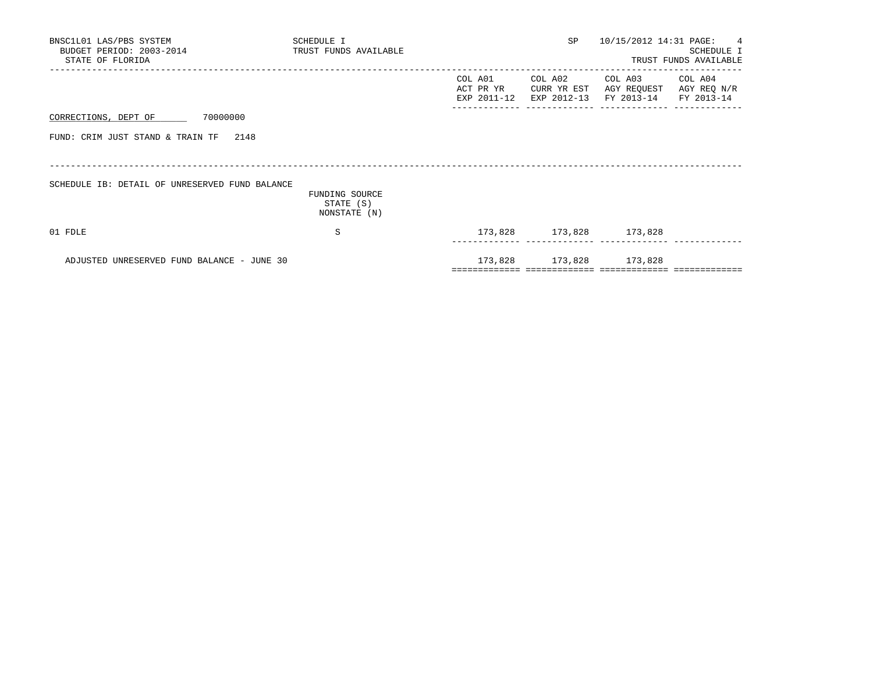| BNSC1L01 LAS/PBS SYSTEM<br>BUDGET PERIOD: 2003-2014<br>STATE OF FLORIDA | SCHEDULE I<br>TRUST FUNDS AVAILABLE         |                                     | SP                                    | 10/15/2012 14:31 PAGE: 4                        | SCHEDULE I<br>TRUST FUNDS AVAILABLE |
|-------------------------------------------------------------------------|---------------------------------------------|-------------------------------------|---------------------------------------|-------------------------------------------------|-------------------------------------|
|                                                                         |                                             | COL A01<br>ACT PR YR<br>EXP 2011-12 | COL A02<br>CURR YR EST<br>EXP 2012-13 | COL A03<br>AGY REQUEST<br>FY 2013-14 FY 2013-14 | COL A04<br>AGY REQ N/R              |
| CORRECTIONS, DEPT OF 70000000                                           |                                             |                                     |                                       |                                                 |                                     |
| FUND: CRIM JUST STAND & TRAIN TF 2148                                   |                                             |                                     |                                       |                                                 |                                     |
| SCHEDULE IB: DETAIL OF UNRESERVED FUND BALANCE                          |                                             |                                     |                                       |                                                 |                                     |
|                                                                         | FUNDING SOURCE<br>STATE (S)<br>NONSTATE (N) |                                     |                                       |                                                 |                                     |
| 01 FDLE                                                                 | S                                           |                                     |                                       | 173,828 173,828 173,828                         |                                     |
| ADJUSTED UNRESERVED FUND BALANCE - JUNE 30                              |                                             |                                     |                                       | 173,828 173,828 173,828                         |                                     |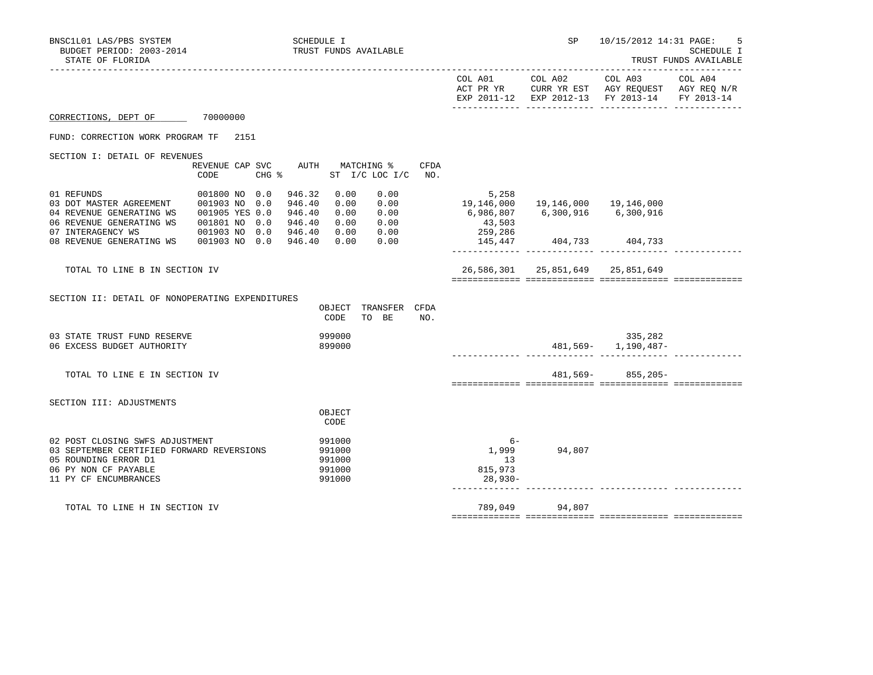| BNSC1L01 LAS/PBS SYSTEM<br>BUDGET PERIOD: 2003-2014<br>STATE OF FLORIDA                                                                                      |                                                                   |      | <b>SCHEDULE I</b>                                                      |                                                | TRUST FUNDS AVAILABLE                        |                         |                                                                                      | SP                               | 10/15/2012 14:31 PAGE:                                                                                    | 5<br>SCHEDULE I<br>TRUST FUNDS AVAILABLE |
|--------------------------------------------------------------------------------------------------------------------------------------------------------------|-------------------------------------------------------------------|------|------------------------------------------------------------------------|------------------------------------------------|----------------------------------------------|-------------------------|--------------------------------------------------------------------------------------|----------------------------------|-----------------------------------------------------------------------------------------------------------|------------------------------------------|
|                                                                                                                                                              |                                                                   |      |                                                                        |                                                |                                              |                         |                                                                                      | COL A01 COL A02                  | COL A03<br>ACT PR YR CURR YR EST AGY REQUEST AGY REQ N/R<br>EXP 2011-12 EXP 2012-13 FY 2013-14 FY 2013-14 | COL A04                                  |
| CORRECTIONS, DEPT OF 70000000                                                                                                                                |                                                                   |      |                                                                        |                                                |                                              |                         |                                                                                      |                                  |                                                                                                           |                                          |
| FUND: CORRECTION WORK PROGRAM TF                                                                                                                             |                                                                   | 2151 |                                                                        |                                                |                                              |                         |                                                                                      |                                  |                                                                                                           |                                          |
| SECTION I: DETAIL OF REVENUES                                                                                                                                |                                                                   |      |                                                                        |                                                |                                              |                         |                                                                                      |                                  |                                                                                                           |                                          |
|                                                                                                                                                              | REVENUE CAP SVC<br>CODE                                           |      | $CHG$ $\approx$                                                        |                                                | AUTH MATCHING %<br>ST I/C LOC I/C            | CFDA<br>NO <sub>z</sub> |                                                                                      |                                  |                                                                                                           |                                          |
| 01 REFUNDS<br>03 DOT MASTER AGREEMENT 001903 NO 0.0<br>04 REVENUE GENERATING WS<br>06 REVENUE GENERATING WS<br>07 INTERAGENCY WS<br>08 REVENUE GENERATING WS | 001800 NO 0.0<br>001905 YES 0.0<br>001801 NO 0.0<br>001903 NO 0.0 |      | 946.32<br>946.40<br>946.40<br>946.40<br>946.40<br>001903 NO 0.0 946.40 | 0.00<br>0.00<br>0.00<br>0.00<br>0.00<br>0.00   | 0.00<br>0.00<br>0.00<br>0.00<br>0.00<br>0.00 |                         | 5,258<br>19,146,000<br>6,986,807<br>43,503<br>259, 286<br>145, 447 404, 733 404, 733 |                                  | 19, 146, 000  19, 146, 000                                                                                |                                          |
|                                                                                                                                                              |                                                                   |      |                                                                        |                                                |                                              |                         |                                                                                      |                                  |                                                                                                           |                                          |
| TOTAL TO LINE B IN SECTION IV                                                                                                                                |                                                                   |      |                                                                        |                                                |                                              |                         |                                                                                      | 26,586,301 25,851,649 25,851,649 |                                                                                                           |                                          |
| SECTION II: DETAIL OF NONOPERATING EXPENDITURES                                                                                                              |                                                                   |      |                                                                        | CODE                                           | OBJECT TRANSFER CFDA<br>TO BE                | NO.                     |                                                                                      |                                  |                                                                                                           |                                          |
| 03 STATE TRUST FUND RESERVE<br>06 EXCESS BUDGET AUTHORITY                                                                                                    |                                                                   |      |                                                                        | 999000<br>899000                               |                                              |                         |                                                                                      |                                  | 335,282<br>481,569- 1,190,487-                                                                            |                                          |
| TOTAL TO LINE E IN SECTION IV                                                                                                                                |                                                                   |      |                                                                        |                                                |                                              |                         |                                                                                      |                                  | $481,569 - 855,205 -$                                                                                     |                                          |
| SECTION III: ADJUSTMENTS                                                                                                                                     |                                                                   |      |                                                                        |                                                |                                              |                         |                                                                                      |                                  |                                                                                                           |                                          |
|                                                                                                                                                              |                                                                   |      |                                                                        | OBJECT<br>CODE                                 |                                              |                         |                                                                                      |                                  |                                                                                                           |                                          |
| 02 POST CLOSING SWFS ADJUSTMENT<br>03 SEPTEMBER CERTIFIED FORWARD REVERSIONS<br>05 ROUNDING ERROR D1<br>06 PY NON CF PAYABLE<br>11 PY CF ENCUMBRANCES        |                                                                   |      |                                                                        | 991000<br>991000<br>991000<br>991000<br>991000 |                                              |                         | $6-$<br>13<br>815,973<br>28,930-                                                     | 1,999 94,807                     |                                                                                                           |                                          |
| TOTAL TO LINE H IN SECTION IV                                                                                                                                |                                                                   |      |                                                                        |                                                |                                              |                         |                                                                                      | 789,049 94,807                   |                                                                                                           |                                          |
|                                                                                                                                                              |                                                                   |      |                                                                        |                                                |                                              |                         |                                                                                      |                                  |                                                                                                           |                                          |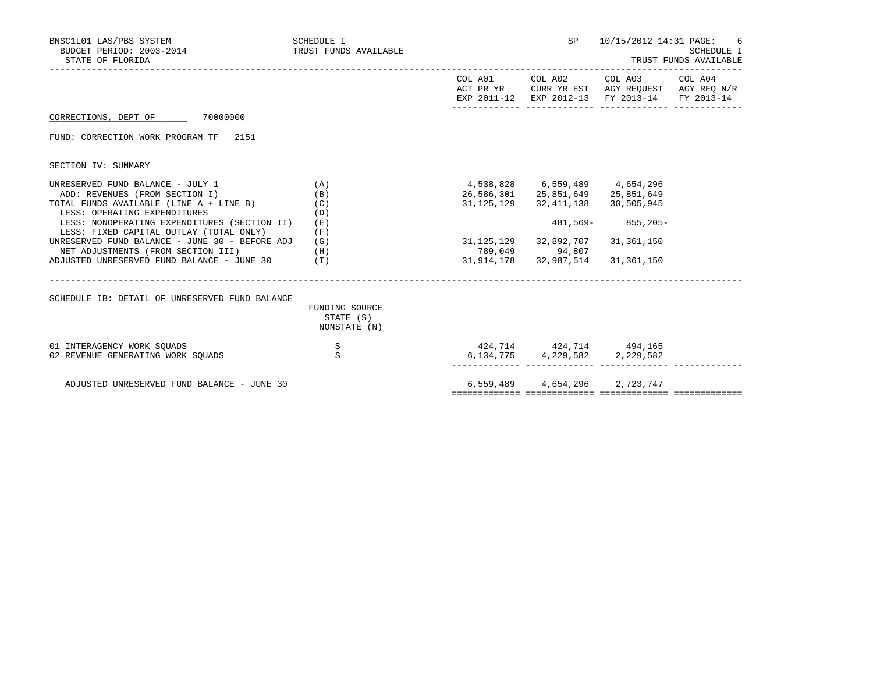| BNSC1L01 LAS/PBS SYSTEM<br>BUDGET PERIOD: 2003-2014<br>STATE OF FLORIDA                                                                       | SCHEDULE I<br>TRUST FUNDS AVAILABLE         | SP                                                                                                          | 10/15/2012 14:31 PAGE:                                                                                                            | 6<br><b>SCHEDULE I</b><br>TRUST FUNDS AVAILABLE |
|-----------------------------------------------------------------------------------------------------------------------------------------------|---------------------------------------------|-------------------------------------------------------------------------------------------------------------|-----------------------------------------------------------------------------------------------------------------------------------|-------------------------------------------------|
|                                                                                                                                               |                                             |                                                                                                             | COL A01 COL A02 COL A03 COL A04<br>ACT PR YR CURR YR EST AGY REQUEST AGY REQ N/R<br>EXP 2011-12 EXP 2012-13 FY 2013-14 FY 2013-14 |                                                 |
| CORRECTIONS, DEPT OF 70000000                                                                                                                 |                                             |                                                                                                             |                                                                                                                                   |                                                 |
| FUND: CORRECTION WORK PROGRAM TF 2151                                                                                                         |                                             |                                                                                                             |                                                                                                                                   |                                                 |
| SECTION IV: SUMMARY                                                                                                                           |                                             |                                                                                                             |                                                                                                                                   |                                                 |
| UNRESERVED FUND BALANCE - JULY 1<br>ADD: REVENUES (FROM SECTION I)<br>TOTAL FUNDS AVAILABLE (LINE A + LINE B)<br>LESS: OPERATING EXPENDITURES | (A)<br>(B)<br>(C)<br>(D)                    | 4,538,828 6,559,489 4,654,296<br>26,586,301 25,851,649 25,851,649<br>31, 125, 129 32, 411, 138 30, 505, 945 |                                                                                                                                   |                                                 |
| LESS: NONOPERATING EXPENDITURES (SECTION II)<br>LESS: FIXED CAPITAL OUTLAY (TOTAL ONLY)                                                       | (E)<br>(F)                                  |                                                                                                             | 481,569- 855,205-                                                                                                                 |                                                 |
| UNRESERVED FUND BALANCE - JUNE 30 - BEFORE ADJ<br>NET ADJUSTMENTS (FROM SECTION III)                                                          | (G)<br>(H)                                  | 31, 125, 129 32, 892, 707<br>789,049 94,807                                                                 | 31,361,150                                                                                                                        |                                                 |
| ADJUSTED UNRESERVED FUND BALANCE - JUNE $30$ (I)                                                                                              |                                             | 31, 914, 178 32, 987, 514 31, 361, 150                                                                      |                                                                                                                                   |                                                 |
| SCHEDULE IB: DETAIL OF UNRESERVED FUND BALANCE                                                                                                |                                             |                                                                                                             |                                                                                                                                   |                                                 |
|                                                                                                                                               | FUNDING SOURCE<br>STATE (S)<br>NONSTATE (N) |                                                                                                             |                                                                                                                                   |                                                 |
| 01 INTERAGENCY WORK SOUADS<br>02 REVENUE GENERATING WORK SOUADS                                                                               | $\mathbf S$<br>S                            | 424,714 424,714 494,165<br>6, 134, 775 4, 229, 582 2, 229, 582                                              |                                                                                                                                   |                                                 |
| ADJUSTED UNRESERVED FUND BALANCE - JUNE 30                                                                                                    |                                             | 6,559,489 4,654,296 2,723,747                                                                               |                                                                                                                                   |                                                 |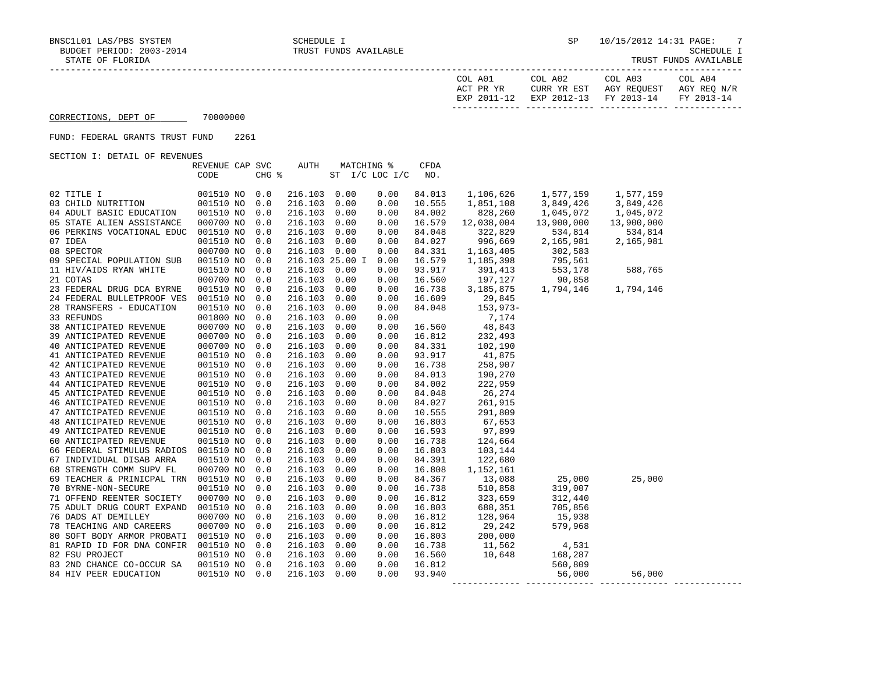| COL A01<br>ACT PR YR | COL A02<br>CURR YR EST            | COL A03<br>AGY REOUEST | COL A04<br>AGY REO N/R |
|----------------------|-----------------------------------|------------------------|------------------------|
| EXP 2011-12          | EXP 2012-13 FY 2013-14 FY 2013-14 |                        |                        |

CORRECTIONS, DEPT OF 70000000

## FUND: FEDERAL GRANTS TRUST FUND 2261

SECTION I: DETAIL OF REVENUES

|                                      | REVENUE CAP SVC |       | AUTH         | MATCHING %      |      | <b>CFDA</b> |                      |                                                                                                      |                                     |  |
|--------------------------------------|-----------------|-------|--------------|-----------------|------|-------------|----------------------|------------------------------------------------------------------------------------------------------|-------------------------------------|--|
|                                      | CODE            | CHG % |              | ST I/C LOC I/C  |      | NO.         |                      |                                                                                                      |                                     |  |
|                                      |                 |       |              |                 |      |             |                      |                                                                                                      |                                     |  |
| ITION<br>02 TITLE I                  | 001510 NO       | 0.0   | 216.103 0.00 |                 | 0.00 | 84.013      | 1,106,626            | 1,577,159<br>3,849,426                                                                               | 1,577,159<br>1,577,159<br>3,849,426 |  |
| 03 CHILD NUTRITION                   | 001510 NO       | 0.0   | 216.103      | 0.00            | 0.00 | 10.555      | 1,851,108            |                                                                                                      |                                     |  |
| 04 ADULT BASIC EDUCATION             | 001510 NO       | 0.0   | 216.103      | 0.00            | 0.00 | 84.002      | 828,260              | 1,045,072                                                                                            | 1,045,072                           |  |
| 05 STATE ALIEN ASSISTANCE            | 000700 NO       | 0.0   | 216.103      | 0.00            | 0.00 | 16.579      | 12,038,004           | 13,900,000                                                                                           | 13,900,000                          |  |
| 06 PERKINS VOCATIONAL EDUC           | 001510 NO       | 0.0   | 216.103      | 0.00            | 0.00 | 84.048      | 322,829              | 534,814<br>2,165,981                                                                                 | 534,814                             |  |
| 07 IDEA                              | 001510 NO       | 0.0   | 216.103      | 0.00            | 0.00 | 84.027      | 996,669              |                                                                                                      | 2,165,981                           |  |
| 08 SPECTOR                           | 000700 NO       | 0.0   | 216.103 0.00 |                 | 0.00 | 84.331      |                      | 1,163,405<br>1,185,398<br>1,185,398<br>1,185,398<br>1,185,875<br>1,794,146<br>1,794,146<br>1,794,146 |                                     |  |
| 09 SPECIAL POPULATION SUB            | 001510 NO       | 0.0   |              | 216.103 25.00 I | 0.00 | 16.579      |                      |                                                                                                      |                                     |  |
| 11 HIV/AIDS RYAN WHITE               | 001510 NO       | 0.0   | 216.103      | 0.00            | 0.00 | 93.917      | 391,413<br>197,127   |                                                                                                      |                                     |  |
| 21 COTAS                             | 000700 NO       | 0.0   | 216.103      | 0.00            | 0.00 | 16.560      |                      |                                                                                                      |                                     |  |
| 23 FEDERAL DRUG DCA BYRNE            | 001510 NO       | 0.0   | 216.103      | 0.00            | 0.00 | 16.738      |                      |                                                                                                      |                                     |  |
| 24 FEDERAL BULLETPROOF VES           | 001510 NO       | 0.0   | 216.103      | 0.00            | 0.00 | 16.609      | 29,845               |                                                                                                      |                                     |  |
| 28 TRANSFERS - EDUCATION             | 001510 NO       | 0.0   | 216.103      | 0.00            | 0.00 | 84.048      | $153,973-$           |                                                                                                      |                                     |  |
| 33 REFUNDS                           | 001800 NO       | 0.0   | 216.103      | 0.00            | 0.00 |             | 7,174                |                                                                                                      |                                     |  |
| 38 ANTICIPATED REVENUE               | 000700 NO       | 0.0   | 216.103      | 0.00            | 0.00 | 16.560      | 48,843               |                                                                                                      |                                     |  |
| 39 ANTICIPATED REVENUE               | 000700 NO       | 0.0   | 216.103      | 0.00            | 0.00 | 16.812      | 232,493              |                                                                                                      |                                     |  |
| 40 ANTICIPATED REVENUE               | 000700 NO       | 0.0   | 216.103      | 0.00            | 0.00 | 84.331      | 102,190              |                                                                                                      |                                     |  |
| 41 ANTICIPATED REVENUE               | 001510 NO       | 0.0   | 216.103      | 0.00            | 0.00 | 93.917      | 41,875               |                                                                                                      |                                     |  |
| 42 ANTICIPATED REVENUE               | 001510 NO       | 0.0   | 216.103      | 0.00            | 0.00 | 16.738      | 258,907              |                                                                                                      |                                     |  |
| 43 ANTICIPATED REVENUE               | 001510 NO       | 0.0   | 216.103      | 0.00            | 0.00 | 84.013      | 190,270              |                                                                                                      |                                     |  |
| 44 ANTICIPATED REVENUE               | 001510 NO       | 0.0   | 216.103      | 0.00            | 0.00 | 84.002      | 222,959              |                                                                                                      |                                     |  |
| 45 ANTICIPATED REVENUE               | 001510 NO       | 0.0   | 216.103      | 0.00            | 0.00 | 84.048      | 26,274               |                                                                                                      |                                     |  |
| 46 ANTICIPATED REVENUE               | 001510 NO       | 0.0   | 216.103      | 0.00            | 0.00 | 84.027      | 261,915              |                                                                                                      |                                     |  |
| 47 ANTICIPATED REVENUE               | 001510 NO       | 0.0   | 216.103      | 0.00            | 0.00 | 10.555      | 291,809              |                                                                                                      |                                     |  |
| <b>48 ANTICIPATED REVENUE</b>        | 001510 NO       | 0.0   | 216.103      | 0.00            | 0.00 | 16.803      | 67,653               |                                                                                                      |                                     |  |
| 49 ANTICIPATED REVENUE               | 001510 NO       | 0.0   | 216.103      | 0.00            | 0.00 | 16.593      | 97,899               |                                                                                                      |                                     |  |
| 60 ANTICIPATED REVENUE               | 001510 NO       | 0.0   | 216.103      | 0.00            | 0.00 | 16.738      | 124,664              |                                                                                                      |                                     |  |
| 66 FEDERAL STIMULUS RADIOS 001510 NO |                 | 0.0   | 216.103      | 0.00            | 0.00 | 16.803      | 103,144              |                                                                                                      |                                     |  |
| 67 INDIVIDUAL DISAB ARRA             | 001510 NO       | 0.0   | 216.103      | 0.00            | 0.00 | 84.391      | 122,680              |                                                                                                      |                                     |  |
| 68 STRENGTH COMM SUPV FL             | 000700 NO       | 0.0   | 216.103      | 0.00            | 0.00 | 16.808      | 1,152,161            |                                                                                                      |                                     |  |
| 69 TEACHER & PRINICPAL TRN 001510 NO |                 | 0.0   | 216.103      | 0.00            | 0.00 | 84.367      | 13,088               | 25,000                                                                                               | 25,000                              |  |
| 70 BYRNE-NON-SECURE                  | 001510 NO       | 0.0   | 216.103      | 0.00            | 0.00 | 16.738      | 510,858              | 319,007                                                                                              |                                     |  |
| 71 OFFEND REENTER SOCIETY            | 000700 NO       | 0.0   | 216.103      | 0.00            | 0.00 | 16.812      | 323,659              | 312,440                                                                                              |                                     |  |
| 75 ADULT DRUG COURT EXPAND           | 001510 NO       | 0.0   | 216.103      | 0.00            | 0.00 | 16.803      | 688,351              | 705,856                                                                                              |                                     |  |
| 76 DADS AT DEMILLEY                  | 000700 NO       | 0.0   | 216.103      | 0.00            | 0.00 | 16.812      | 128,964              | 15,938                                                                                               |                                     |  |
| 78 TEACHING AND CAREERS              | 000700 NO       | 0.0   | 216.103      | 0.00            | 0.00 | 16.812      | 29,242               | 579,968                                                                                              |                                     |  |
| 80 SOFT BODY ARMOR PROBATI 001510 NO |                 | 0.0   | 216.103      | 0.00            | 0.00 | 16.803      | 200,000              |                                                                                                      |                                     |  |
| 81 RAPID ID FOR DNA CONFIR           | 001510 NO       | 0.0   | 216.103      | 0.00            | 0.00 | 16.738      |                      | 4,531                                                                                                |                                     |  |
| 82 FSU PROJECT                       | 001510 NO       | 0.0   | 216.103      | 0.00            | 0.00 | 16.560      |                      | 168,287                                                                                              |                                     |  |
| 83 2ND CHANCE CO-OCCUR SA            | 001510 NO       | 0.0   | 216.103      | 0.00            | 0.00 | 16.812      |                      | 560,809                                                                                              |                                     |  |
| 84 HIV PEER EDUCATION                | 001510 NO       | 0.0   | 216.103 0.00 |                 | 0.00 | 93.940      | $11,562$<br>$10,648$ | 56,000                                                                                               | 56,000                              |  |
|                                      |                 |       |              |                 |      |             |                      |                                                                                                      |                                     |  |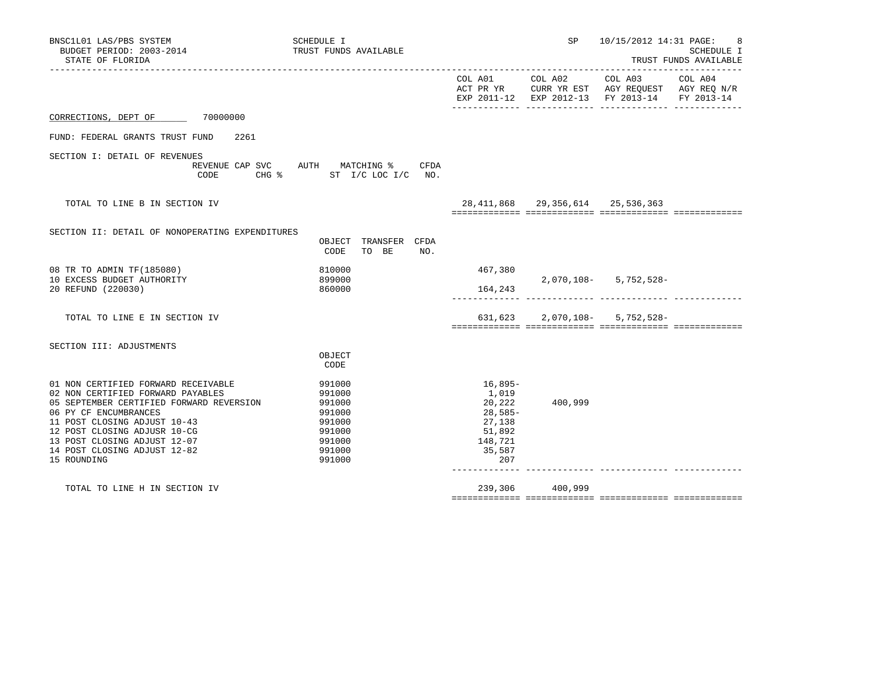| BNSC1L01 LAS/PBS SYSTEM<br>BUDGET PERIOD: 2003-2014<br>STATE OF FLORIDA                                                                                                                                                                                                                      | SCHEDULE I<br>TRUST FUNDS AVAILABLE                                                    |                                                                                       |                                        | SP 10/15/2012 14:31 PAGE:                                                                                 | - 8<br>SCHEDULE I<br>TRUST FUNDS AVAILABLE |
|----------------------------------------------------------------------------------------------------------------------------------------------------------------------------------------------------------------------------------------------------------------------------------------------|----------------------------------------------------------------------------------------|---------------------------------------------------------------------------------------|----------------------------------------|-----------------------------------------------------------------------------------------------------------|--------------------------------------------|
|                                                                                                                                                                                                                                                                                              |                                                                                        |                                                                                       | COL A01 COL A02                        | COL A03<br>ACT PR YR CURR YR EST AGY REQUEST AGY REQ N/R<br>EXP 2011-12 EXP 2012-13 FY 2013-14 FY 2013-14 | COL A04                                    |
| CORRECTIONS, DEPT OF 70000000                                                                                                                                                                                                                                                                |                                                                                        |                                                                                       |                                        |                                                                                                           |                                            |
| FUND: FEDERAL GRANTS TRUST FUND<br>2261                                                                                                                                                                                                                                                      |                                                                                        |                                                                                       |                                        |                                                                                                           |                                            |
| SECTION I: DETAIL OF REVENUES<br>CODE                                                                                                                                                                                                                                                        | REVENUE CAP SVC AUTH MATCHING % CFDA<br>CHG % ST I/C LOC I/C NO.                       |                                                                                       |                                        |                                                                                                           |                                            |
| TOTAL TO LINE B IN SECTION IV                                                                                                                                                                                                                                                                |                                                                                        |                                                                                       | 28, 411, 868 29, 356, 614 25, 536, 363 |                                                                                                           |                                            |
| SECTION II: DETAIL OF NONOPERATING EXPENDITURES                                                                                                                                                                                                                                              | OBJECT TRANSFER CFDA<br>CODE<br>TO BE<br>NO.                                           |                                                                                       |                                        |                                                                                                           |                                            |
| 08 TR TO ADMIN TF (185080)<br>10 EXCESS BUDGET AUTHORITY                                                                                                                                                                                                                                     | 810000<br>899000                                                                       | 467,380                                                                               |                                        | $2,070,108 - 5,752,528 -$                                                                                 |                                            |
| 20 REFUND (220030)                                                                                                                                                                                                                                                                           | 860000                                                                                 | 164,243                                                                               | __________________________________     |                                                                                                           |                                            |
| TOTAL TO LINE E IN SECTION IV                                                                                                                                                                                                                                                                |                                                                                        |                                                                                       |                                        | $631,623$ 2,070,108- 5,752,528-                                                                           |                                            |
| SECTION III: ADJUSTMENTS                                                                                                                                                                                                                                                                     | OBJECT<br>CODE                                                                         |                                                                                       |                                        |                                                                                                           |                                            |
| 01 NON CERTIFIED FORWARD RECEIVABLE<br>02 NON CERTIFIED FORWARD PAYABLES<br>05 SEPTEMBER CERTIFIED FORWARD REVERSION<br>06 PY CF ENCUMBRANCES<br>11 POST CLOSING ADJUST 10-43<br>12 POST CLOSING ADJUSR 10-CG<br>13 POST CLOSING ADJUST 12-07<br>14 POST CLOSING ADJUST 12-82<br>15 ROUNDING | 991000<br>991000<br>991000<br>991000<br>991000<br>991000<br>991000<br>991000<br>991000 | 16,895-<br>1,019<br>20,222<br>28,585-<br>27,138<br>51,892<br>148,721<br>35,587<br>207 | 400,999                                |                                                                                                           |                                            |
| TOTAL TO LINE H IN SECTION IV                                                                                                                                                                                                                                                                |                                                                                        | 239,306                                                                               | 400,999                                |                                                                                                           |                                            |

============= ============= ============= =============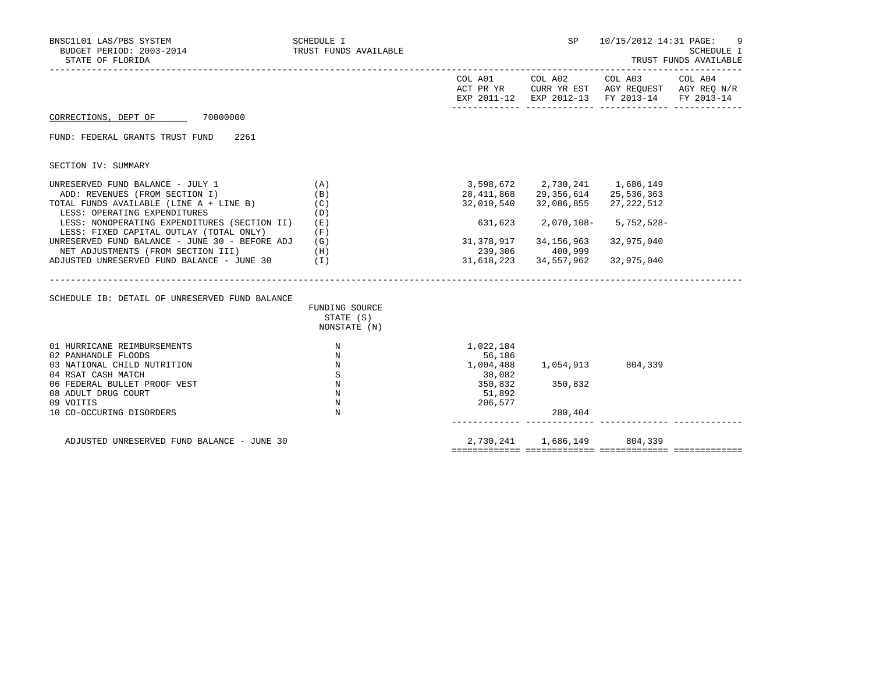| BNSC1L01 LAS/PBS SYSTEM<br>BUDGET PERIOD: 2003-2014<br>STATE OF FLORIDA                                                                       | SCHEDULE I<br>TRUST FUNDS AVAILABLE         |                               | SP                                                                                    | 10/15/2012 14:31 PAGE:<br>SCHEDULE I<br>TRUST FUNDS AVAILABLE |  |  |
|-----------------------------------------------------------------------------------------------------------------------------------------------|---------------------------------------------|-------------------------------|---------------------------------------------------------------------------------------|---------------------------------------------------------------|--|--|
|                                                                                                                                               |                                             |                               |                                                                                       | EXP 2011-12 EXP 2012-13 FY 2013-14 FY 2013-14                 |  |  |
| CORRECTIONS, DEPT OF 70000000                                                                                                                 |                                             |                               |                                                                                       |                                                               |  |  |
| FUND: FEDERAL GRANTS TRUST FUND<br>2261                                                                                                       |                                             |                               |                                                                                       |                                                               |  |  |
| SECTION IV: SUMMARY                                                                                                                           |                                             |                               |                                                                                       |                                                               |  |  |
| UNRESERVED FUND BALANCE - JULY 1<br>ADD: REVENUES (FROM SECTION I)<br>TOTAL FUNDS AVAILABLE (LINE A + LINE B)<br>LESS: OPERATING EXPENDITURES | (A)<br>(B)<br>(C)<br>(D)                    | 32,010,540                    | 3,598,672 2,730,241 1,686,149<br>28, 411, 868 29, 356, 614 25, 536, 363<br>32,086,855 | 27,222,512                                                    |  |  |
| LESS: NONOPERATING EXPENDITURES (SECTION II)<br>LESS: FIXED CAPITAL OUTLAY (TOTAL ONLY)                                                       | (E)<br>(F)                                  |                               | 631,623  2,070,108-  5,752,528-                                                       |                                                               |  |  |
| UNRESERVED FUND BALANCE - JUNE 30 - BEFORE ADJ<br>NET ADJUSTMENTS (FROM SECTION III)                                                          | (G)<br>(H)                                  |                               | 31,378,917 34,156,963<br>239,306 400,999                                              | 32,975,040                                                    |  |  |
| ADJUSTED UNRESERVED FUND BALANCE - JUNE 30 (I)                                                                                                |                                             |                               | 31,618,223 34,557,962                                                                 | 32,975,040                                                    |  |  |
| SCHEDULE IB: DETAIL OF UNRESERVED FUND BALANCE                                                                                                | FUNDING SOURCE<br>STATE (S)<br>NONSTATE (N) |                               |                                                                                       |                                                               |  |  |
| 01 HURRICANE REIMBURSEMENTS                                                                                                                   | N                                           | 1,022,184                     |                                                                                       |                                                               |  |  |
| 02 PANHANDLE FLOODS<br>03 NATIONAL CHILD NUTRITION<br>04 RSAT CASH MATCH                                                                      | N<br>N<br>S                                 | 56,186<br>1,004,488<br>38,082 | 1,054,913 804,339                                                                     |                                                               |  |  |
| 06 FEDERAL BULLET PROOF VEST<br>08 ADULT DRUG COURT<br>09 VOITIS                                                                              | N<br>$\mathbb N$<br>N                       | 350,832<br>51,892<br>206,577  | 350,832                                                                               |                                                               |  |  |
| 10 CO-OCCURING DISORDERS                                                                                                                      | N                                           |                               | 280,404                                                                               |                                                               |  |  |
| ADJUSTED UNRESERVED FUND BALANCE - JUNE 30                                                                                                    |                                             |                               | 2,730,241 1,686,149                                                                   | 804,339                                                       |  |  |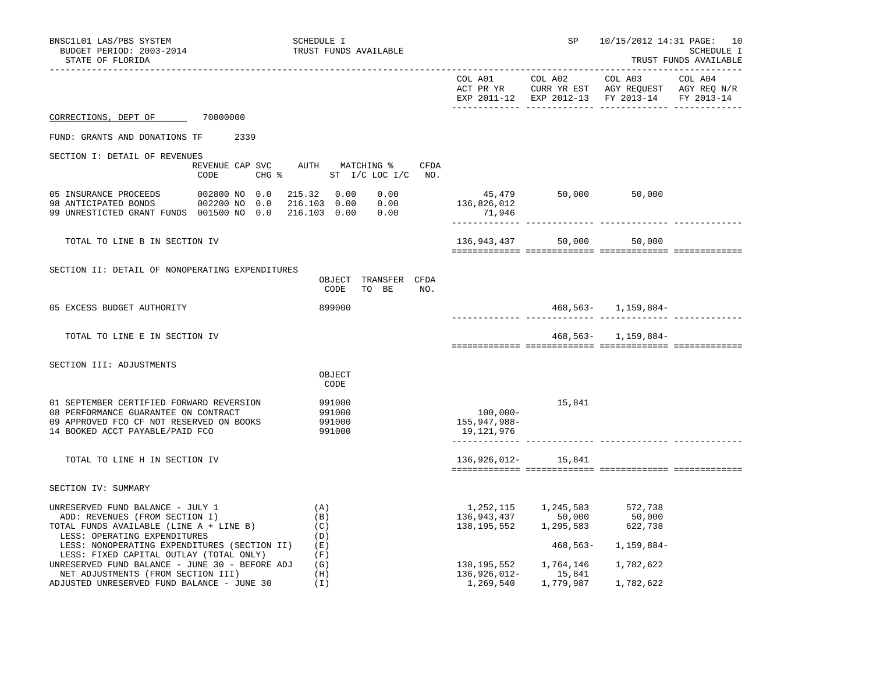| BNSC1L01 LAS/PBS SYSTEM                                                                                                                                         |                                | SCHEDULE I                                                         | SP                                        | 10/15/2012 14:31 PAGE: 10                     |                              |                                     |  |  |
|-----------------------------------------------------------------------------------------------------------------------------------------------------------------|--------------------------------|--------------------------------------------------------------------|-------------------------------------------|-----------------------------------------------|------------------------------|-------------------------------------|--|--|
| BUDGET PERIOD: 2003-2014<br>STATE OF FLORIDA                                                                                                                    |                                | TRUST FUNDS AVAILABLE                                              |                                           |                                               |                              | SCHEDULE I<br>TRUST FUNDS AVAILABLE |  |  |
|                                                                                                                                                                 |                                |                                                                    |                                           | EXP 2011-12 EXP 2012-13 FY 2013-14 FY 2013-14 |                              |                                     |  |  |
| CORRECTIONS, DEPT OF 70000000                                                                                                                                   |                                |                                                                    |                                           |                                               |                              |                                     |  |  |
| FUND: GRANTS AND DONATIONS TF                                                                                                                                   | 2339                           |                                                                    |                                           |                                               |                              |                                     |  |  |
| SECTION I: DETAIL OF REVENUES                                                                                                                                   | REVENUE CAP SVC                | AUTH MATCHING %<br>CFDA                                            |                                           |                                               |                              |                                     |  |  |
|                                                                                                                                                                 | CODE                           | CHG $\frac{1}{2}$ ST I/C LOC I/C NO.                               |                                           |                                               |                              |                                     |  |  |
| 05 INSURANCE PROCEEDS<br>US INSURANCE PROCEEDS<br>98 ANTICIPATED BONDS<br>99 UNRESTICTED GRANT FUNDS 001500 NO 0.0                                              | 002800 NO 0.0<br>002200 NO 0.0 | 215.32 0.00<br>0.00<br>216.103 0.00<br>0.00<br>216.103  0.00  0.00 | 45,479<br>136,826,012<br>71,946           | 50,000 50,000                                 |                              |                                     |  |  |
| TOTAL TO LINE B IN SECTION IV                                                                                                                                   |                                |                                                                    | 136,943,437                               | 50,000                                        | 50,000                       |                                     |  |  |
| SECTION II: DETAIL OF NONOPERATING EXPENDITURES                                                                                                                 |                                | OBJECT TRANSFER CFDA<br>CODE<br>TO BE<br>NO.                       |                                           |                                               |                              |                                     |  |  |
| 05 EXCESS BUDGET AUTHORITY                                                                                                                                      |                                | 899000                                                             |                                           |                                               | 468,563- 1,159,884-          |                                     |  |  |
| TOTAL TO LINE E IN SECTION IV                                                                                                                                   |                                |                                                                    |                                           |                                               | 468, 563 - 1, 159, 884 -     |                                     |  |  |
| SECTION III: ADJUSTMENTS                                                                                                                                        |                                |                                                                    |                                           |                                               |                              |                                     |  |  |
|                                                                                                                                                                 |                                | OBJECT<br>CODE                                                     |                                           |                                               |                              |                                     |  |  |
| 01 SEPTEMBER CERTIFIED FORWARD REVERSION<br>08 PERFORMANCE GUARANTEE ON CONTRACT<br>09 APPROVED FCO CF NOT RESERVED ON BOOKS<br>14 BOOKED ACCT PAYABLE/PAID FCO |                                | 991000<br>991000<br>991000<br>991000                               | $100,000 -$<br>155,947,988-<br>19,121,976 | 15,841                                        |                              |                                     |  |  |
| TOTAL TO LINE H IN SECTION IV                                                                                                                                   |                                |                                                                    | 136,926,012-                              | 15,841                                        |                              |                                     |  |  |
| SECTION IV: SUMMARY                                                                                                                                             |                                |                                                                    |                                           |                                               |                              |                                     |  |  |
| UNRESERVED FUND BALANCE - JULY 1<br>ADD: REVENUES (FROM SECTION I)<br>TOTAL FUNDS AVAILABLE (LINE A + LINE B)<br>LESS: OPERATING EXPENDITURES                   |                                | (A)<br>(B)<br>(C)<br>(D)                                           | 1,252,115<br>136,943,437<br>138,195,552   | 1,245,583<br>50,000<br>1,295,583              | 572,738<br>50,000<br>622,738 |                                     |  |  |
| LESS: NONOPERATING EXPENDITURES (SECTION II)<br>LESS: FIXED CAPITAL OUTLAY (TOTAL ONLY)<br>UNRESERVED FUND BALANCE - JUNE 30 - BEFORE ADJ                       |                                | (E)<br>(F)<br>(G)                                                  | 138,195,552                               | 468,563-<br>1,764,146                         | 1,159,884–<br>1,782,622      |                                     |  |  |
| NET ADJUSTMENTS (FROM SECTION III)<br>ADJUSTED UNRESERVED FUND BALANCE - JUNE 30                                                                                |                                | (H)<br>(I)                                                         | 136,926,012-<br>1,269,540                 | 15,841<br>1,779,987                           | 1,782,622                    |                                     |  |  |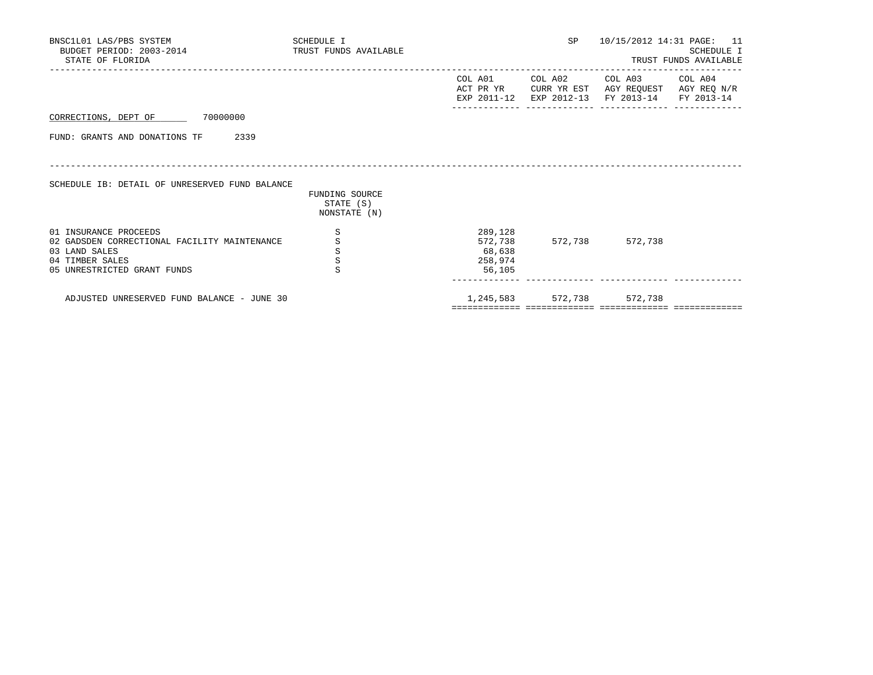| BNSC1L01 LAS/PBS SYSTEM<br>BUDGET PERIOD: 2003-2014<br>STATE OF FLORIDA                                                                  | SCHEDULE I<br>TRUST FUNDS AVAILABLE         |                                                   | <b>SP</b>                                       | 10/15/2012 14:31 PAGE:               | 11<br>SCHEDULE I<br>TRUST FUNDS AVAILABLE |
|------------------------------------------------------------------------------------------------------------------------------------------|---------------------------------------------|---------------------------------------------------|-------------------------------------------------|--------------------------------------|-------------------------------------------|
|                                                                                                                                          |                                             | COL A01<br>EXP 2011-12                            | COL A02<br>ACT PR YR CURR YR EST<br>EXP 2012-13 | COL A03<br>AGY REOUEST<br>FY 2013-14 | COL A04<br>AGY REQ N/R<br>FY 2013-14      |
| 70000000<br>CORRECTIONS, DEPT OF                                                                                                         |                                             |                                                   |                                                 |                                      |                                           |
| 2339<br>FUND: GRANTS AND DONATIONS TF                                                                                                    |                                             |                                                   |                                                 |                                      |                                           |
| SCHEDULE IB: DETAIL OF UNRESERVED FUND BALANCE                                                                                           | FUNDING SOURCE<br>STATE (S)<br>NONSTATE (N) |                                                   |                                                 |                                      |                                           |
| 01 INSURANCE PROCEEDS<br>02 GADSDEN CORRECTIONAL FACILITY MAINTENANCE<br>03 LAND SALES<br>04 TIMBER SALES<br>05 UNRESTRICTED GRANT FUNDS | S<br>S<br>S<br>$\rm S$<br>S                 | 289,128<br>572,738<br>68,638<br>258,974<br>56,105 |                                                 | 572,738 572,738                      |                                           |
| ADJUSTED UNRESERVED FUND BALANCE - JUNE 30                                                                                               |                                             |                                                   |                                                 | 1,245,583 572,738 572,738            |                                           |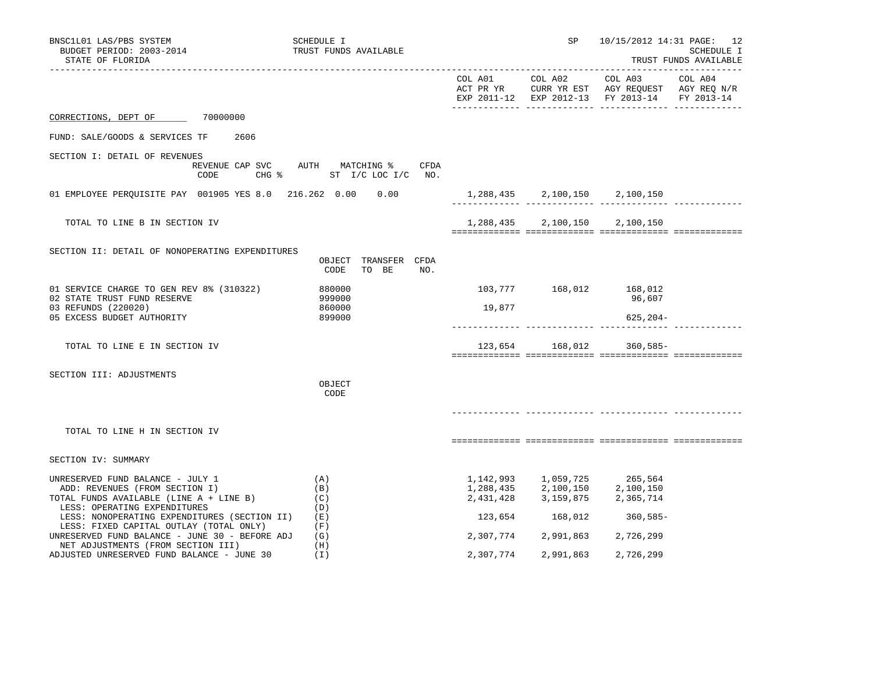| BNSC1L01 LAS/PBS SYSTEM<br>BUDGET PERIOD: 2003-2014<br>STATE OF FLORIDA                                                 | SCHEDULE I<br>TRUST FUNDS AVAILABLE                                             |           | SP              | 10/15/2012 14:31 PAGE: 12                                                                                                   | SCHEDULE I<br>TRUST FUNDS AVAILABLE |
|-------------------------------------------------------------------------------------------------------------------------|---------------------------------------------------------------------------------|-----------|-----------------|-----------------------------------------------------------------------------------------------------------------------------|-------------------------------------|
|                                                                                                                         |                                                                                 |           |                 | EXP 2011-12 EXP 2012-13 FY 2013-14                                                                                          | FY 2013-14                          |
| 70000000<br>CORRECTIONS, DEPT OF                                                                                        |                                                                                 |           |                 |                                                                                                                             |                                     |
| FUND: SALE/GOODS & SERVICES TF<br>2606                                                                                  |                                                                                 |           |                 |                                                                                                                             |                                     |
| SECTION I: DETAIL OF REVENUES<br>CODE                                                                                   | REVENUE CAP SVC AUTH MATCHING %<br>CFDA<br>CHG $\frac{1}{2}$ ST I/C LOC I/C NO. |           |                 |                                                                                                                             |                                     |
| 01 EMPLOYEE PERQUISITE PAY 001905 YES 8.0 216.262 0.00 0.00 1,288,435 2,100,150 2,100,150                               |                                                                                 |           |                 |                                                                                                                             |                                     |
| TOTAL TO LINE B IN SECTION IV                                                                                           |                                                                                 |           |                 | 1,288,435 2,100,150 2,100,150                                                                                               |                                     |
| SECTION II: DETAIL OF NONOPERATING EXPENDITURES                                                                         | OBJECT TRANSFER CFDA<br>CODE<br>TO BE<br>NO.                                    |           |                 |                                                                                                                             |                                     |
| 01 SERVICE CHARGE TO GEN REV 8% (310322)<br>02 STATE TRUST FUND RESERVE<br>03 REFUNDS (220020)                          | 880000<br>999000<br>860000                                                      | 19,877    |                 | 103,777 168,012 168,012<br>96,607                                                                                           |                                     |
| 05 EXCESS BUDGET AUTHORITY                                                                                              | 899000                                                                          |           |                 | $625, 204 -$                                                                                                                |                                     |
| TOTAL TO LINE E IN SECTION IV                                                                                           |                                                                                 |           |                 | 123,654 168,012 360,585-                                                                                                    |                                     |
| SECTION III: ADJUSTMENTS                                                                                                | OBJECT<br>CODE                                                                  |           |                 |                                                                                                                             |                                     |
| TOTAL TO LINE H IN SECTION IV                                                                                           |                                                                                 |           |                 |                                                                                                                             |                                     |
| SECTION IV: SUMMARY                                                                                                     |                                                                                 |           |                 |                                                                                                                             |                                     |
| UNRESERVED FUND BALANCE - JULY 1<br>ADD: REVENUES (FROM SECTION I)<br>TOTAL FUNDS AVAILABLE (LINE A + LINE B)           | (A)<br>(B)<br>(C)                                                               |           |                 | $1,142,993 \qquad 1,059,725 \qquad 265,564 \\ 1,288,435 \qquad 2,100,150 \qquad 2,100,150$<br>2,431,428 3,159,875 2,365,714 |                                     |
| LESS: OPERATING EXPENDITURES<br>LESS: NONOPERATING EXPENDITURES (SECTION II)<br>LESS: FIXED CAPITAL OUTLAY (TOTAL ONLY) | (D)<br>(E)<br>(F)                                                               |           | 123,654 168,012 | $360,585-$                                                                                                                  |                                     |
| UNRESERVED FUND BALANCE - JUNE 30 - BEFORE ADJ<br>NET ADJUSTMENTS (FROM SECTION III)                                    | (G)<br>(H)                                                                      |           |                 | 2,307,774 2,991,863 2,726,299                                                                                               |                                     |
| ADJUSTED UNRESERVED FUND BALANCE - JUNE 30                                                                              | (T)                                                                             | 2,307,774 | 2,991,863       | 2,726,299                                                                                                                   |                                     |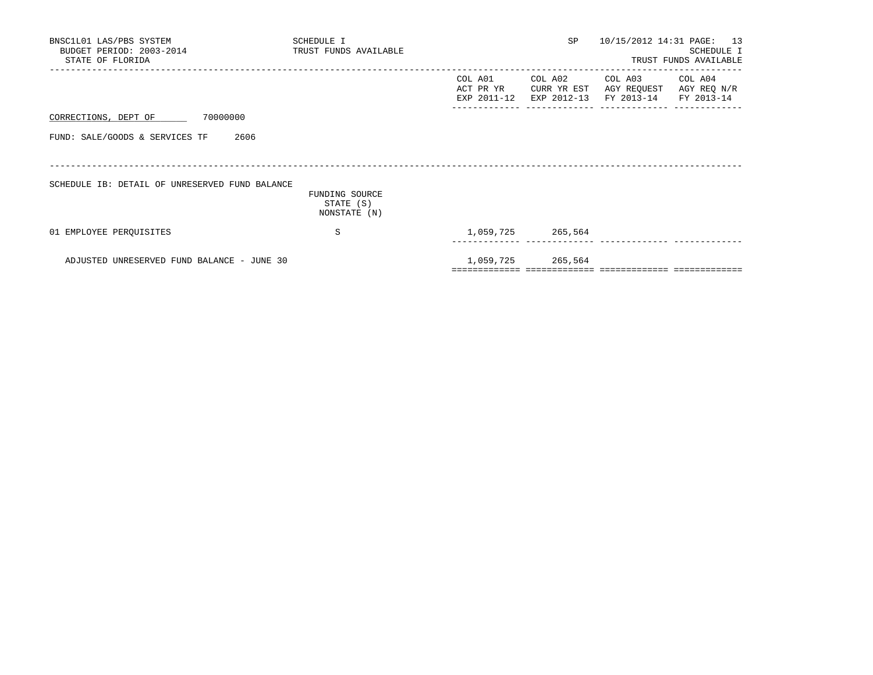| BNSC1L01 LAS/PBS SYSTEM<br>BUDGET PERIOD: 2003-2014<br>STATE OF FLORIDA | SCHEDULE I<br>TRUST FUNDS AVAILABLE | SP <sub>2</sub>                          | 10/15/2012 14:31 PAGE: 13                                        | SCHEDULE I<br>TRUST FUNDS AVAILABLE |
|-------------------------------------------------------------------------|-------------------------------------|------------------------------------------|------------------------------------------------------------------|-------------------------------------|
|                                                                         |                                     | COL A01 COL A02<br>ACT PR YR CURR YR EST | COL A03 COL A04<br>EXP 2011-12 EXP 2012-13 FY 2013-14 FY 2013-14 | AGY REQUEST AGY REQ N/R             |
| CORRECTIONS, DEPT OF 70000000                                           |                                     |                                          |                                                                  |                                     |
| FUND: SALE/GOODS & SERVICES TF<br>2606                                  |                                     |                                          |                                                                  |                                     |
| SCHEDULE IB: DETAIL OF UNRESERVED FUND BALANCE                          | FUNDING SOURCE<br>STATE (S)         |                                          |                                                                  |                                     |
|                                                                         | NONSTATE (N)                        |                                          |                                                                  |                                     |
| 01 EMPLOYEE PEROUISITES                                                 | S                                   | 1,059,725 265,564                        |                                                                  |                                     |
| ADJUSTED UNRESERVED FUND BALANCE - JUNE 30                              |                                     | 1,059,725 265,564                        |                                                                  |                                     |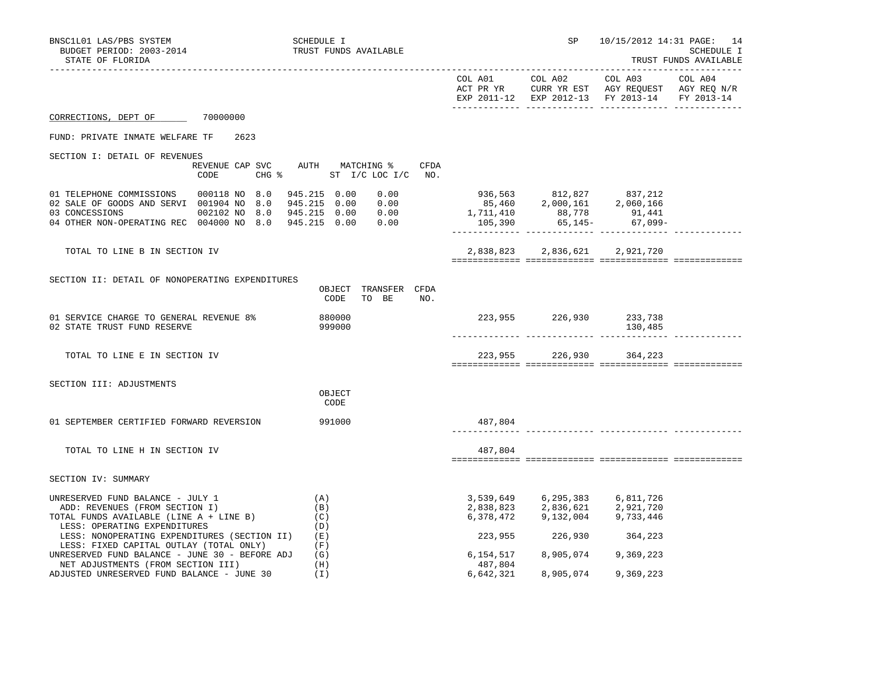| BNSC1L01 LAS/PBS SYSTEM<br>BUDGET PERIOD: 2003-2014<br>STATE OF FLORIDA                                                                                                                       | SCHEDULE I<br>TRUST FUNDS AVAILABLE                                        |                        | SP and the set of the set of the set of the set of the set of the set of the set of the set of the set of the s | 10/15/2012 14:31 PAGE: 14                                                                                 | SCHEDULE I<br>TRUST FUNDS AVAILABLE |
|-----------------------------------------------------------------------------------------------------------------------------------------------------------------------------------------------|----------------------------------------------------------------------------|------------------------|-----------------------------------------------------------------------------------------------------------------|-----------------------------------------------------------------------------------------------------------|-------------------------------------|
|                                                                                                                                                                                               |                                                                            | COL A01                | COL A02                                                                                                         | COL A03<br>ACT PR YR CURR YR EST AGY REQUEST AGY REQ N/R<br>EXP 2011-12 EXP 2012-13 FY 2013-14 FY 2013-14 | COL A04                             |
| CORRECTIONS, DEPT OF 70000000                                                                                                                                                                 |                                                                            |                        |                                                                                                                 |                                                                                                           |                                     |
| FUND: PRIVATE INMATE WELFARE TF<br>2623                                                                                                                                                       |                                                                            |                        |                                                                                                                 |                                                                                                           |                                     |
| SECTION I: DETAIL OF REVENUES<br>CODE<br>CHG %                                                                                                                                                | REVENUE CAP SVC AUTH MATCHING % CFDA<br>ST I/C LOC I/C NO.                 |                        |                                                                                                                 |                                                                                                           |                                     |
| 01 TELEPHONE COMMISSIONS 000118 NO 8.0<br>02 SALE OF GOODS AND SERVI 001904 NO 8.0<br>03 CONCESSIONS<br>002102 NO 8.0<br>04 OTHER NON-OPERATING REC 004000 NO 8.0 945.215 0.00                | 945.215 0.00<br>0.00<br>945.215  0.00  0.00<br>945.215  0.00  0.00<br>0.00 | 1,711,410<br>105,390   | 936,563 812,827 837,212<br>85,460 2,000,161 2,060,166                                                           | 88,778 91,441<br>65,145- 67,099-                                                                          |                                     |
| TOTAL TO LINE B IN SECTION IV                                                                                                                                                                 |                                                                            | 2,838,823              |                                                                                                                 | 2,836,621 2,921,720                                                                                       |                                     |
| SECTION II: DETAIL OF NONOPERATING EXPENDITURES                                                                                                                                               | OBJECT TRANSFER CFDA<br>NO.<br>CODE<br>TO BE                               |                        |                                                                                                                 |                                                                                                           |                                     |
| 01 SERVICE CHARGE TO GENERAL REVENUE 8%<br>02 STATE TRUST FUND RESERVE                                                                                                                        | 880000<br>999000                                                           |                        | 223,955 226,930 233,738                                                                                         | 130,485                                                                                                   |                                     |
| TOTAL TO LINE E IN SECTION IV                                                                                                                                                                 |                                                                            |                        | 223,955 226,930 364,223                                                                                         |                                                                                                           |                                     |
| SECTION III: ADJUSTMENTS                                                                                                                                                                      | OBJECT<br>CODE                                                             |                        |                                                                                                                 |                                                                                                           |                                     |
| 01 SEPTEMBER CERTIFIED FORWARD REVERSION                                                                                                                                                      | 991000                                                                     | 487,804                |                                                                                                                 |                                                                                                           |                                     |
| TOTAL TO LINE H IN SECTION IV                                                                                                                                                                 |                                                                            | 487,804                |                                                                                                                 |                                                                                                           |                                     |
| SECTION IV: SUMMARY                                                                                                                                                                           |                                                                            |                        |                                                                                                                 |                                                                                                           |                                     |
| UNRESERVED FUND BALANCE - JULY 1<br>ADD: REVENUES (FROM SECTION I)<br>TOTAL FUNDS AVAILABLE (LINE A + LINE B)<br>LESS: OPERATING EXPENDITURES<br>LESS: NONOPERATING EXPENDITURES (SECTION II) | (A)<br>(B)<br>(C)<br>(D)<br>(E)                                            | 2,838,823<br>6,378,472 | 3,539,649 6,295,383 6,811,726<br>2,836,621 2,921,720<br>223,955 226,930                                         | 9, 132, 004 9, 733, 446<br>364,223                                                                        |                                     |
| LESS: FIXED CAPITAL OUTLAY (TOTAL ONLY)<br>UNRESERVED FUND BALANCE - JUNE 30 - BEFORE ADJ<br>NET ADJUSTMENTS (FROM SECTION III)                                                               | (F)<br>(G)<br>(H)                                                          | 6,154,517<br>487,804   | 8,905,074 9,369,223                                                                                             |                                                                                                           |                                     |
| ADJUSTED UNRESERVED FUND BALANCE - JUNE 30                                                                                                                                                    | ( I )                                                                      | 6,642,321              | 8,905,074                                                                                                       | 9,369,223                                                                                                 |                                     |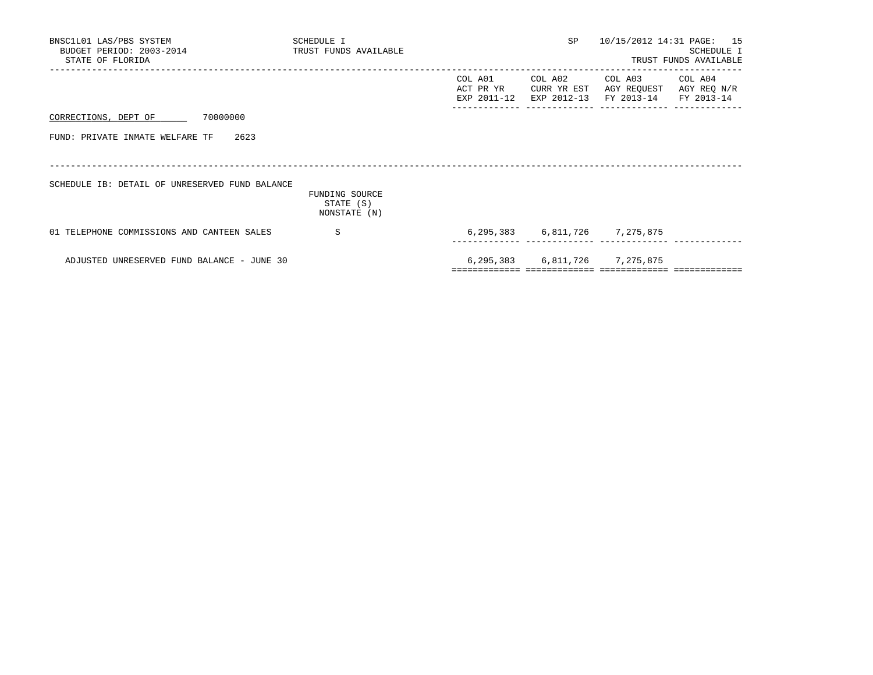| BNSC1L01 LAS/PBS SYSTEM<br>BUDGET PERIOD: 2003-2014 TRUST FUNDS AVAILABLE<br>STATE OF FLORIDA | SCHEDULE I                                  |                                       | SP                                    | 10/15/2012 14:31 PAGE: 15            | SCHEDULE I<br>TRUST FUNDS AVAILABLE  |
|-----------------------------------------------------------------------------------------------|---------------------------------------------|---------------------------------------|---------------------------------------|--------------------------------------|--------------------------------------|
|                                                                                               |                                             | COL A01<br>ACT PR YR<br>EXP 2011-12   | COL A02<br>CURR YR EST<br>EXP 2012-13 | COL A03<br>AGY REQUEST<br>FY 2013-14 | COL A04<br>AGY REQ N/R<br>FY 2013-14 |
| CORRECTIONS, DEPT OF 70000000                                                                 |                                             |                                       |                                       |                                      |                                      |
| 2623<br>FUND: PRIVATE INMATE WELFARE TF                                                       |                                             |                                       |                                       |                                      |                                      |
|                                                                                               |                                             |                                       |                                       |                                      |                                      |
| SCHEDULE IB: DETAIL OF UNRESERVED FUND BALANCE                                                | FUNDING SOURCE<br>STATE (S)<br>NONSTATE (N) |                                       |                                       |                                      |                                      |
| 01 TELEPHONE COMMISSIONS AND CANTEEN SALES                                                    | S                                           |                                       |                                       | 6, 295, 383 6, 811, 726 7, 275, 875  |                                      |
| ADJUSTED UNRESERVED FUND BALANCE - JUNE 30                                                    |                                             | ===================================== |                                       | 6, 295, 383 6, 811, 726 7, 275, 875  |                                      |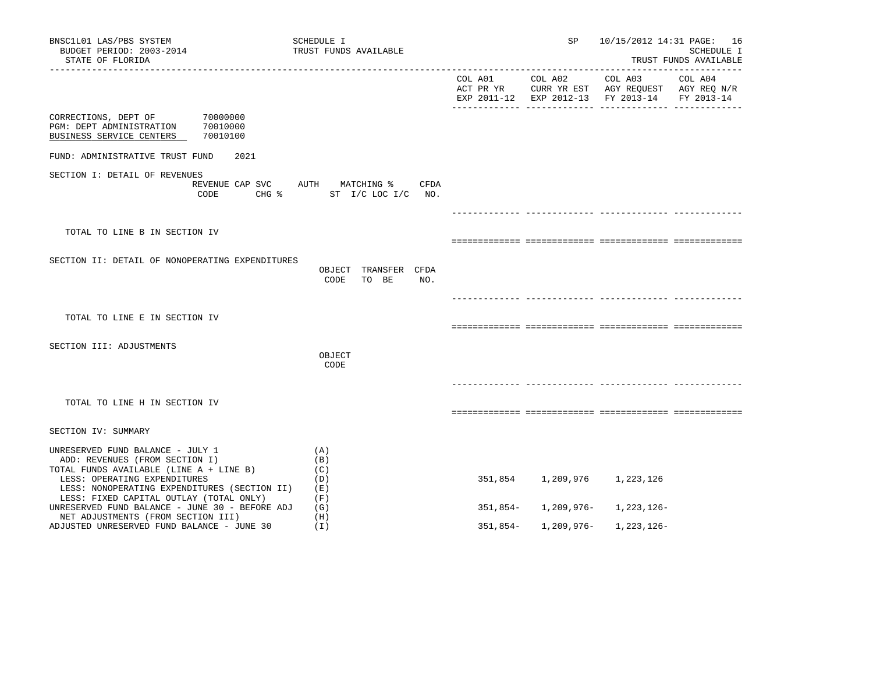| BNSC1L01 LAS/PBS SYSTEM<br>BUDGET PERIOD: 2003-2014<br>STATE OF FLORIDA<br>________________________                     | SCHEDULE I<br>TRUST FUNDS AVAILABLE           |          | SP              |                                                                                                           | 10/15/2012 14:31 PAGE: 16<br>SCHEDULE I<br>TRUST FUNDS AVAILABLE |
|-------------------------------------------------------------------------------------------------------------------------|-----------------------------------------------|----------|-----------------|-----------------------------------------------------------------------------------------------------------|------------------------------------------------------------------|
|                                                                                                                         |                                               |          | COL A01 COL A02 | COL A03<br>ACT PR YR CURR YR EST AGY REQUEST AGY REQ N/R<br>EXP 2011-12 EXP 2012-13 FY 2013-14 FY 2013-14 | COL A04                                                          |
| 70000000<br>CORRECTIONS, DEPT OF<br>PGM: DEPT ADMINISTRATION<br>70010000<br>70010100<br>BUSINESS SERVICE CENTERS        |                                               |          |                 |                                                                                                           |                                                                  |
| FUND: ADMINISTRATIVE TRUST FUND<br>2021                                                                                 |                                               |          |                 |                                                                                                           |                                                                  |
| SECTION I: DETAIL OF REVENUES<br>REVENUE CAP SVC<br>CODE<br>CHG %                                                       | AUTH MATCHING %<br>CFDA<br>ST I/C LOC I/C NO. |          |                 |                                                                                                           |                                                                  |
|                                                                                                                         |                                               |          |                 |                                                                                                           |                                                                  |
| TOTAL TO LINE B IN SECTION IV                                                                                           |                                               |          |                 |                                                                                                           |                                                                  |
| SECTION II: DETAIL OF NONOPERATING EXPENDITURES                                                                         | OBJECT TRANSFER CFDA<br>TO BE<br>NO.<br>CODE  |          |                 |                                                                                                           |                                                                  |
|                                                                                                                         |                                               |          |                 |                                                                                                           |                                                                  |
| TOTAL TO LINE E IN SECTION IV                                                                                           |                                               |          |                 |                                                                                                           |                                                                  |
| SECTION III: ADJUSTMENTS                                                                                                |                                               |          |                 |                                                                                                           |                                                                  |
|                                                                                                                         | OBJECT<br>CODE                                |          |                 |                                                                                                           |                                                                  |
|                                                                                                                         |                                               |          |                 |                                                                                                           |                                                                  |
| TOTAL TO LINE H IN SECTION IV                                                                                           |                                               |          |                 |                                                                                                           |                                                                  |
| SECTION IV: SUMMARY                                                                                                     |                                               |          |                 |                                                                                                           |                                                                  |
| UNRESERVED FUND BALANCE - JULY 1<br>ADD: REVENUES (FROM SECTION I)<br>TOTAL FUNDS AVAILABLE (LINE A + LINE B)           | (A)<br>(B)<br>(C)                             |          |                 |                                                                                                           |                                                                  |
| LESS: OPERATING EXPENDITURES<br>LESS: NONOPERATING EXPENDITURES (SECTION II)<br>LESS: FIXED CAPITAL OUTLAY (TOTAL ONLY) | (D)<br>(E)<br>(F)                             | 351,854  | 1,209,976       | 1,223,126                                                                                                 |                                                                  |
| UNRESERVED FUND BALANCE - JUNE 30 - BEFORE ADJ<br>NET ADJUSTMENTS (FROM SECTION III)                                    | (G)<br>(H)                                    | 351,854- | 1,209,976–      | 1,223,126-                                                                                                |                                                                  |
| ADJUSTED UNRESERVED FUND BALANCE - JUNE 30                                                                              | (I)                                           | 351,854- | 1,209,976-      | 1,223,126-                                                                                                |                                                                  |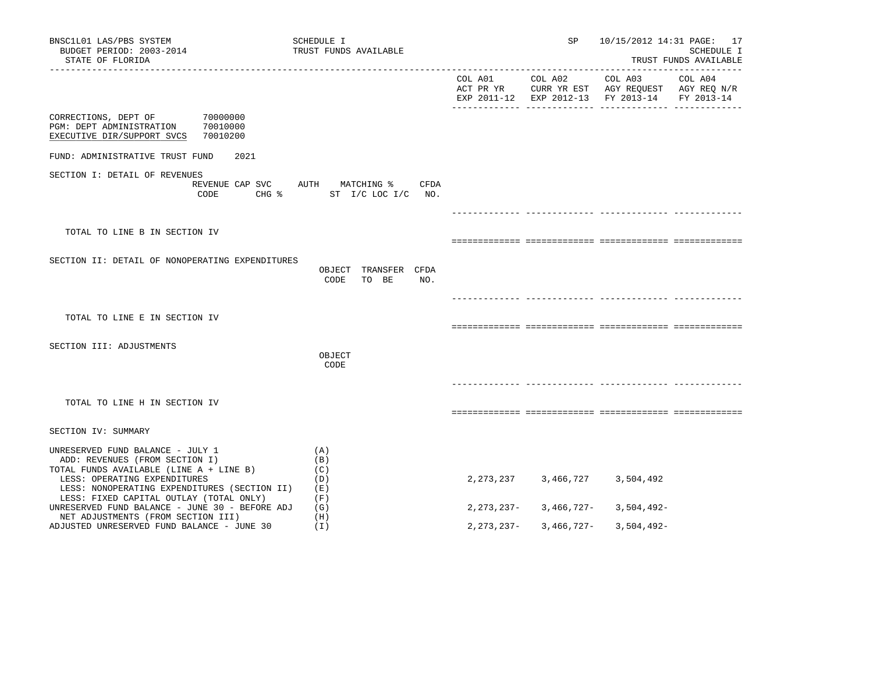| BNSC1L01 LAS/PBS SYSTEM<br>BUDGET PERIOD: 2003-2014<br>STATE OF FLORIDA                                                                                                                                                                  | SCHEDULE I<br>TRUST FUNDS AVAILABLE           |                      | SP           |                                                                                                 | 10/15/2012 14:31 PAGE: 17<br>SCHEDULE I<br>TRUST FUNDS AVAILABLE |
|------------------------------------------------------------------------------------------------------------------------------------------------------------------------------------------------------------------------------------------|-----------------------------------------------|----------------------|--------------|-------------------------------------------------------------------------------------------------|------------------------------------------------------------------|
|                                                                                                                                                                                                                                          |                                               | COL A01<br>ACT PR YR | COL A02      | COL A03<br>CURR YR EST AGY REQUEST AGY REQ N/R<br>EXP 2011-12 EXP 2012-13 FY 2013-14 FY 2013-14 | COL A04                                                          |
| 70000000<br>CORRECTIONS, DEPT OF<br>70010000<br>PGM: DEPT ADMINISTRATION<br>70010200<br>EXECUTIVE DIR/SUPPORT SVCS                                                                                                                       |                                               |                      |              |                                                                                                 |                                                                  |
| FUND: ADMINISTRATIVE TRUST FUND<br>2021                                                                                                                                                                                                  |                                               |                      |              |                                                                                                 |                                                                  |
| SECTION I: DETAIL OF REVENUES<br>REVENUE CAP SVC<br>CODE<br>$CHG$ $\frac{1}{6}$                                                                                                                                                          | CFDA<br>AUTH MATCHING %<br>ST I/C LOC I/C NO. |                      |              |                                                                                                 |                                                                  |
|                                                                                                                                                                                                                                          |                                               |                      |              |                                                                                                 |                                                                  |
| TOTAL TO LINE B IN SECTION IV                                                                                                                                                                                                            |                                               |                      |              |                                                                                                 |                                                                  |
| SECTION II: DETAIL OF NONOPERATING EXPENDITURES                                                                                                                                                                                          | OBJECT TRANSFER CFDA<br>CODE<br>TO BE<br>NO.  |                      |              |                                                                                                 |                                                                  |
|                                                                                                                                                                                                                                          |                                               |                      |              |                                                                                                 |                                                                  |
| TOTAL TO LINE E IN SECTION IV                                                                                                                                                                                                            |                                               |                      |              |                                                                                                 |                                                                  |
| SECTION III: ADJUSTMENTS                                                                                                                                                                                                                 | OBJECT<br>CODE                                |                      |              |                                                                                                 |                                                                  |
|                                                                                                                                                                                                                                          |                                               |                      |              |                                                                                                 |                                                                  |
| TOTAL TO LINE H IN SECTION IV                                                                                                                                                                                                            |                                               |                      |              |                                                                                                 |                                                                  |
| SECTION IV: SUMMARY                                                                                                                                                                                                                      |                                               |                      |              |                                                                                                 |                                                                  |
| UNRESERVED FUND BALANCE - JULY 1<br>ADD: REVENUES (FROM SECTION I)<br>TOTAL FUNDS AVAILABLE (LINE A + LINE B)<br>LESS: OPERATING EXPENDITURES<br>LESS: NONOPERATING EXPENDITURES (SECTION II)<br>LESS: FIXED CAPITAL OUTLAY (TOTAL ONLY) | (A)<br>(B)<br>(C)<br>(D)<br>(E)<br>(F)        | 2,273,237            | 3,466,727    | 3,504,492                                                                                       |                                                                  |
| UNRESERVED FUND BALANCE - JUNE 30 - BEFORE ADJ                                                                                                                                                                                           | (G)<br>(H)                                    | $2,273,237-$         | 3,466,727-   | 3,504,492-                                                                                      |                                                                  |
| NET ADJUSTMENTS (FROM SECTION III)<br>ADJUSTED UNRESERVED FUND BALANCE - JUNE 30                                                                                                                                                         | ( I )                                         | $2,273,237-$         | $3,466,727-$ | $3,504,492-$                                                                                    |                                                                  |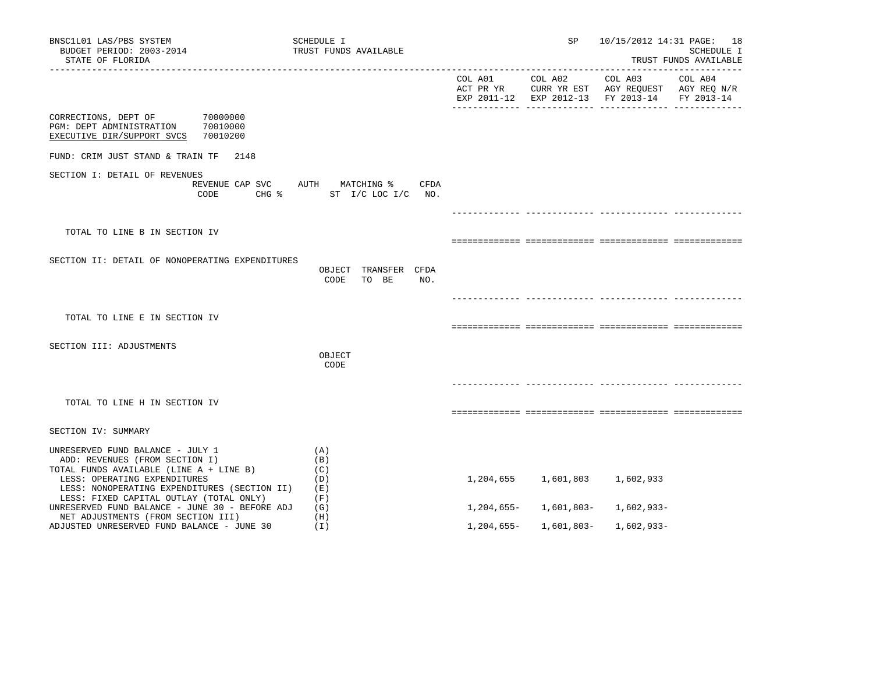| BNSC1L01 LAS/PBS SYSTEM<br>BUDGET PERIOD: 2003-2014<br>STATE OF FLORIDA                                                                                                                       | SCHEDULE I<br>TRUST FUNDS AVAILABLE                                             |            | SP                            |                                                                                                | 10/15/2012 14:31 PAGE: 18<br>SCHEDULE I<br>TRUST FUNDS AVAILABLE |
|-----------------------------------------------------------------------------------------------------------------------------------------------------------------------------------------------|---------------------------------------------------------------------------------|------------|-------------------------------|------------------------------------------------------------------------------------------------|------------------------------------------------------------------|
|                                                                                                                                                                                               |                                                                                 |            | COL A01 COL A02               | COL A03<br>ACT PR YR CURR YR EST AGY REQUEST AGY REQ N/R<br>EXP 2011-12 EXP 2012-13 FY 2013-14 | COL A04<br>FY 2013-14                                            |
| CORRECTIONS, DEPT OF<br>70000000<br>PGM: DEPT ADMINISTRATION<br>70010000<br>EXECUTIVE DIR/SUPPORT SVCS<br>70010200                                                                            |                                                                                 |            |                               |                                                                                                |                                                                  |
| FUND: CRIM JUST STAND & TRAIN TF<br>2148                                                                                                                                                      |                                                                                 |            |                               |                                                                                                |                                                                  |
| SECTION I: DETAIL OF REVENUES<br>CODE                                                                                                                                                         | REVENUE CAP SVC AUTH MATCHING %<br>CFDA<br>CHG $\frac{1}{2}$ ST I/C LOC I/C NO. |            |                               |                                                                                                |                                                                  |
|                                                                                                                                                                                               |                                                                                 |            |                               |                                                                                                |                                                                  |
| TOTAL TO LINE B IN SECTION IV                                                                                                                                                                 |                                                                                 |            |                               |                                                                                                |                                                                  |
| SECTION II: DETAIL OF NONOPERATING EXPENDITURES                                                                                                                                               | OBJECT TRANSFER CFDA<br>CODE<br>TO BE<br>NO.                                    |            |                               |                                                                                                |                                                                  |
|                                                                                                                                                                                               |                                                                                 |            |                               |                                                                                                |                                                                  |
| TOTAL TO LINE E IN SECTION IV                                                                                                                                                                 |                                                                                 |            |                               |                                                                                                |                                                                  |
| SECTION III: ADJUSTMENTS                                                                                                                                                                      |                                                                                 |            |                               |                                                                                                |                                                                  |
|                                                                                                                                                                                               | OBJECT<br>CODE                                                                  |            |                               |                                                                                                |                                                                  |
|                                                                                                                                                                                               |                                                                                 |            |                               |                                                                                                |                                                                  |
| TOTAL TO LINE H IN SECTION IV                                                                                                                                                                 |                                                                                 |            |                               |                                                                                                |                                                                  |
| SECTION IV: SUMMARY                                                                                                                                                                           |                                                                                 |            |                               |                                                                                                |                                                                  |
| UNRESERVED FUND BALANCE - JULY 1<br>ADD: REVENUES (FROM SECTION I)<br>TOTAL FUNDS AVAILABLE (LINE A + LINE B)<br>LESS: OPERATING EXPENDITURES<br>LESS: NONOPERATING EXPENDITURES (SECTION II) | (A)<br>(B)<br>(C)<br>(D)<br>(E)                                                 |            | 1,204,655 1,601,803           | 1,602,933                                                                                      |                                                                  |
| LESS: FIXED CAPITAL OUTLAY (TOTAL ONLY)<br>UNRESERVED FUND BALANCE - JUNE 30 - BEFORE ADJ                                                                                                     | (F)<br>(G)                                                                      |            | $1, 204, 655 - 1, 601, 803 -$ | 1,602,933-                                                                                     |                                                                  |
| NET ADJUSTMENTS (FROM SECTION III)<br>ADJUSTED UNRESERVED FUND BALANCE - JUNE 30                                                                                                              | (H)<br>(I)                                                                      | 1,204,655– | 1,601,803-                    | 1,602,933-                                                                                     |                                                                  |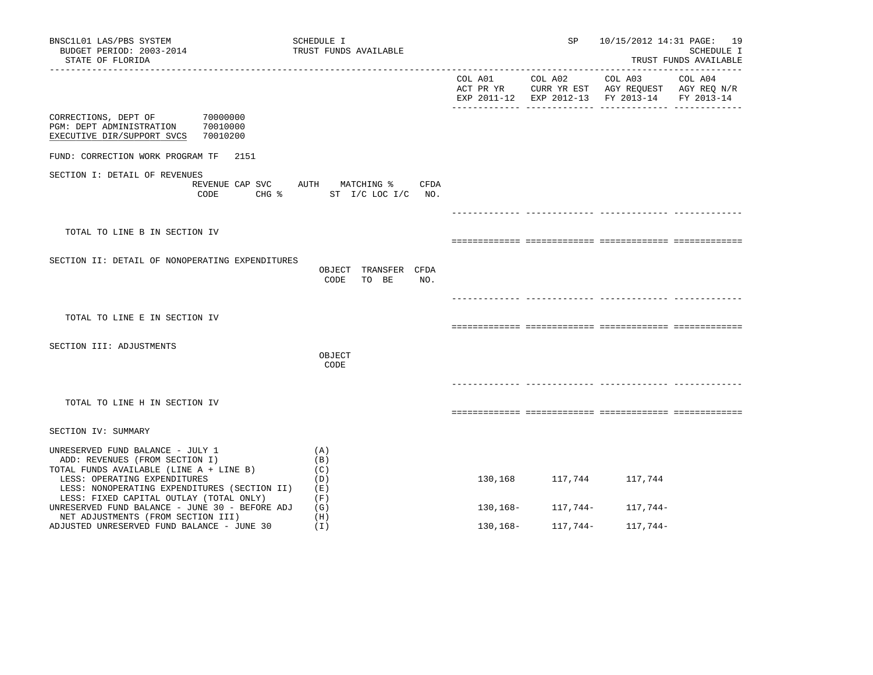| BNSC1L01 LAS/PBS SYSTEM<br>BUDGET PERIOD: 2003-2014<br>STATE OF FLORIDA                                                                                                                       | SCHEDULE I<br>TRUST FUNDS AVAILABLE          |          | SP              |                                                                                                | 10/15/2012 14:31 PAGE: 19<br>SCHEDULE I<br>TRUST FUNDS AVAILABLE |
|-----------------------------------------------------------------------------------------------------------------------------------------------------------------------------------------------|----------------------------------------------|----------|-----------------|------------------------------------------------------------------------------------------------|------------------------------------------------------------------|
|                                                                                                                                                                                               |                                              |          | COL A01 COL A02 | COL A03<br>ACT PR YR CURR YR EST AGY REQUEST AGY REQ N/R<br>EXP 2011-12 EXP 2012-13 FY 2013-14 | COL A04<br>FY 2013-14                                            |
| CORRECTIONS, DEPT OF<br>70000000<br>70010000<br>PGM: DEPT ADMINISTRATION<br>EXECUTIVE DIR/SUPPORT SVCS<br>70010200                                                                            |                                              |          |                 |                                                                                                |                                                                  |
| FUND: CORRECTION WORK PROGRAM TF 2151                                                                                                                                                         |                                              |          |                 |                                                                                                |                                                                  |
| SECTION I: DETAIL OF REVENUES<br>REVENUE CAP SVC AUTH MATCHING %<br>CODE<br>$CHG$ %                                                                                                           | CFDA<br>ST I/C LOC I/C NO.                   |          |                 |                                                                                                |                                                                  |
|                                                                                                                                                                                               |                                              |          |                 |                                                                                                |                                                                  |
| TOTAL TO LINE B IN SECTION IV                                                                                                                                                                 |                                              |          |                 |                                                                                                |                                                                  |
| SECTION II: DETAIL OF NONOPERATING EXPENDITURES                                                                                                                                               | OBJECT TRANSFER CFDA<br>CODE<br>TO BE<br>NO. |          |                 |                                                                                                |                                                                  |
|                                                                                                                                                                                               |                                              |          |                 |                                                                                                |                                                                  |
| TOTAL TO LINE E IN SECTION IV                                                                                                                                                                 |                                              |          |                 |                                                                                                |                                                                  |
| SECTION III: ADJUSTMENTS                                                                                                                                                                      |                                              |          |                 |                                                                                                |                                                                  |
|                                                                                                                                                                                               | OBJECT<br>CODE                               |          |                 |                                                                                                |                                                                  |
|                                                                                                                                                                                               |                                              |          |                 |                                                                                                |                                                                  |
| TOTAL TO LINE H IN SECTION IV                                                                                                                                                                 |                                              |          |                 |                                                                                                |                                                                  |
| SECTION IV: SUMMARY                                                                                                                                                                           |                                              |          |                 |                                                                                                |                                                                  |
| UNRESERVED FUND BALANCE - JULY 1<br>ADD: REVENUES (FROM SECTION I)<br>TOTAL FUNDS AVAILABLE (LINE A + LINE B)<br>LESS: OPERATING EXPENDITURES<br>LESS: NONOPERATING EXPENDITURES (SECTION II) | (A)<br>(B)<br>(C)<br>(D)<br>(E)              | 130,168  | 117,744         | 117,744                                                                                        |                                                                  |
| LESS: FIXED CAPITAL OUTLAY (TOTAL ONLY)<br>UNRESERVED FUND BALANCE - JUNE 30 - BEFORE ADJ                                                                                                     | (F)<br>(G)                                   | 130,168– | 117,744–        | 117,744–                                                                                       |                                                                  |
| NET ADJUSTMENTS (FROM SECTION III)<br>ADJUSTED UNRESERVED FUND BALANCE - JUNE 30                                                                                                              | (H)<br>(I)                                   | 130,168– | 117,744–        | 117,744-                                                                                       |                                                                  |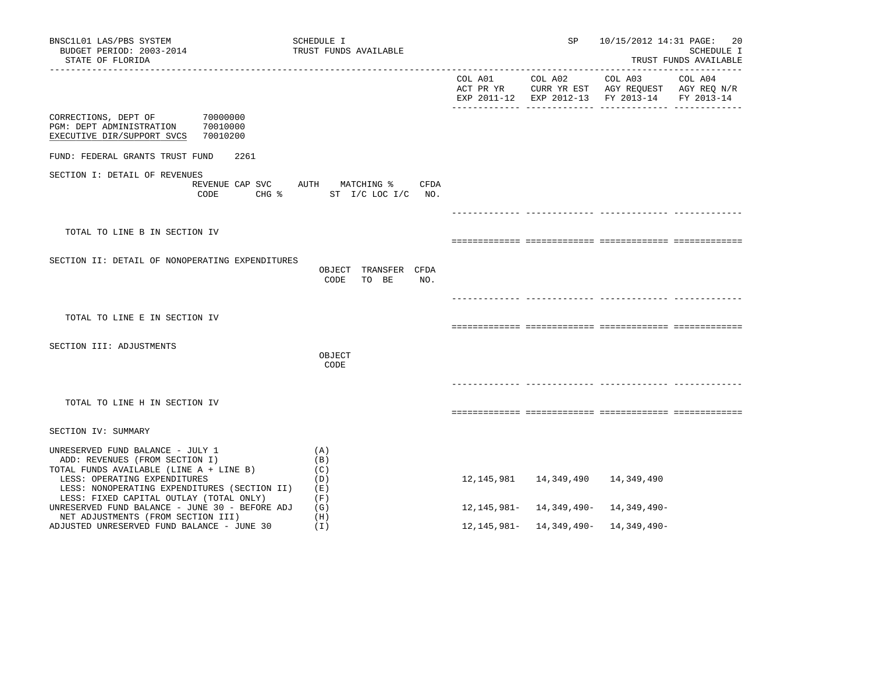| BNSC1L01 LAS/PBS SYSTEM<br>BUDGET PERIOD: 2003-2014<br>STATE OF FLORIDA                                                                                                                       | SCHEDULE I<br>TRUST FUNDS AVAILABLE              |                      | SP                                            |                                                | 10/15/2012 14:31 PAGE: 20<br>SCHEDULE I<br>TRUST FUNDS AVAILABLE |
|-----------------------------------------------------------------------------------------------------------------------------------------------------------------------------------------------|--------------------------------------------------|----------------------|-----------------------------------------------|------------------------------------------------|------------------------------------------------------------------|
|                                                                                                                                                                                               |                                                  | COL A01<br>ACT PR YR | COL A02<br>EXP 2011-12 EXP 2012-13 FY 2013-14 | COL A03<br>CURR YR EST AGY REQUEST AGY REQ N/R | COL A04<br>FY 2013-14                                            |
| 70000000<br>CORRECTIONS, DEPT OF<br>70010000<br>PGM: DEPT ADMINISTRATION<br>70010200<br>EXECUTIVE DIR/SUPPORT SVCS                                                                            |                                                  |                      |                                               |                                                |                                                                  |
| FUND: FEDERAL GRANTS TRUST FUND<br>2261                                                                                                                                                       |                                                  |                      |                                               |                                                |                                                                  |
| SECTION I: DETAIL OF REVENUES<br>REVENUE CAP SVC<br>CODE<br>CHG %                                                                                                                             | CFDA<br>AUTH<br>MATCHING %<br>ST I/C LOC I/C NO. |                      |                                               |                                                |                                                                  |
|                                                                                                                                                                                               |                                                  |                      |                                               |                                                |                                                                  |
| TOTAL TO LINE B IN SECTION IV                                                                                                                                                                 |                                                  |                      |                                               |                                                |                                                                  |
| SECTION II: DETAIL OF NONOPERATING EXPENDITURES                                                                                                                                               | OBJECT TRANSFER CFDA<br>CODE<br>TO BE<br>NO.     |                      |                                               |                                                |                                                                  |
|                                                                                                                                                                                               |                                                  |                      |                                               |                                                |                                                                  |
| TOTAL TO LINE E IN SECTION IV                                                                                                                                                                 |                                                  |                      |                                               |                                                |                                                                  |
| SECTION III: ADJUSTMENTS                                                                                                                                                                      | OBJECT<br>CODE                                   |                      |                                               |                                                |                                                                  |
|                                                                                                                                                                                               |                                                  |                      |                                               |                                                |                                                                  |
| TOTAL TO LINE H IN SECTION IV                                                                                                                                                                 |                                                  |                      |                                               |                                                |                                                                  |
| SECTION IV: SUMMARY                                                                                                                                                                           |                                                  |                      |                                               |                                                |                                                                  |
| UNRESERVED FUND BALANCE - JULY 1<br>ADD: REVENUES (FROM SECTION I)<br>TOTAL FUNDS AVAILABLE (LINE A + LINE B)<br>LESS: OPERATING EXPENDITURES<br>LESS: NONOPERATING EXPENDITURES (SECTION II) | (A)<br>(B)<br>(C)<br>(D)<br>(E)                  | 12,145,981           | 14,349,490                                    | 14,349,490                                     |                                                                  |
| LESS: FIXED CAPITAL OUTLAY (TOTAL ONLY)<br>UNRESERVED FUND BALANCE - JUNE 30 - BEFORE ADJ                                                                                                     | (F)<br>(G)                                       |                      |                                               | $12, 145, 981 - 14, 349, 490 - 14, 349, 490 -$ |                                                                  |
| NET ADJUSTMENTS (FROM SECTION III)<br>ADJUSTED UNRESERVED FUND BALANCE - JUNE 30                                                                                                              | (H)<br>(I)                                       |                      |                                               | $12, 145, 981 - 14, 349, 490 - 14, 349, 490 -$ |                                                                  |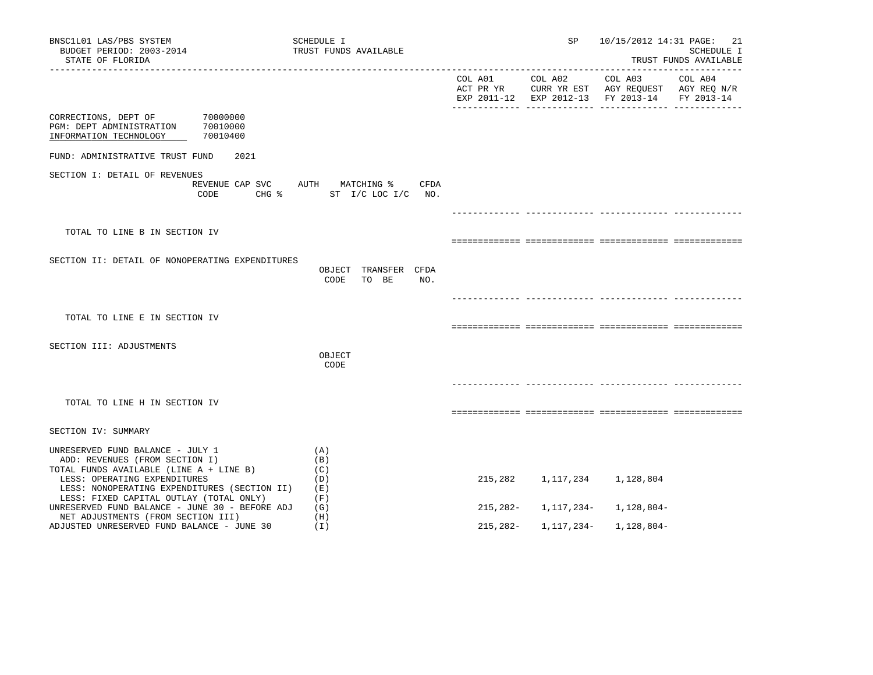| BNSC1L01 LAS/PBS SYSTEM<br>BUDGET PERIOD: 2003-2014<br>STATE OF FLORIDA                                                                                            | SCHEDULE I<br>TRUST FUNDS AVAILABLE                  |            | SP         | 10/15/2012 14:31 PAGE:             | -21<br>SCHEDULE I<br>TRUST FUNDS AVAILABLE |
|--------------------------------------------------------------------------------------------------------------------------------------------------------------------|------------------------------------------------------|------------|------------|------------------------------------|--------------------------------------------|
|                                                                                                                                                                    |                                                      |            |            | EXP 2011-12 EXP 2012-13 FY 2013-14 | FY 2013-14                                 |
| 70000000<br>CORRECTIONS, DEPT OF<br>PGM: DEPT ADMINISTRATION<br>70010000<br>70010400<br>INFORMATION TECHNOLOGY                                                     |                                                      |            |            |                                    |                                            |
| FUND: ADMINISTRATIVE TRUST FUND<br>2021                                                                                                                            |                                                      |            |            |                                    |                                            |
| SECTION I: DETAIL OF REVENUES<br>REVENUE CAP SVC<br>CODE<br>$CHG$ $\frac{1}{6}$                                                                                    | AUTH MATCHING %<br><b>CFDA</b><br>ST I/C LOC I/C NO. |            |            |                                    |                                            |
|                                                                                                                                                                    |                                                      |            |            |                                    |                                            |
| TOTAL TO LINE B IN SECTION IV                                                                                                                                      |                                                      |            |            |                                    |                                            |
| SECTION II: DETAIL OF NONOPERATING EXPENDITURES                                                                                                                    | OBJECT TRANSFER CFDA<br>TO BE<br>NO.<br>CODE         |            |            |                                    |                                            |
|                                                                                                                                                                    |                                                      |            |            |                                    |                                            |
| TOTAL TO LINE E IN SECTION IV                                                                                                                                      |                                                      |            |            |                                    |                                            |
| SECTION III: ADJUSTMENTS                                                                                                                                           |                                                      |            |            |                                    |                                            |
|                                                                                                                                                                    | OBJECT<br>CODE                                       |            |            |                                    |                                            |
|                                                                                                                                                                    |                                                      |            |            |                                    |                                            |
| TOTAL TO LINE H IN SECTION IV                                                                                                                                      |                                                      |            |            |                                    |                                            |
| SECTION IV: SUMMARY                                                                                                                                                |                                                      |            |            |                                    |                                            |
| UNRESERVED FUND BALANCE - JULY 1<br>ADD: REVENUES (FROM SECTION I)                                                                                                 | (A)<br>(B)                                           |            |            |                                    |                                            |
| TOTAL FUNDS AVAILABLE (LINE A + LINE B)<br>LESS: OPERATING EXPENDITURES<br>LESS: NONOPERATING EXPENDITURES (SECTION II)<br>LESS: FIXED CAPITAL OUTLAY (TOTAL ONLY) | (C)<br>(D)<br>(E)<br>(F)                             | 215,282    | 1,117,234  | 1,128,804                          |                                            |
| UNRESERVED FUND BALANCE - JUNE 30 - BEFORE ADJ                                                                                                                     | (G)                                                  | $215,282-$ | 1,117,234- | 1,128,804-                         |                                            |
| NET ADJUSTMENTS (FROM SECTION III)<br>ADJUSTED UNRESERVED FUND BALANCE - JUNE 30                                                                                   | (H)<br>(T)                                           | 215,282-   | 1,117,234- | 1,128,804-                         |                                            |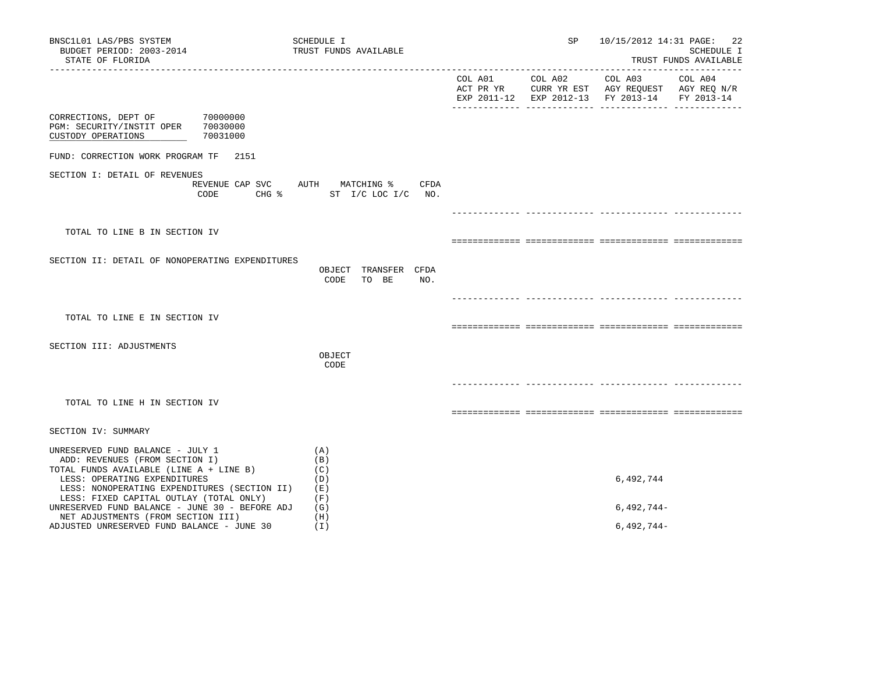| BNSC1L01 LAS/PBS SYSTEM<br>BUDGET PERIOD: 2003-2014<br>STATE OF FLORIDA                                                                                                                       | SCHEDULE I<br>TRUST FUNDS AVAILABLE                              | SP |                                                                                                                                   | 10/15/2012 14:31 PAGE: 22<br>SCHEDULE I<br>TRUST FUNDS AVAILABLE |
|-----------------------------------------------------------------------------------------------------------------------------------------------------------------------------------------------|------------------------------------------------------------------|----|-----------------------------------------------------------------------------------------------------------------------------------|------------------------------------------------------------------|
|                                                                                                                                                                                               |                                                                  |    | COL A01 COL A02 COL A03 COL A04<br>ACT PR YR CURR YR EST AGY REQUEST AGY REQ N/R<br>EXP 2011-12 EXP 2012-13 FY 2013-14 FY 2013-14 |                                                                  |
| CORRECTIONS, DEPT OF 70000000<br>PGM: SECURITY/INSTIT OPER 70030000<br>CUSTODY OPERATIONS<br>70031000                                                                                         |                                                                  |    |                                                                                                                                   |                                                                  |
| FUND: CORRECTION WORK PROGRAM TF 2151                                                                                                                                                         |                                                                  |    |                                                                                                                                   |                                                                  |
| SECTION I: DETAIL OF REVENUES<br>CODE                                                                                                                                                         | REVENUE CAP SVC AUTH MATCHING % CFDA<br>CHG % ST I/C LOC I/C NO. |    |                                                                                                                                   |                                                                  |
|                                                                                                                                                                                               |                                                                  |    |                                                                                                                                   |                                                                  |
| TOTAL TO LINE B IN SECTION IV                                                                                                                                                                 |                                                                  |    |                                                                                                                                   |                                                                  |
| SECTION II: DETAIL OF NONOPERATING EXPENDITURES                                                                                                                                               | OBJECT TRANSFER CFDA<br>CODE<br>TO BE<br>NO.                     |    |                                                                                                                                   |                                                                  |
| TOTAL TO LINE E IN SECTION IV                                                                                                                                                                 |                                                                  |    |                                                                                                                                   |                                                                  |
| SECTION III: ADJUSTMENTS                                                                                                                                                                      | OBJECT<br>CODE                                                   |    |                                                                                                                                   |                                                                  |
| TOTAL TO LINE H IN SECTION IV                                                                                                                                                                 |                                                                  |    |                                                                                                                                   |                                                                  |
| SECTION IV: SUMMARY                                                                                                                                                                           |                                                                  |    |                                                                                                                                   |                                                                  |
| UNRESERVED FUND BALANCE - JULY 1<br>ADD: REVENUES (FROM SECTION I)<br>TOTAL FUNDS AVAILABLE (LINE A + LINE B)<br>LESS: OPERATING EXPENDITURES<br>LESS: NONOPERATING EXPENDITURES (SECTION II) | (A)<br>(B)<br>(C)<br>(D)<br>( E )                                |    | 6,492,744                                                                                                                         |                                                                  |
| LESS: FIXED CAPITAL OUTLAY (TOTAL ONLY)<br>UNRESERVED FUND BALANCE - JUNE 30 - BEFORE ADJ                                                                                                     | (F)<br>(G)                                                       |    | $6,492,744-$                                                                                                                      |                                                                  |
| NET ADJUSTMENTS (FROM SECTION III)<br>ADJUSTED UNRESERVED FUND BALANCE - JUNE 30                                                                                                              | (H)<br>(I)                                                       |    | $6,492,744-$                                                                                                                      |                                                                  |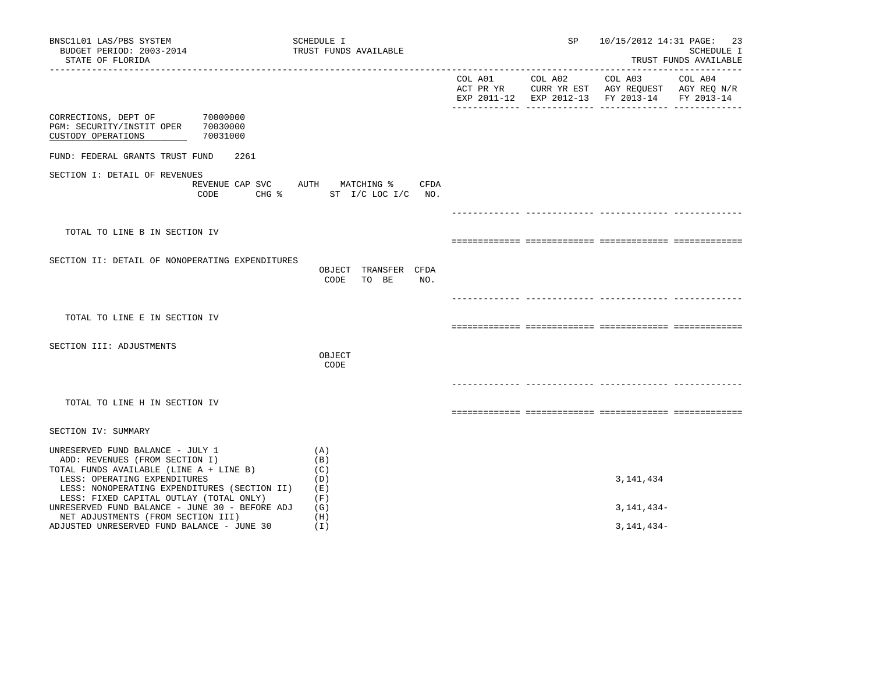| BNSC1L01 LAS/PBS SYSTEM<br>BUDGET PERIOD: 2003-2014<br>STATE OF FLORIDA                                                                                                                       | SCHEDULE I<br>TRUST FUNDS AVAILABLE                                             | SP | 10/15/2012 14:31 PAGE: 23                                                                                                         | SCHEDULE I<br>TRUST FUNDS AVAILABLE |
|-----------------------------------------------------------------------------------------------------------------------------------------------------------------------------------------------|---------------------------------------------------------------------------------|----|-----------------------------------------------------------------------------------------------------------------------------------|-------------------------------------|
|                                                                                                                                                                                               |                                                                                 |    | COL A01 COL A02 COL A03 COL A04<br>ACT PR YR CURR YR EST AGY REQUEST AGY REQ N/R<br>EXP 2011-12 EXP 2012-13 FY 2013-14 FY 2013-14 |                                     |
| CORRECTIONS, DEPT OF 70000000<br>PGM: SECURITY/INSTIT OPER 70030000<br>CUSTODY OPERATIONS<br>70031000                                                                                         |                                                                                 |    |                                                                                                                                   |                                     |
| FUND: FEDERAL GRANTS TRUST FUND<br>2261                                                                                                                                                       |                                                                                 |    |                                                                                                                                   |                                     |
| SECTION I: DETAIL OF REVENUES<br>CODE                                                                                                                                                         | REVENUE CAP SVC AUTH MATCHING %<br>CFDA<br>CHG $\frac{1}{2}$ ST I/C LOC I/C NO. |    |                                                                                                                                   |                                     |
|                                                                                                                                                                                               |                                                                                 |    |                                                                                                                                   |                                     |
| TOTAL TO LINE B IN SECTION IV                                                                                                                                                                 |                                                                                 |    |                                                                                                                                   |                                     |
| SECTION II: DETAIL OF NONOPERATING EXPENDITURES                                                                                                                                               | OBJECT TRANSFER CFDA<br>CODE<br>TO BE<br>NO.                                    |    |                                                                                                                                   |                                     |
|                                                                                                                                                                                               |                                                                                 |    |                                                                                                                                   |                                     |
| TOTAL TO LINE E IN SECTION IV                                                                                                                                                                 |                                                                                 |    |                                                                                                                                   |                                     |
| SECTION III: ADJUSTMENTS                                                                                                                                                                      | OBJECT<br>CODE                                                                  |    |                                                                                                                                   |                                     |
|                                                                                                                                                                                               |                                                                                 |    |                                                                                                                                   |                                     |
| TOTAL TO LINE H IN SECTION IV                                                                                                                                                                 |                                                                                 |    |                                                                                                                                   |                                     |
| SECTION IV: SUMMARY                                                                                                                                                                           |                                                                                 |    |                                                                                                                                   |                                     |
| UNRESERVED FUND BALANCE - JULY 1<br>ADD: REVENUES (FROM SECTION I)<br>TOTAL FUNDS AVAILABLE (LINE A + LINE B)<br>LESS: OPERATING EXPENDITURES<br>LESS: NONOPERATING EXPENDITURES (SECTION II) | (A)<br>(B)<br>(C)<br>(D)<br>(E)                                                 |    | 3, 141, 434                                                                                                                       |                                     |
| LESS: FIXED CAPITAL OUTLAY (TOTAL ONLY)<br>UNRESERVED FUND BALANCE - JUNE 30 - BEFORE ADJ                                                                                                     | (F)<br>(G)                                                                      |    | 3, 141, 434 –                                                                                                                     |                                     |
| NET ADJUSTMENTS (FROM SECTION III)<br>ADJUSTED UNRESERVED FUND BALANCE - JUNE 30                                                                                                              | (H)<br>(I)                                                                      |    | $3,141,434-$                                                                                                                      |                                     |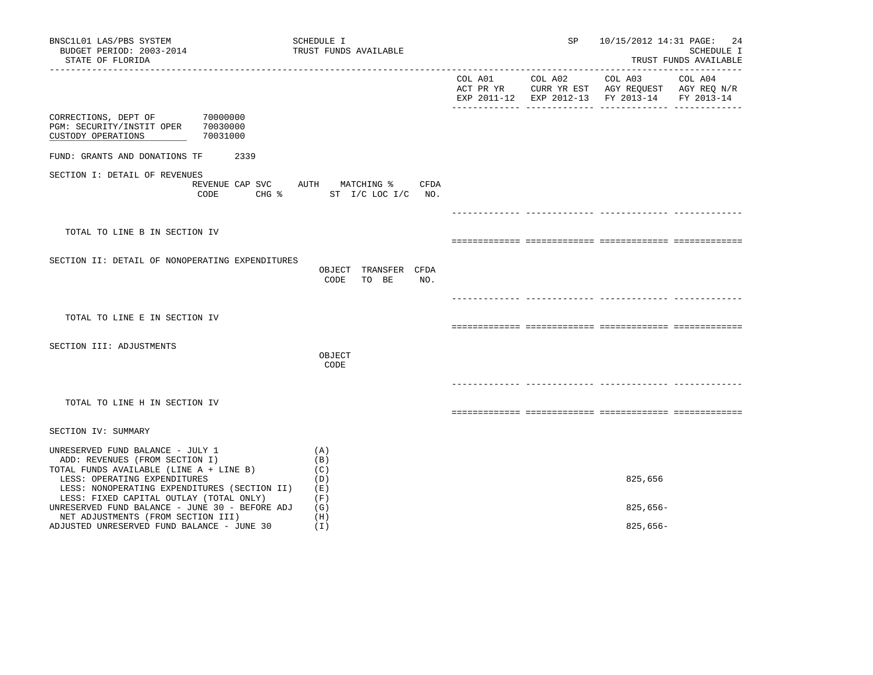| BNSC1L01 LAS/PBS SYSTEM<br>BUDGET PERIOD: 2003-2014<br>STATE OF FLORIDA                                                                                                                       | SCHEDULE I<br>TRUST FUNDS AVAILABLE                              | SP | 10/15/2012 14:31 PAGE: 24                                                                                                                                                                                                                                                              | SCHEDULE I<br>TRUST FUNDS AVAILABLE |
|-----------------------------------------------------------------------------------------------------------------------------------------------------------------------------------------------|------------------------------------------------------------------|----|----------------------------------------------------------------------------------------------------------------------------------------------------------------------------------------------------------------------------------------------------------------------------------------|-------------------------------------|
|                                                                                                                                                                                               |                                                                  |    | $\begin{tabular}{lllllllllll} \multicolumn{2}{l}{{\text{COL A02}}} & \multicolumn{2}{c}{\text{COL A03}} & \multicolumn{2}{c}{\text{COL A04}} \end{tabular}$<br>ACT PR YR $\,$ CURR YR EST $\,$ AGY REQUEST $\,$ AGY REQ $\,$ N/R $\,$<br>EXP 2011-12 EXP 2012-13 FY 2013-14 FY 2013-14 |                                     |
| CORRECTIONS, DEPT OF 70000000<br>PGM: SECURITY/INSTIT OPER 70030000<br>CUSTODY OPERATIONS<br>70031000                                                                                         |                                                                  |    |                                                                                                                                                                                                                                                                                        |                                     |
| FUND: GRANTS AND DONATIONS TF<br>2339                                                                                                                                                         |                                                                  |    |                                                                                                                                                                                                                                                                                        |                                     |
| SECTION I: DETAIL OF REVENUES<br>CODE                                                                                                                                                         | REVENUE CAP SVC AUTH MATCHING % CFDA<br>CHG % ST I/C LOC I/C NO. |    |                                                                                                                                                                                                                                                                                        |                                     |
|                                                                                                                                                                                               |                                                                  |    |                                                                                                                                                                                                                                                                                        |                                     |
| TOTAL TO LINE B IN SECTION IV                                                                                                                                                                 |                                                                  |    |                                                                                                                                                                                                                                                                                        |                                     |
| SECTION II: DETAIL OF NONOPERATING EXPENDITURES                                                                                                                                               | OBJECT TRANSFER CFDA<br>CODE<br>TO BE<br>NO.                     |    |                                                                                                                                                                                                                                                                                        |                                     |
| TOTAL TO LINE E IN SECTION IV                                                                                                                                                                 |                                                                  |    |                                                                                                                                                                                                                                                                                        |                                     |
| SECTION III: ADJUSTMENTS                                                                                                                                                                      |                                                                  |    |                                                                                                                                                                                                                                                                                        |                                     |
|                                                                                                                                                                                               | OBJECT<br>CODE                                                   |    |                                                                                                                                                                                                                                                                                        |                                     |
|                                                                                                                                                                                               |                                                                  |    |                                                                                                                                                                                                                                                                                        |                                     |
| TOTAL TO LINE H IN SECTION IV                                                                                                                                                                 |                                                                  |    |                                                                                                                                                                                                                                                                                        |                                     |
| SECTION IV: SUMMARY                                                                                                                                                                           |                                                                  |    |                                                                                                                                                                                                                                                                                        |                                     |
| UNRESERVED FUND BALANCE - JULY 1<br>ADD: REVENUES (FROM SECTION I)<br>TOTAL FUNDS AVAILABLE (LINE A + LINE B)<br>LESS: OPERATING EXPENDITURES<br>LESS: NONOPERATING EXPENDITURES (SECTION II) | (A)<br>(B)<br>(C)<br>(D)<br>(E)                                  |    | 825,656                                                                                                                                                                                                                                                                                |                                     |
| LESS: FIXED CAPITAL OUTLAY (TOTAL ONLY)<br>UNRESERVED FUND BALANCE - JUNE 30 - BEFORE ADJ                                                                                                     | (F)<br>(G)                                                       |    | $825,656-$                                                                                                                                                                                                                                                                             |                                     |
| NET ADJUSTMENTS (FROM SECTION III)<br>ADJUSTED UNRESERVED FUND BALANCE - JUNE 30                                                                                                              | (H)<br>(I)                                                       |    | $825,656-$                                                                                                                                                                                                                                                                             |                                     |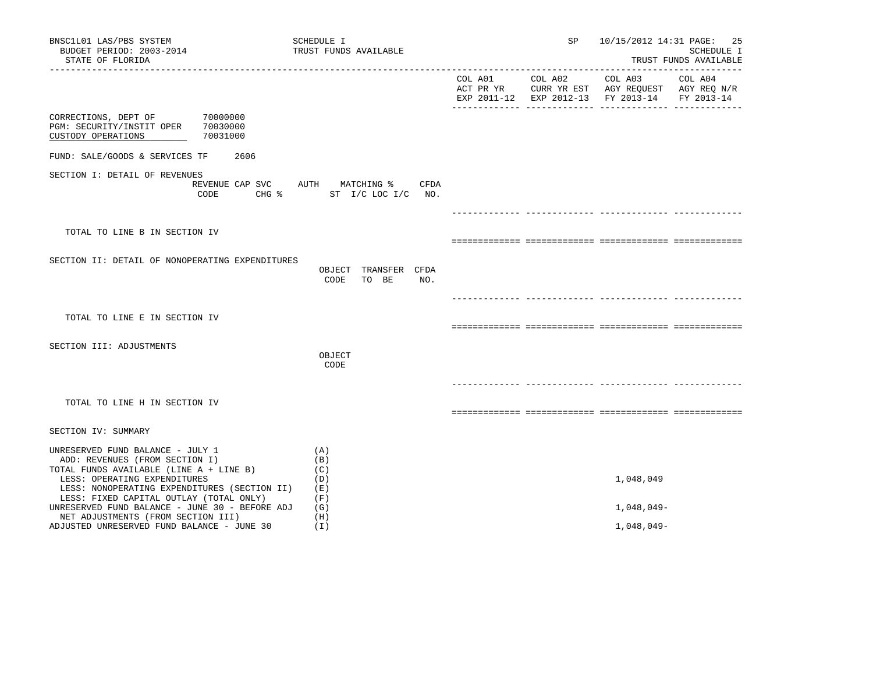| BNSC1L01 LAS/PBS SYSTEM<br>BUDGET PERIOD: 2003-2014<br>STATE OF FLORIDA                                                                                                                       |          | SCHEDULE I<br>TRUST FUNDS AVAILABLE                              | SP |                                                                                                                                                                                                                                                               | 10/15/2012 14:31 PAGE: 25<br>SCHEDULE I<br>TRUST FUNDS AVAILABLE |
|-----------------------------------------------------------------------------------------------------------------------------------------------------------------------------------------------|----------|------------------------------------------------------------------|----|---------------------------------------------------------------------------------------------------------------------------------------------------------------------------------------------------------------------------------------------------------------|------------------------------------------------------------------|
|                                                                                                                                                                                               |          |                                                                  |    | $\begin{tabular}{lllllllllll} \multicolumn{2}{l}{{\text{COL A02}}} & \multicolumn{2}{c}{\text{COL A03}} & \multicolumn{2}{c}{\text{COL A04}} \end{tabular}$<br>ACT PR YR CURR YR EST AGY REQUEST AGY REQ N/R<br>EXP 2011-12 EXP 2012-13 FY 2013-14 FY 2013-14 |                                                                  |
| CORRECTIONS, DEPT OF 70000000<br>PGM: SECURITY/INSTIT OPER 70030000<br>CUSTODY OPERATIONS                                                                                                     | 70031000 |                                                                  |    |                                                                                                                                                                                                                                                               |                                                                  |
| FUND: SALE/GOODS & SERVICES TF                                                                                                                                                                | 2606     |                                                                  |    |                                                                                                                                                                                                                                                               |                                                                  |
| SECTION I: DETAIL OF REVENUES                                                                                                                                                                 | CODE     | REVENUE CAP SVC AUTH MATCHING % CFDA<br>CHG % ST I/C LOC I/C NO. |    |                                                                                                                                                                                                                                                               |                                                                  |
|                                                                                                                                                                                               |          |                                                                  |    |                                                                                                                                                                                                                                                               |                                                                  |
| TOTAL TO LINE B IN SECTION IV                                                                                                                                                                 |          |                                                                  |    |                                                                                                                                                                                                                                                               |                                                                  |
| SECTION II: DETAIL OF NONOPERATING EXPENDITURES                                                                                                                                               |          | OBJECT TRANSFER CFDA<br>CODE<br>TO BE<br>NO.                     |    |                                                                                                                                                                                                                                                               |                                                                  |
| TOTAL TO LINE E IN SECTION IV                                                                                                                                                                 |          |                                                                  |    |                                                                                                                                                                                                                                                               |                                                                  |
| SECTION III: ADJUSTMENTS                                                                                                                                                                      |          | OBJECT<br>CODE                                                   |    |                                                                                                                                                                                                                                                               |                                                                  |
| TOTAL TO LINE H IN SECTION IV                                                                                                                                                                 |          |                                                                  |    |                                                                                                                                                                                                                                                               |                                                                  |
| SECTION IV: SUMMARY                                                                                                                                                                           |          |                                                                  |    |                                                                                                                                                                                                                                                               |                                                                  |
| UNRESERVED FUND BALANCE - JULY 1<br>ADD: REVENUES (FROM SECTION I)<br>TOTAL FUNDS AVAILABLE (LINE A + LINE B)<br>LESS: OPERATING EXPENDITURES<br>LESS: NONOPERATING EXPENDITURES (SECTION II) |          | (A)<br>(B)<br>(C)<br>(D)<br>( E )                                |    | 1,048,049                                                                                                                                                                                                                                                     |                                                                  |
| LESS: FIXED CAPITAL OUTLAY (TOTAL ONLY)<br>UNRESERVED FUND BALANCE - JUNE 30 - BEFORE ADJ                                                                                                     |          | (F)<br>(G)                                                       |    | 1,048,049-                                                                                                                                                                                                                                                    |                                                                  |
| NET ADJUSTMENTS (FROM SECTION III)<br>ADJUSTED UNRESERVED FUND BALANCE - JUNE 30                                                                                                              |          | (H)<br>(I)                                                       |    | 1,048,049-                                                                                                                                                                                                                                                    |                                                                  |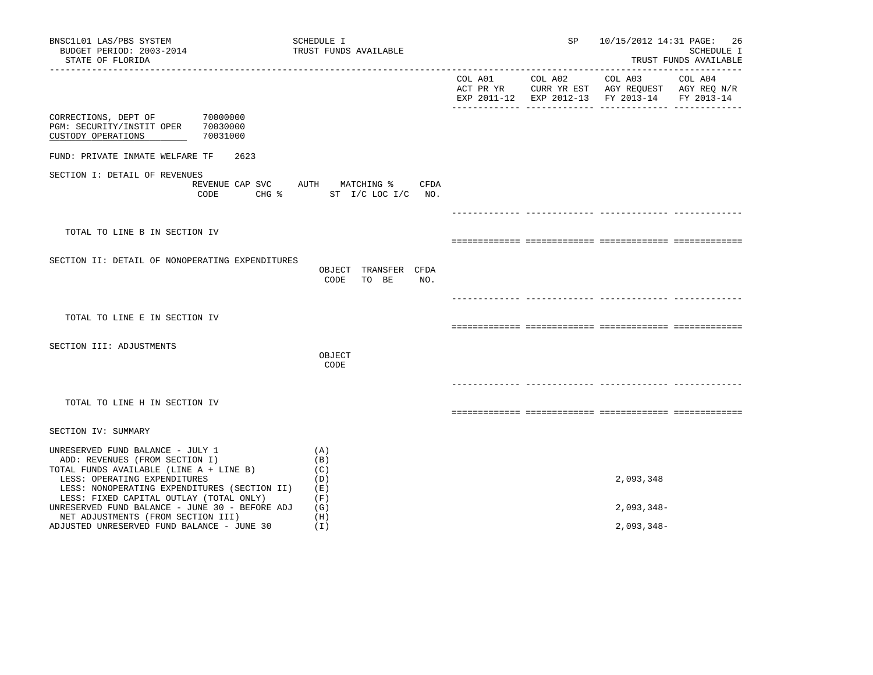| BNSC1L01 LAS/PBS SYSTEM<br>BUDGET PERIOD: 2003-2014<br>STATE OF FLORIDA                                                                                                                       | SCHEDULE I<br>TRUST FUNDS AVAILABLE                                 | SP              |                                                                                                                   | 10/15/2012 14:31 PAGE: 26<br>SCHEDULE I<br>TRUST FUNDS AVAILABLE |
|-----------------------------------------------------------------------------------------------------------------------------------------------------------------------------------------------|---------------------------------------------------------------------|-----------------|-------------------------------------------------------------------------------------------------------------------|------------------------------------------------------------------|
|                                                                                                                                                                                               |                                                                     | COL A01 COL A02 | COL A03 COL A04<br>ACT PR YR CURR YR EST AGY REQUEST AGY REQ N/R<br>EXP 2011-12 EXP 2012-13 FY 2013-14 FY 2013-14 |                                                                  |
| CORRECTIONS, DEPT OF 70000000<br>PGM: SECURITY/INSTIT OPER 70030000<br>CUSTODY OPERATIONS<br>70031000                                                                                         |                                                                     |                 |                                                                                                                   |                                                                  |
| FUND: PRIVATE INMATE WELFARE TF<br>2623                                                                                                                                                       |                                                                     |                 |                                                                                                                   |                                                                  |
| SECTION I: DETAIL OF REVENUES<br>CODE                                                                                                                                                         | REVENUE CAP SVC AUTH MATCHING %<br>CFDA<br>CHG % ST I/C LOC I/C NO. |                 |                                                                                                                   |                                                                  |
|                                                                                                                                                                                               |                                                                     |                 |                                                                                                                   |                                                                  |
| TOTAL TO LINE B IN SECTION IV                                                                                                                                                                 |                                                                     |                 |                                                                                                                   |                                                                  |
| SECTION II: DETAIL OF NONOPERATING EXPENDITURES                                                                                                                                               | OBJECT TRANSFER CFDA<br>CODE<br>TO BE<br>NO.                        |                 |                                                                                                                   |                                                                  |
|                                                                                                                                                                                               |                                                                     |                 |                                                                                                                   |                                                                  |
| TOTAL TO LINE E IN SECTION IV                                                                                                                                                                 |                                                                     |                 |                                                                                                                   |                                                                  |
| SECTION III: ADJUSTMENTS                                                                                                                                                                      | OBJECT<br>CODE                                                      |                 |                                                                                                                   |                                                                  |
|                                                                                                                                                                                               |                                                                     |                 |                                                                                                                   |                                                                  |
| TOTAL TO LINE H IN SECTION IV                                                                                                                                                                 |                                                                     |                 |                                                                                                                   |                                                                  |
| SECTION IV: SUMMARY                                                                                                                                                                           |                                                                     |                 |                                                                                                                   |                                                                  |
| UNRESERVED FUND BALANCE - JULY 1<br>ADD: REVENUES (FROM SECTION I)<br>TOTAL FUNDS AVAILABLE (LINE A + LINE B)<br>LESS: OPERATING EXPENDITURES<br>LESS: NONOPERATING EXPENDITURES (SECTION II) | (A)<br>(B)<br>(C)<br>(D)<br>(E)                                     |                 | 2,093,348                                                                                                         |                                                                  |
| LESS: FIXED CAPITAL OUTLAY (TOTAL ONLY)<br>UNRESERVED FUND BALANCE - JUNE 30 - BEFORE ADJ                                                                                                     | (F)<br>(G)                                                          |                 | $2,093,348-$                                                                                                      |                                                                  |
| NET ADJUSTMENTS (FROM SECTION III)<br>ADJUSTED UNRESERVED FUND BALANCE - JUNE 30                                                                                                              | (H)<br>(I)                                                          |                 | $2,093,348-$                                                                                                      |                                                                  |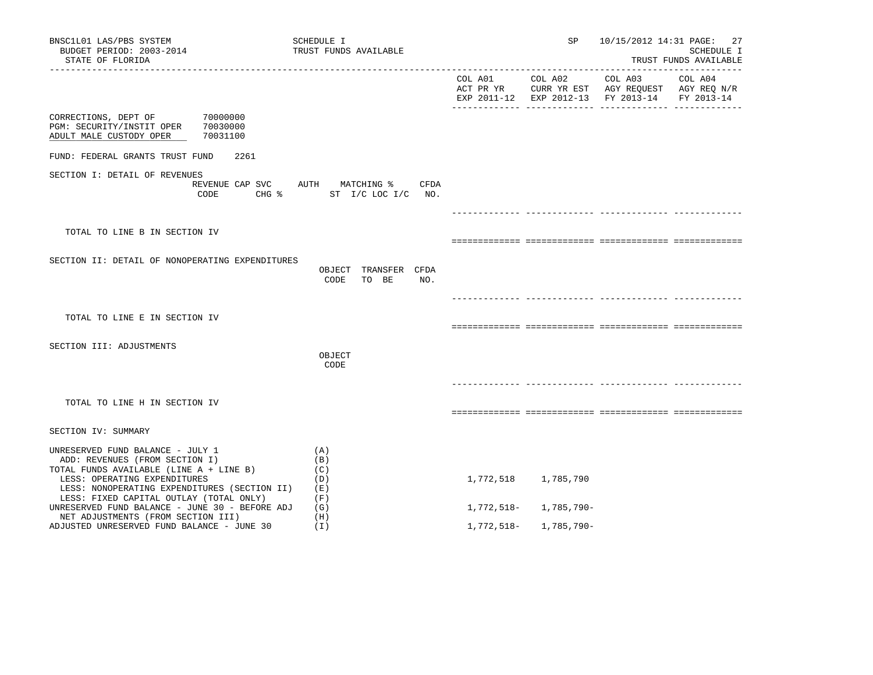| BNSC1L01 LAS/PBS SYSTEM<br>BUDGET PERIOD: 2003-2014<br>STATE OF FLORIDA                                                                                                                       | SCHEDULE I<br>TRUST FUNDS AVAILABLE                                             |            | SP                    | 10/15/2012 14:31 PAGE:                                                                         | 27<br>SCHEDULE I<br>TRUST FUNDS AVAILABLE |
|-----------------------------------------------------------------------------------------------------------------------------------------------------------------------------------------------|---------------------------------------------------------------------------------|------------|-----------------------|------------------------------------------------------------------------------------------------|-------------------------------------------|
|                                                                                                                                                                                               |                                                                                 |            | COL A01 COL A02       | COL A03<br>ACT PR YR CURR YR EST AGY REQUEST AGY REQ N/R<br>EXP 2011-12 EXP 2012-13 FY 2013-14 | COL A04<br>FY 2013-14                     |
| CORRECTIONS, DEPT OF<br>70000000<br>PGM: SECURITY/INSTIT OPER<br>70030000<br>ADULT MALE CUSTODY OPER<br>70031100                                                                              |                                                                                 |            |                       |                                                                                                |                                           |
| FUND: FEDERAL GRANTS TRUST FUND<br>2261                                                                                                                                                       |                                                                                 |            |                       |                                                                                                |                                           |
| SECTION I: DETAIL OF REVENUES<br>CODE                                                                                                                                                         | REVENUE CAP SVC AUTH MATCHING %<br>CFDA<br>CHG $\frac{1}{2}$ ST I/C LOC I/C NO. |            |                       |                                                                                                |                                           |
|                                                                                                                                                                                               |                                                                                 |            |                       |                                                                                                |                                           |
| TOTAL TO LINE B IN SECTION IV                                                                                                                                                                 |                                                                                 |            |                       |                                                                                                |                                           |
| SECTION II: DETAIL OF NONOPERATING EXPENDITURES                                                                                                                                               | OBJECT TRANSFER CFDA<br>CODE<br>TO BE<br>NO.                                    |            |                       |                                                                                                |                                           |
|                                                                                                                                                                                               |                                                                                 |            |                       |                                                                                                |                                           |
| TOTAL TO LINE E IN SECTION IV                                                                                                                                                                 |                                                                                 |            |                       |                                                                                                |                                           |
| SECTION III: ADJUSTMENTS                                                                                                                                                                      | OBJECT<br>CODE                                                                  |            |                       |                                                                                                |                                           |
|                                                                                                                                                                                               |                                                                                 |            |                       |                                                                                                |                                           |
| TOTAL TO LINE H IN SECTION IV                                                                                                                                                                 |                                                                                 |            |                       |                                                                                                |                                           |
| SECTION IV: SUMMARY                                                                                                                                                                           |                                                                                 |            |                       |                                                                                                |                                           |
| UNRESERVED FUND BALANCE - JULY 1<br>ADD: REVENUES (FROM SECTION I)<br>TOTAL FUNDS AVAILABLE (LINE A + LINE B)<br>LESS: OPERATING EXPENDITURES<br>LESS: NONOPERATING EXPENDITURES (SECTION II) | (A)<br>(B)<br>(C)<br>(D)<br>(E)                                                 |            | 1,772,518 1,785,790   |                                                                                                |                                           |
| LESS: FIXED CAPITAL OUTLAY (TOTAL ONLY)<br>UNRESERVED FUND BALANCE - JUNE 30 - BEFORE ADJ                                                                                                     | (F)<br>(G)                                                                      |            | 1,772,518- 1,785,790- |                                                                                                |                                           |
| NET ADJUSTMENTS (FROM SECTION III)<br>ADJUSTED UNRESERVED FUND BALANCE - JUNE 30                                                                                                              | (H)<br>(I)                                                                      | 1,772,518– | 1,785,790-            |                                                                                                |                                           |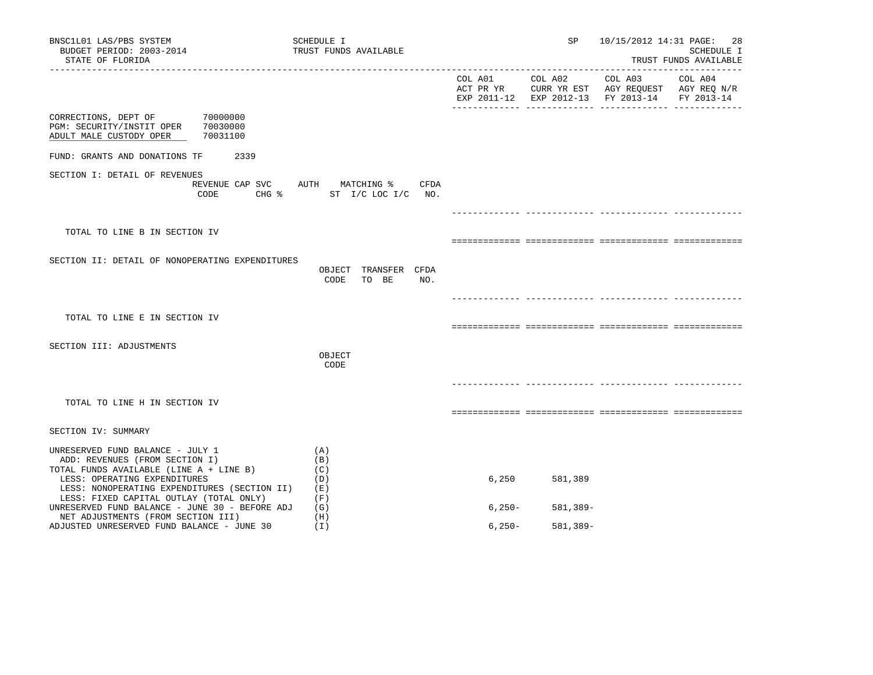| BNSC1L01 LAS/PBS SYSTEM<br>BUDGET PERIOD: 2003-2014<br>STATE OF FLORIDA                                                 | SCHEDULE I<br>TRUST FUNDS AVAILABLE                 |          | SP              | 10/15/2012 14:31 PAGE:                                                                                    | 28<br>SCHEDULE I<br>TRUST FUNDS AVAILABLE |
|-------------------------------------------------------------------------------------------------------------------------|-----------------------------------------------------|----------|-----------------|-----------------------------------------------------------------------------------------------------------|-------------------------------------------|
|                                                                                                                         |                                                     |          | COL A01 COL A02 | COL A03<br>ACT PR YR CURR YR EST AGY REQUEST AGY REQ N/R<br>EXP 2011-12 EXP 2012-13 FY 2013-14 FY 2013-14 | COL A04                                   |
| 70000000<br>CORRECTIONS, DEPT OF<br>PGM: SECURITY/INSTIT OPER<br>70030000<br>70031100<br>ADULT MALE CUSTODY OPER        |                                                     |          |                 |                                                                                                           |                                           |
| FUND: GRANTS AND DONATIONS TF<br>2339                                                                                   |                                                     |          |                 |                                                                                                           |                                           |
| SECTION I: DETAIL OF REVENUES<br>REVENUE CAP SVC<br>CODE                                                                | AUTH MATCHING %<br>CFDA<br>CHG % ST I/C LOC I/C NO. |          |                 |                                                                                                           |                                           |
|                                                                                                                         |                                                     |          |                 |                                                                                                           |                                           |
| TOTAL TO LINE B IN SECTION IV                                                                                           |                                                     |          |                 |                                                                                                           |                                           |
| SECTION II: DETAIL OF NONOPERATING EXPENDITURES                                                                         | OBJECT TRANSFER CFDA<br>TO BE<br>NO.<br>CODE        |          |                 |                                                                                                           |                                           |
|                                                                                                                         |                                                     |          |                 |                                                                                                           |                                           |
| TOTAL TO LINE E IN SECTION IV                                                                                           |                                                     |          |                 |                                                                                                           |                                           |
| SECTION III: ADJUSTMENTS                                                                                                |                                                     |          |                 |                                                                                                           |                                           |
|                                                                                                                         | OBJECT<br>CODE                                      |          |                 |                                                                                                           |                                           |
|                                                                                                                         |                                                     |          |                 |                                                                                                           |                                           |
| TOTAL TO LINE H IN SECTION IV                                                                                           |                                                     |          |                 |                                                                                                           |                                           |
| SECTION IV: SUMMARY                                                                                                     |                                                     |          |                 |                                                                                                           |                                           |
| UNRESERVED FUND BALANCE - JULY 1<br>ADD: REVENUES (FROM SECTION I)<br>TOTAL FUNDS AVAILABLE (LINE A + LINE B)           | (A)<br>(B)<br>(C)                                   |          |                 |                                                                                                           |                                           |
| LESS: OPERATING EXPENDITURES<br>LESS: NONOPERATING EXPENDITURES (SECTION II)<br>LESS: FIXED CAPITAL OUTLAY (TOTAL ONLY) | (D)<br>(E)<br>(F)                                   | 6,250    | 581,389         |                                                                                                           |                                           |
| UNRESERVED FUND BALANCE - JUNE 30 - BEFORE ADJ<br>NET ADJUSTMENTS (FROM SECTION III)                                    | (G)<br>(H)                                          | $6,250-$ | 581,389-        |                                                                                                           |                                           |
| ADJUSTED UNRESERVED FUND BALANCE - JUNE 30                                                                              | (I)                                                 | $6,250-$ | 581,389-        |                                                                                                           |                                           |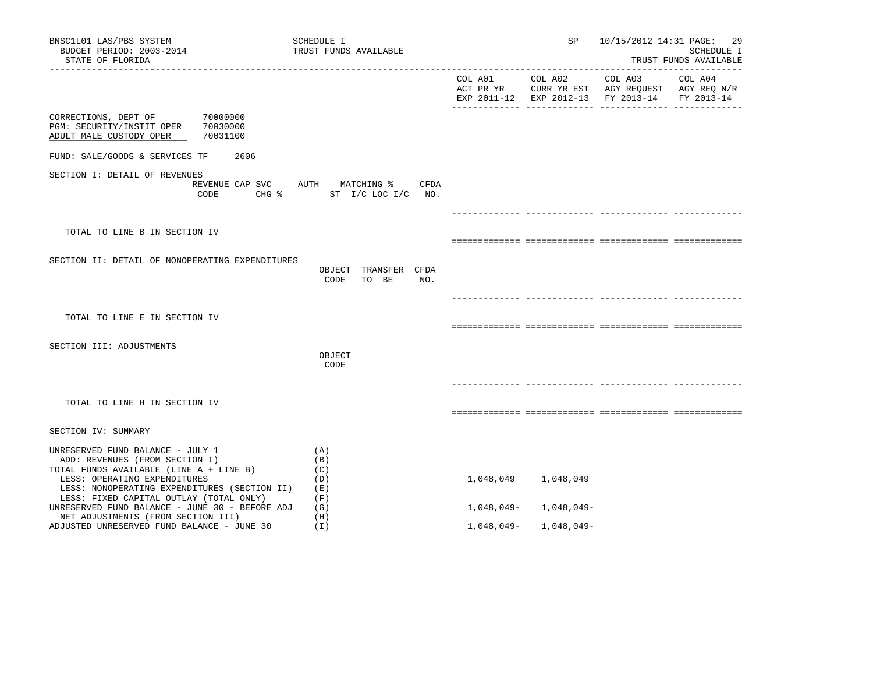| BNSC1L01 LAS/PBS SYSTEM<br>BUDGET PERIOD: 2003-2014<br>STATE OF FLORIDA                                                                                                                       | SCHEDULE I<br>TRUST FUNDS AVAILABLE                                             |            | SP                     | 10/15/2012 14:31 PAGE:                                                                                    | -29<br>SCHEDULE I<br>TRUST FUNDS AVAILABLE |
|-----------------------------------------------------------------------------------------------------------------------------------------------------------------------------------------------|---------------------------------------------------------------------------------|------------|------------------------|-----------------------------------------------------------------------------------------------------------|--------------------------------------------|
|                                                                                                                                                                                               |                                                                                 |            | COL A01 COL A02        | COL A03<br>ACT PR YR CURR YR EST AGY REQUEST AGY REQ N/R<br>EXP 2011-12 EXP 2012-13 FY 2013-14 FY 2013-14 | COL A04                                    |
| CORRECTIONS, DEPT OF<br>70000000<br>PGM: SECURITY/INSTIT OPER<br>70030000<br>ADULT MALE CUSTODY OPER<br>70031100                                                                              |                                                                                 |            |                        |                                                                                                           |                                            |
| FUND: SALE/GOODS & SERVICES TF<br>2606                                                                                                                                                        |                                                                                 |            |                        |                                                                                                           |                                            |
| SECTION I: DETAIL OF REVENUES<br>CODE                                                                                                                                                         | REVENUE CAP SVC AUTH MATCHING %<br>CFDA<br>CHG $\frac{1}{2}$ ST I/C LOC I/C NO. |            |                        |                                                                                                           |                                            |
|                                                                                                                                                                                               |                                                                                 |            |                        |                                                                                                           |                                            |
| TOTAL TO LINE B IN SECTION IV                                                                                                                                                                 |                                                                                 |            |                        |                                                                                                           |                                            |
| SECTION II: DETAIL OF NONOPERATING EXPENDITURES                                                                                                                                               | OBJECT TRANSFER CFDA<br>CODE<br>TO BE<br>NO.                                    |            |                        |                                                                                                           |                                            |
|                                                                                                                                                                                               |                                                                                 |            |                        |                                                                                                           |                                            |
| TOTAL TO LINE E IN SECTION IV                                                                                                                                                                 |                                                                                 |            |                        |                                                                                                           |                                            |
| SECTION III: ADJUSTMENTS                                                                                                                                                                      |                                                                                 |            |                        |                                                                                                           |                                            |
|                                                                                                                                                                                               | OBJECT<br>CODE                                                                  |            |                        |                                                                                                           |                                            |
|                                                                                                                                                                                               |                                                                                 |            |                        |                                                                                                           |                                            |
| TOTAL TO LINE H IN SECTION IV                                                                                                                                                                 |                                                                                 |            |                        |                                                                                                           |                                            |
| SECTION IV: SUMMARY                                                                                                                                                                           |                                                                                 |            |                        |                                                                                                           |                                            |
| UNRESERVED FUND BALANCE - JULY 1<br>ADD: REVENUES (FROM SECTION I)<br>TOTAL FUNDS AVAILABLE (LINE A + LINE B)<br>LESS: OPERATING EXPENDITURES<br>LESS: NONOPERATING EXPENDITURES (SECTION II) | (A)<br>(B)<br>(C)<br>(D)<br>(E)                                                 |            | 1,048,049 1,048,049    |                                                                                                           |                                            |
| LESS: FIXED CAPITAL OUTLAY (TOTAL ONLY)<br>UNRESERVED FUND BALANCE - JUNE 30 - BEFORE ADJ                                                                                                     | (F)<br>(G)                                                                      |            | $1,048,049-1,048,049-$ |                                                                                                           |                                            |
| NET ADJUSTMENTS (FROM SECTION III)<br>ADJUSTED UNRESERVED FUND BALANCE - JUNE 30                                                                                                              | (H)<br>(I)                                                                      | 1,048,049- | 1,048,049-             |                                                                                                           |                                            |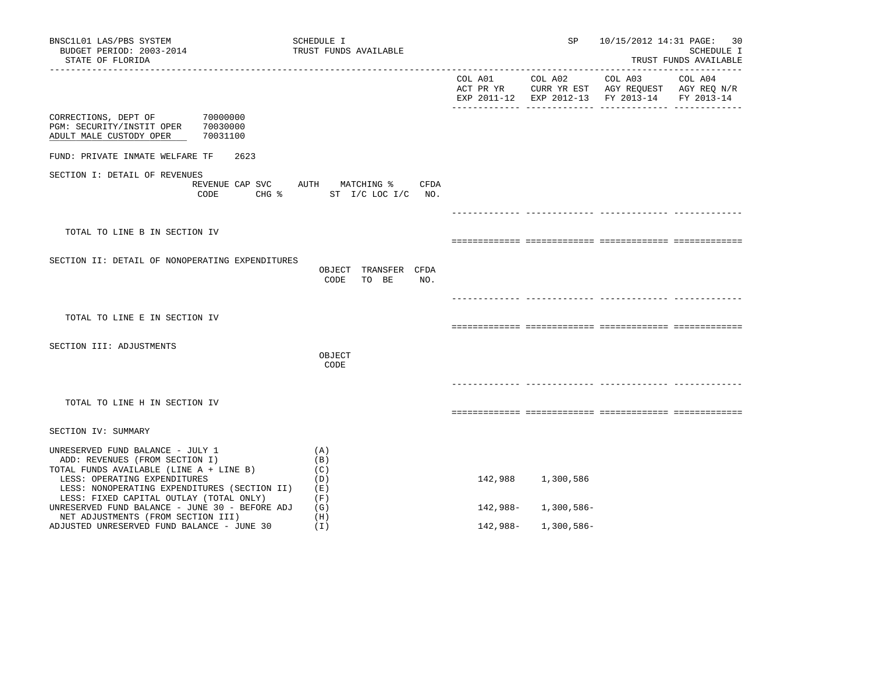| BNSC1L01 LAS/PBS SYSTEM<br>BUDGET PERIOD: 2003-2014<br>STATE OF FLORIDA<br>------------------                                                 | SCHEDULE I<br>TRUST FUNDS AVAILABLE                             |                      | SP                       | 10/15/2012 14:31 PAGE:             | 30<br>SCHEDULE I<br>TRUST FUNDS AVAILABLE |
|-----------------------------------------------------------------------------------------------------------------------------------------------|-----------------------------------------------------------------|----------------------|--------------------------|------------------------------------|-------------------------------------------|
|                                                                                                                                               |                                                                 |                      |                          | EXP 2011-12 EXP 2012-13 FY 2013-14 | FY 2013-14                                |
| 70000000<br>CORRECTIONS, DEPT OF<br>PGM: SECURITY/INSTIT OPER<br>70030000<br>ADULT MALE CUSTODY OPER<br>70031100                              |                                                                 |                      |                          |                                    |                                           |
| FUND: PRIVATE INMATE WELFARE TF<br>2623                                                                                                       |                                                                 |                      |                          |                                    |                                           |
| SECTION I: DETAIL OF REVENUES<br>REVENUE CAP SVC<br>CODE                                                                                      | AUTH MATCHING %<br>CFDA<br>CHG $\frac{1}{2}$ ST I/C LOC I/C NO. |                      |                          |                                    |                                           |
|                                                                                                                                               |                                                                 |                      |                          |                                    |                                           |
| TOTAL TO LINE B IN SECTION IV                                                                                                                 |                                                                 |                      |                          |                                    |                                           |
| SECTION II: DETAIL OF NONOPERATING EXPENDITURES                                                                                               | OBJECT TRANSFER CFDA<br>TO BE<br>CODE<br>NO.                    |                      |                          |                                    |                                           |
| TOTAL TO LINE E IN SECTION IV                                                                                                                 |                                                                 |                      |                          |                                    |                                           |
|                                                                                                                                               |                                                                 |                      |                          |                                    |                                           |
| SECTION III: ADJUSTMENTS                                                                                                                      | OBJECT<br>CODE                                                  |                      |                          |                                    |                                           |
| TOTAL TO LINE H IN SECTION IV                                                                                                                 |                                                                 |                      |                          |                                    |                                           |
| SECTION IV: SUMMARY                                                                                                                           |                                                                 |                      |                          |                                    |                                           |
| UNRESERVED FUND BALANCE - JULY 1<br>ADD: REVENUES (FROM SECTION I)<br>TOTAL FUNDS AVAILABLE (LINE A + LINE B)<br>LESS: OPERATING EXPENDITURES | (A)<br>(B)<br>(C)<br>(D)                                        | 142,988              | 1,300,586                |                                    |                                           |
| LESS: NONOPERATING EXPENDITURES (SECTION II)<br>LESS: FIXED CAPITAL OUTLAY (TOTAL ONLY)                                                       | (E)<br>(F)                                                      |                      |                          |                                    |                                           |
| UNRESERVED FUND BALANCE - JUNE 30 - BEFORE ADJ<br>NET ADJUSTMENTS (FROM SECTION III)<br>ADJUSTED UNRESERVED FUND BALANCE - JUNE 30            | (G)<br>(H)<br>(I)                                               | 142,988-<br>142,988- | 1,300,586-<br>1,300,586- |                                    |                                           |
|                                                                                                                                               |                                                                 |                      |                          |                                    |                                           |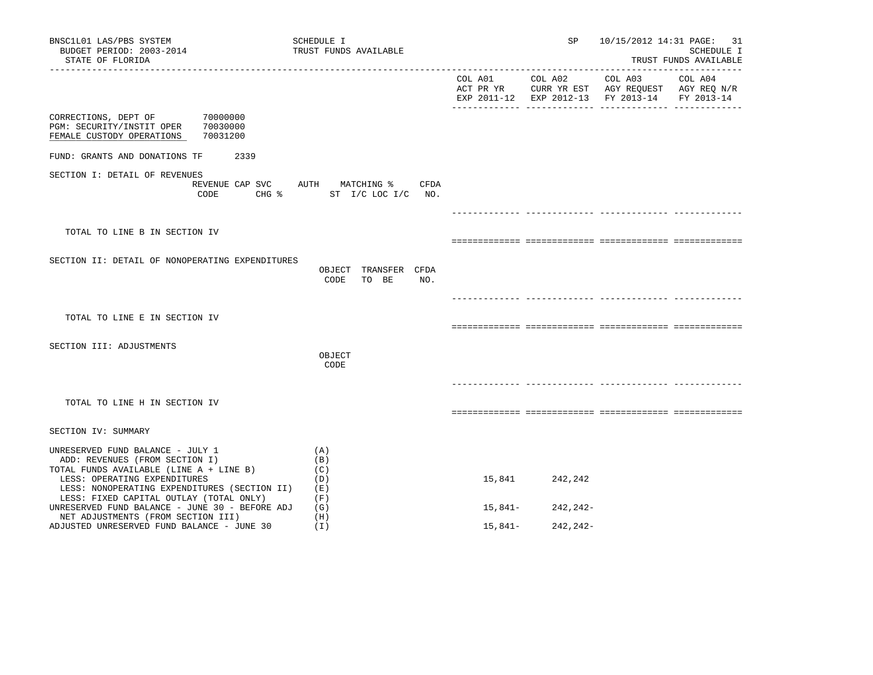| BNSC1L01 LAS/PBS SYSTEM<br>BUDGET PERIOD: 2003-2014<br>STATE OF FLORIDA                                                 | SCHEDULE I<br>TRUST FUNDS AVAILABLE                                 |         | SP.             |                                                                                                | 10/15/2012 14:31 PAGE: 31<br><b>SCHEDULE I</b><br>TRUST FUNDS AVAILABLE |
|-------------------------------------------------------------------------------------------------------------------------|---------------------------------------------------------------------|---------|-----------------|------------------------------------------------------------------------------------------------|-------------------------------------------------------------------------|
|                                                                                                                         |                                                                     |         | COL A01 COL A02 | COL A03<br>ACT PR YR CURR YR EST AGY REQUEST AGY REQ N/R<br>EXP 2011-12 EXP 2012-13 FY 2013-14 | COL A04<br>FY 2013-14                                                   |
| 70000000<br>CORRECTIONS, DEPT OF<br>PGM: SECURITY/INSTIT OPER<br>70030000<br>FEMALE CUSTODY OPERATIONS<br>70031200      |                                                                     |         |                 |                                                                                                |                                                                         |
| FUND: GRANTS AND DONATIONS TF<br>2339                                                                                   |                                                                     |         |                 |                                                                                                |                                                                         |
| SECTION I: DETAIL OF REVENUES<br>CODE                                                                                   | REVENUE CAP SVC AUTH MATCHING %<br>CFDA<br>CHG % ST I/C LOC I/C NO. |         |                 |                                                                                                |                                                                         |
|                                                                                                                         |                                                                     |         |                 |                                                                                                |                                                                         |
| TOTAL TO LINE B IN SECTION IV                                                                                           |                                                                     |         |                 |                                                                                                |                                                                         |
| SECTION II: DETAIL OF NONOPERATING EXPENDITURES                                                                         | OBJECT TRANSFER CFDA<br>CODE<br>TO BE<br>NO.                        |         |                 |                                                                                                |                                                                         |
|                                                                                                                         |                                                                     |         |                 |                                                                                                |                                                                         |
| TOTAL TO LINE E IN SECTION IV                                                                                           |                                                                     |         |                 |                                                                                                |                                                                         |
| SECTION III: ADJUSTMENTS                                                                                                |                                                                     |         |                 |                                                                                                |                                                                         |
|                                                                                                                         | OBJECT<br>CODE                                                      |         |                 |                                                                                                |                                                                         |
|                                                                                                                         |                                                                     |         |                 |                                                                                                |                                                                         |
| TOTAL TO LINE H IN SECTION IV                                                                                           |                                                                     |         |                 |                                                                                                |                                                                         |
| SECTION IV: SUMMARY                                                                                                     |                                                                     |         |                 |                                                                                                |                                                                         |
| UNRESERVED FUND BALANCE - JULY 1<br>ADD: REVENUES (FROM SECTION I)<br>TOTAL FUNDS AVAILABLE (LINE A + LINE B)           | (A)<br>(B)<br>(C)                                                   |         |                 |                                                                                                |                                                                         |
| LESS: OPERATING EXPENDITURES<br>LESS: NONOPERATING EXPENDITURES (SECTION II)<br>LESS: FIXED CAPITAL OUTLAY (TOTAL ONLY) | (D)<br>(E)<br>(F)                                                   | 15,841  | 242,242         |                                                                                                |                                                                         |
| UNRESERVED FUND BALANCE - JUNE 30 - BEFORE ADJ<br>NET ADJUSTMENTS (FROM SECTION III)                                    | (G)<br>(H)                                                          | 15,841– | 242,242-        |                                                                                                |                                                                         |
| ADJUSTED UNRESERVED FUND BALANCE - JUNE 30                                                                              | (I)                                                                 | 15,841- | 242,242-        |                                                                                                |                                                                         |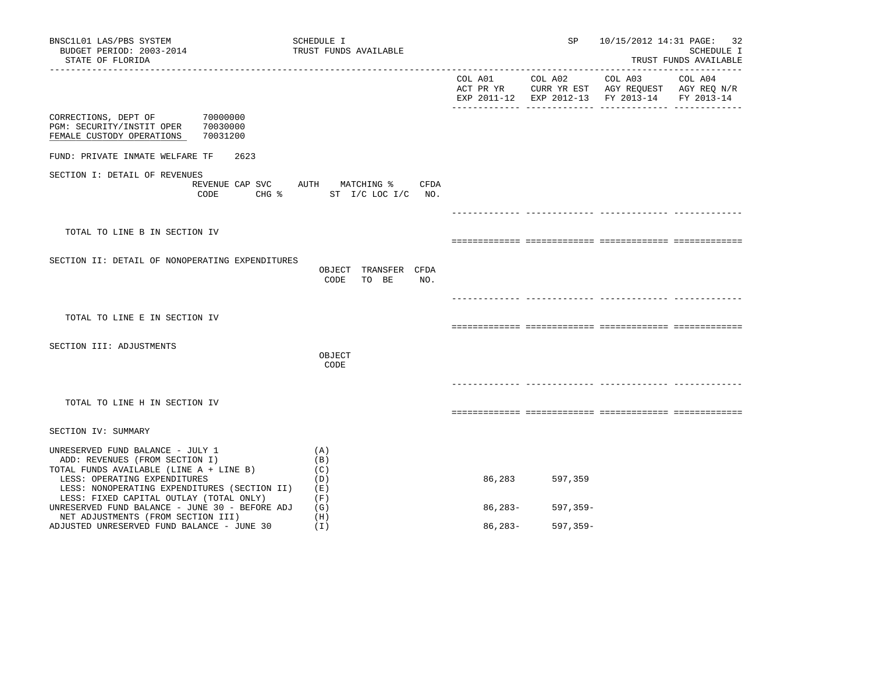| BNSC1L01 LAS/PBS SYSTEM<br>BUDGET PERIOD: 2003-2014<br>STATE OF FLORIDA                                                                                                                                                                  | SCHEDULE I<br>TRUST FUNDS AVAILABLE                           |                      | SP           |                                                                                                         | 10/15/2012 14:31 PAGE: 32<br>SCHEDULE I<br>TRUST FUNDS AVAILABLE |
|------------------------------------------------------------------------------------------------------------------------------------------------------------------------------------------------------------------------------------------|---------------------------------------------------------------|----------------------|--------------|---------------------------------------------------------------------------------------------------------|------------------------------------------------------------------|
|                                                                                                                                                                                                                                          |                                                               | COL A01<br>ACT PR YR | COL A02      | COL A03 COL A04<br>CURR YR EST AGY REQUEST AGY REQ N/R<br>EXP 2011-12 EXP 2012-13 FY 2013-14 FY 2013-14 |                                                                  |
| CORRECTIONS, DEPT OF<br>70000000<br>PGM: SECURITY/INSTIT OPER<br>70030000<br>70031200<br>FEMALE CUSTODY OPERATIONS                                                                                                                       |                                                               |                      |              |                                                                                                         |                                                                  |
| FUND: PRIVATE INMATE WELFARE TF<br>2623                                                                                                                                                                                                  |                                                               |                      |              |                                                                                                         |                                                                  |
| SECTION I: DETAIL OF REVENUES<br>CODE<br>$CHG$ $\approx$                                                                                                                                                                                 | REVENUE CAP SVC AUTH MATCHING %<br>CFDA<br>ST I/C LOC I/C NO. |                      |              |                                                                                                         |                                                                  |
|                                                                                                                                                                                                                                          |                                                               |                      |              |                                                                                                         |                                                                  |
| TOTAL TO LINE B IN SECTION IV                                                                                                                                                                                                            |                                                               |                      |              |                                                                                                         |                                                                  |
| SECTION II: DETAIL OF NONOPERATING EXPENDITURES                                                                                                                                                                                          | OBJECT TRANSFER CFDA<br>CODE<br>TO BE<br>NO.                  |                      |              |                                                                                                         |                                                                  |
|                                                                                                                                                                                                                                          |                                                               |                      |              |                                                                                                         |                                                                  |
| TOTAL TO LINE E IN SECTION IV                                                                                                                                                                                                            |                                                               |                      |              |                                                                                                         |                                                                  |
| SECTION III: ADJUSTMENTS                                                                                                                                                                                                                 |                                                               |                      |              |                                                                                                         |                                                                  |
|                                                                                                                                                                                                                                          | OBJECT<br>CODE                                                |                      |              |                                                                                                         |                                                                  |
|                                                                                                                                                                                                                                          |                                                               |                      |              |                                                                                                         |                                                                  |
| TOTAL TO LINE H IN SECTION IV                                                                                                                                                                                                            |                                                               |                      |              |                                                                                                         |                                                                  |
| SECTION IV: SUMMARY                                                                                                                                                                                                                      |                                                               |                      |              |                                                                                                         |                                                                  |
| UNRESERVED FUND BALANCE - JULY 1<br>ADD: REVENUES (FROM SECTION I)<br>TOTAL FUNDS AVAILABLE (LINE A + LINE B)<br>LESS: OPERATING EXPENDITURES<br>LESS: NONOPERATING EXPENDITURES (SECTION II)<br>LESS: FIXED CAPITAL OUTLAY (TOTAL ONLY) | (A)<br>(B)<br>(C)<br>(D)<br>(E)<br>(F)                        | 86,283               | 597,359      |                                                                                                         |                                                                  |
| UNRESERVED FUND BALANCE - JUNE 30 - BEFORE ADJ<br>NET ADJUSTMENTS (FROM SECTION III)                                                                                                                                                     | (G)                                                           | 86,283-              | 597,359-     |                                                                                                         |                                                                  |
| ADJUSTED UNRESERVED FUND BALANCE - JUNE 30                                                                                                                                                                                               | (H)<br>(I)                                                    | $86, 283 -$          | $597, 359 -$ |                                                                                                         |                                                                  |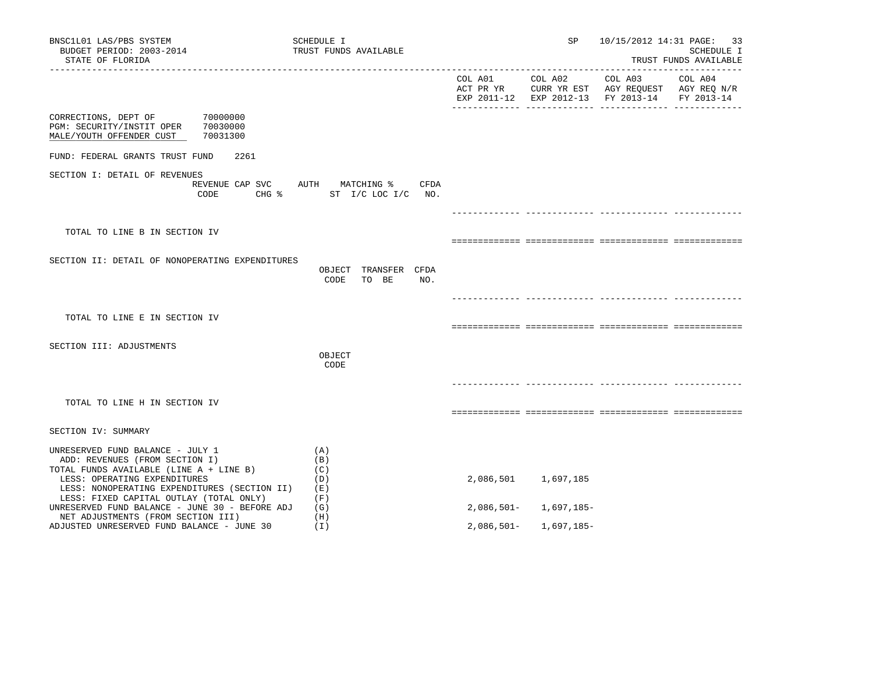| BNSC1L01 LAS/PBS SYSTEM<br>BUDGET PERIOD: 2003-2014<br>STATE OF FLORIDA                                                                                                                       | SCHEDULE I<br>TRUST FUNDS AVAILABLE                              |              | SP                        | 10/15/2012 14:31 PAGE: 33                     | SCHEDULE I<br>TRUST FUNDS AVAILABLE |
|-----------------------------------------------------------------------------------------------------------------------------------------------------------------------------------------------|------------------------------------------------------------------|--------------|---------------------------|-----------------------------------------------|-------------------------------------|
|                                                                                                                                                                                               |                                                                  |              |                           | EXP 2011-12 EXP 2012-13 FY 2013-14 FY 2013-14 |                                     |
| CORRECTIONS, DEPT OF 70000000<br>PGM: SECURITY/INSTIT OPER 70030000<br>MALE/YOUTH OFFENDER CUST<br>70031300                                                                                   |                                                                  |              |                           |                                               |                                     |
| FUND: FEDERAL GRANTS TRUST FUND<br>2261                                                                                                                                                       |                                                                  |              |                           |                                               |                                     |
| SECTION I: DETAIL OF REVENUES<br>CODE                                                                                                                                                         | REVENUE CAP SVC AUTH MATCHING % CFDA<br>CHG % ST I/C LOC I/C NO. |              |                           |                                               |                                     |
|                                                                                                                                                                                               |                                                                  |              |                           |                                               |                                     |
| TOTAL TO LINE B IN SECTION IV                                                                                                                                                                 |                                                                  |              |                           |                                               |                                     |
| SECTION II: DETAIL OF NONOPERATING EXPENDITURES                                                                                                                                               | OBJECT TRANSFER CFDA<br>CODE<br>TO BE<br>NO.                     |              |                           |                                               |                                     |
|                                                                                                                                                                                               |                                                                  |              |                           |                                               |                                     |
| TOTAL TO LINE E IN SECTION IV                                                                                                                                                                 |                                                                  |              |                           |                                               |                                     |
| SECTION III: ADJUSTMENTS                                                                                                                                                                      | OBJECT<br>CODE                                                   |              |                           |                                               |                                     |
|                                                                                                                                                                                               |                                                                  |              |                           |                                               |                                     |
| TOTAL TO LINE H IN SECTION IV                                                                                                                                                                 |                                                                  |              |                           |                                               |                                     |
| SECTION IV: SUMMARY                                                                                                                                                                           |                                                                  |              |                           |                                               |                                     |
| UNRESERVED FUND BALANCE - JULY 1<br>ADD: REVENUES (FROM SECTION I)<br>TOTAL FUNDS AVAILABLE (LINE A + LINE B)<br>LESS: OPERATING EXPENDITURES<br>LESS: NONOPERATING EXPENDITURES (SECTION II) | (A)<br>(B)<br>(C)<br>(D)<br>(E)                                  |              | 2,086,501 1,697,185       |                                               |                                     |
| LESS: FIXED CAPITAL OUTLAY (TOTAL ONLY)<br>UNRESERVED FUND BALANCE - JUNE 30 - BEFORE ADJ                                                                                                     | (F)<br>(G)                                                       |              | $2,086,501 - 1,697,185 -$ |                                               |                                     |
| NET ADJUSTMENTS (FROM SECTION III)<br>ADJUSTED UNRESERVED FUND BALANCE - JUNE 30                                                                                                              | (H)<br>(I)                                                       | $2,086,501-$ | 1,697,185-                |                                               |                                     |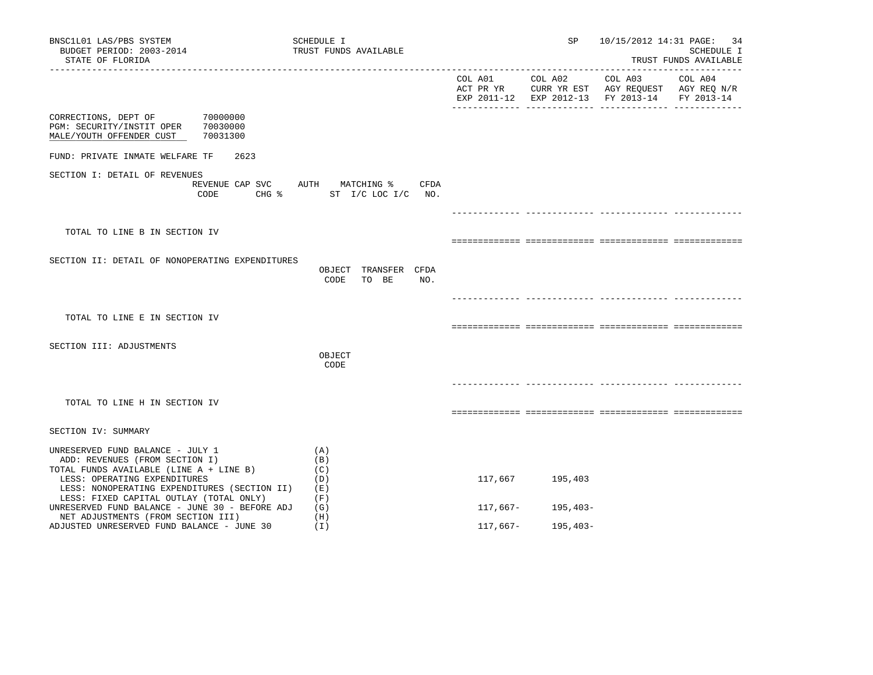| BNSC1L01 LAS/PBS SYSTEM<br>BUDGET PERIOD: 2003-2014<br>STATE OF FLORIDA                                                                                                                                                                  | SCHEDULE I<br>TRUST FUNDS AVAILABLE                              |          | SP                 | 10/15/2012 14:31 PAGE: 34                     | SCHEDULE I<br>TRUST FUNDS AVAILABLE |
|------------------------------------------------------------------------------------------------------------------------------------------------------------------------------------------------------------------------------------------|------------------------------------------------------------------|----------|--------------------|-----------------------------------------------|-------------------------------------|
|                                                                                                                                                                                                                                          |                                                                  |          |                    | EXP 2011-12 EXP 2012-13 FY 2013-14 FY 2013-14 |                                     |
| CORRECTIONS, DEPT OF 70000000<br>PGM: SECURITY/INSTIT OPER<br>70030000<br>MALE/YOUTH OFFENDER CUST<br>70031300                                                                                                                           |                                                                  |          |                    |                                               |                                     |
| FUND: PRIVATE INMATE WELFARE TF<br>2623                                                                                                                                                                                                  |                                                                  |          |                    |                                               |                                     |
| SECTION I: DETAIL OF REVENUES<br>CODE                                                                                                                                                                                                    | REVENUE CAP SVC AUTH MATCHING % CFDA<br>CHG % ST I/C LOC I/C NO. |          |                    |                                               |                                     |
|                                                                                                                                                                                                                                          |                                                                  |          |                    |                                               |                                     |
| TOTAL TO LINE B IN SECTION IV                                                                                                                                                                                                            |                                                                  |          |                    |                                               |                                     |
| SECTION II: DETAIL OF NONOPERATING EXPENDITURES                                                                                                                                                                                          | OBJECT TRANSFER CFDA<br>CODE<br>TO BE<br>NO.                     |          |                    |                                               |                                     |
|                                                                                                                                                                                                                                          |                                                                  |          |                    |                                               |                                     |
| TOTAL TO LINE E IN SECTION IV                                                                                                                                                                                                            |                                                                  |          |                    |                                               |                                     |
| SECTION III: ADJUSTMENTS                                                                                                                                                                                                                 | OBJECT<br>CODE                                                   |          |                    |                                               |                                     |
| TOTAL TO LINE H IN SECTION IV                                                                                                                                                                                                            |                                                                  |          |                    |                                               |                                     |
| SECTION IV: SUMMARY                                                                                                                                                                                                                      |                                                                  |          |                    |                                               |                                     |
| UNRESERVED FUND BALANCE - JULY 1<br>ADD: REVENUES (FROM SECTION I)<br>TOTAL FUNDS AVAILABLE (LINE A + LINE B)<br>LESS: OPERATING EXPENDITURES<br>LESS: NONOPERATING EXPENDITURES (SECTION II)<br>LESS: FIXED CAPITAL OUTLAY (TOTAL ONLY) | (A)<br>(B)<br>(C)<br>(D)<br>(E)<br>(F)                           |          | 117,667 195,403    |                                               |                                     |
| UNRESERVED FUND BALANCE - JUNE 30 - BEFORE ADJ<br>NET ADJUSTMENTS (FROM SECTION III)                                                                                                                                                     | (G)<br>(H)                                                       |          | $117,667-195,403-$ |                                               |                                     |
| ADJUSTED UNRESERVED FUND BALANCE - JUNE 30                                                                                                                                                                                               | (I)                                                              | 117,667– | 195,403-           |                                               |                                     |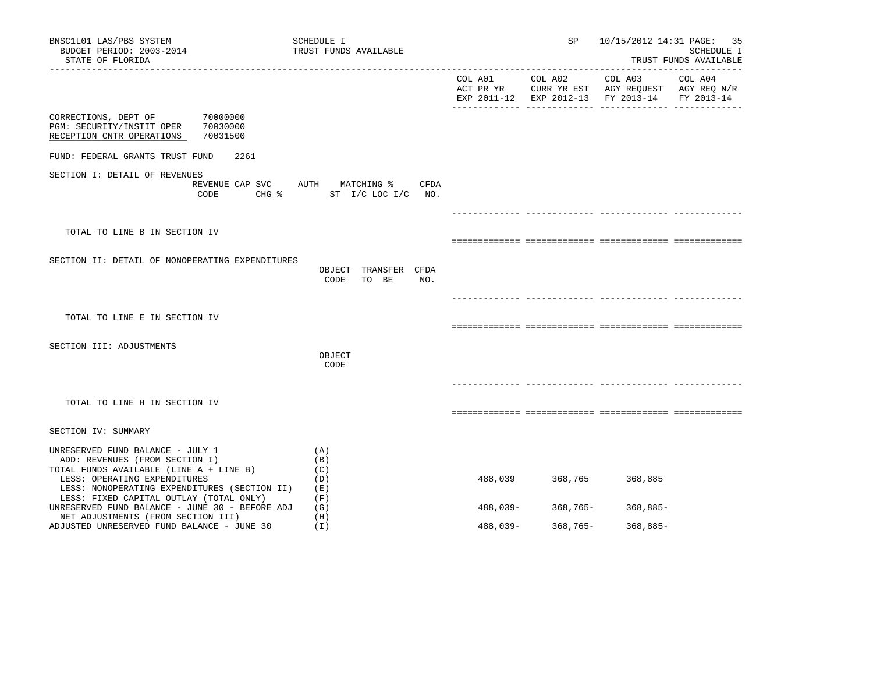| BNSC1L01 LAS/PBS SYSTEM<br>BUDGET PERIOD: 2003-2014<br>STATE OF FLORIDA                                                         | SCHEDULE I<br>TRUST FUNDS AVAILABLE                                 |          | SP              |                                                                                                | 10/15/2012 14:31 PAGE: 35<br>SCHEDULE I<br>TRUST FUNDS AVAILABLE |
|---------------------------------------------------------------------------------------------------------------------------------|---------------------------------------------------------------------|----------|-----------------|------------------------------------------------------------------------------------------------|------------------------------------------------------------------|
|                                                                                                                                 |                                                                     |          | COL A01 COL A02 | COL A03<br>ACT PR YR CURR YR EST AGY REQUEST AGY REQ N/R<br>EXP 2011-12 EXP 2012-13 FY 2013-14 | COL A04<br>FY 2013-14                                            |
| 70000000<br>CORRECTIONS, DEPT OF<br>PGM: SECURITY/INSTIT OPER<br>70030000<br>RECEPTION CNTR OPERATIONS<br>70031500              |                                                                     |          |                 |                                                                                                |                                                                  |
| FUND: FEDERAL GRANTS TRUST FUND<br>2261                                                                                         |                                                                     |          |                 |                                                                                                |                                                                  |
| SECTION I: DETAIL OF REVENUES<br>CODE                                                                                           | REVENUE CAP SVC AUTH MATCHING %<br>CFDA<br>CHG % ST I/C LOC I/C NO. |          |                 |                                                                                                |                                                                  |
|                                                                                                                                 |                                                                     |          |                 |                                                                                                |                                                                  |
| TOTAL TO LINE B IN SECTION IV                                                                                                   |                                                                     |          |                 |                                                                                                |                                                                  |
| SECTION II: DETAIL OF NONOPERATING EXPENDITURES                                                                                 | OBJECT TRANSFER CFDA<br>CODE<br>TO BE<br>NO.                        |          |                 |                                                                                                |                                                                  |
|                                                                                                                                 |                                                                     |          |                 |                                                                                                |                                                                  |
| TOTAL TO LINE E IN SECTION IV                                                                                                   |                                                                     |          |                 |                                                                                                |                                                                  |
| SECTION III: ADJUSTMENTS                                                                                                        |                                                                     |          |                 |                                                                                                |                                                                  |
|                                                                                                                                 | OBJECT<br>CODE                                                      |          |                 |                                                                                                |                                                                  |
|                                                                                                                                 |                                                                     |          |                 |                                                                                                |                                                                  |
| TOTAL TO LINE H IN SECTION IV                                                                                                   |                                                                     |          |                 |                                                                                                |                                                                  |
| SECTION IV: SUMMARY                                                                                                             |                                                                     |          |                 |                                                                                                |                                                                  |
| UNRESERVED FUND BALANCE - JULY 1<br>ADD: REVENUES (FROM SECTION I)<br>TOTAL FUNDS AVAILABLE (LINE A + LINE B)                   | (A)<br>(B)<br>(C)                                                   |          |                 |                                                                                                |                                                                  |
| LESS: OPERATING EXPENDITURES<br>LESS: NONOPERATING EXPENDITURES (SECTION II)                                                    | (D)<br>(E)                                                          | 488,039  | 368,765         | 368,885                                                                                        |                                                                  |
| LESS: FIXED CAPITAL OUTLAY (TOTAL ONLY)<br>UNRESERVED FUND BALANCE - JUNE 30 - BEFORE ADJ<br>NET ADJUSTMENTS (FROM SECTION III) | (F)<br>(G)<br>(H)                                                   | 488,039- | 368,765-        | 368,885-                                                                                       |                                                                  |
| ADJUSTED UNRESERVED FUND BALANCE - JUNE 30                                                                                      | (I)                                                                 | 488,039- | 368,765-        | $368,885-$                                                                                     |                                                                  |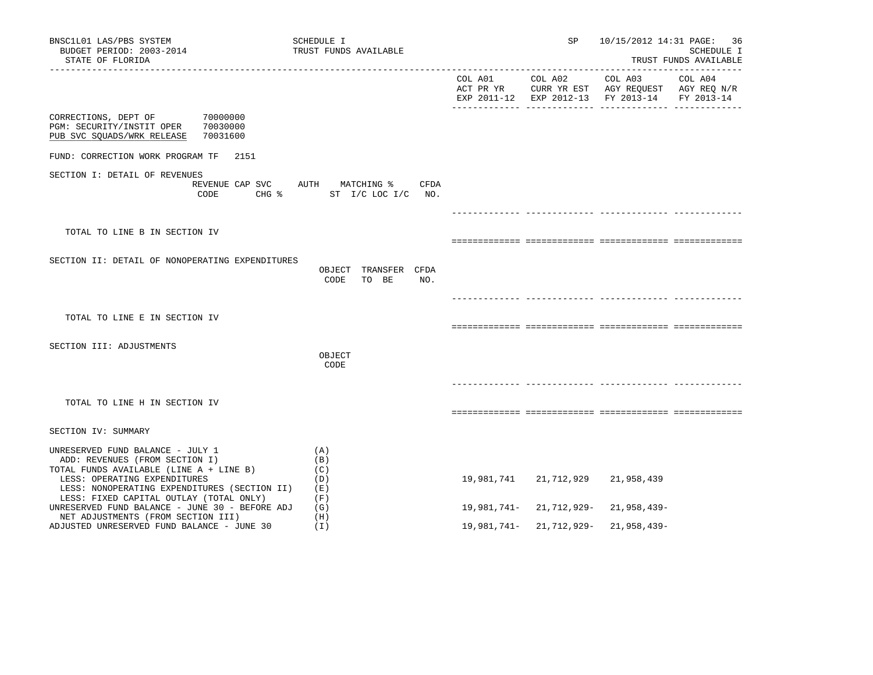| BNSC1L01 LAS/PBS SYSTEM<br>BUDGET PERIOD: 2003-2014<br>STATE OF FLORIDA                                                                                                                       | SCHEDULE I<br>TRUST FUNDS AVAILABLE           |                      | SP                     | 10/15/2012 14:31 PAGE:                                                                          | -36<br>SCHEDULE I<br>TRUST FUNDS AVAILABLE |
|-----------------------------------------------------------------------------------------------------------------------------------------------------------------------------------------------|-----------------------------------------------|----------------------|------------------------|-------------------------------------------------------------------------------------------------|--------------------------------------------|
|                                                                                                                                                                                               |                                               | COL A01<br>ACT PR YR | COL A02                | COL A03<br>CURR YR EST AGY REQUEST AGY REQ N/R<br>EXP 2011-12 EXP 2012-13 FY 2013-14 FY 2013-14 | COL A04                                    |
| CORRECTIONS, DEPT OF<br>70000000<br>PGM: SECURITY/INSTIT OPER<br>70030000<br>PUB SVC SQUADS/WRK RELEASE<br>70031600                                                                           |                                               |                      |                        |                                                                                                 |                                            |
| FUND: CORRECTION WORK PROGRAM TF<br>2151                                                                                                                                                      |                                               |                      |                        |                                                                                                 |                                            |
| SECTION I: DETAIL OF REVENUES<br>REVENUE CAP SVC<br>CODE<br>CHG %                                                                                                                             | AUTH MATCHING %<br>CFDA<br>ST I/C LOC I/C NO. |                      |                        |                                                                                                 |                                            |
|                                                                                                                                                                                               |                                               |                      |                        |                                                                                                 |                                            |
| TOTAL TO LINE B IN SECTION IV                                                                                                                                                                 |                                               |                      |                        |                                                                                                 |                                            |
| SECTION II: DETAIL OF NONOPERATING EXPENDITURES                                                                                                                                               | OBJECT TRANSFER CFDA<br>CODE<br>TO BE<br>NO.  |                      |                        |                                                                                                 |                                            |
|                                                                                                                                                                                               |                                               |                      |                        |                                                                                                 |                                            |
| TOTAL TO LINE E IN SECTION IV                                                                                                                                                                 |                                               |                      |                        |                                                                                                 |                                            |
| SECTION III: ADJUSTMENTS                                                                                                                                                                      | OBJECT<br>CODE                                |                      |                        |                                                                                                 |                                            |
|                                                                                                                                                                                               |                                               |                      |                        |                                                                                                 |                                            |
| TOTAL TO LINE H IN SECTION IV                                                                                                                                                                 |                                               |                      |                        |                                                                                                 |                                            |
| SECTION IV: SUMMARY                                                                                                                                                                           |                                               |                      |                        |                                                                                                 |                                            |
| UNRESERVED FUND BALANCE - JULY 1<br>ADD: REVENUES (FROM SECTION I)<br>TOTAL FUNDS AVAILABLE (LINE A + LINE B)<br>LESS: OPERATING EXPENDITURES<br>LESS: NONOPERATING EXPENDITURES (SECTION II) | (A)<br>(B)<br>(C)<br>(D)<br>(E)               | 19,981,741           | 21,712,929             | 21,958,439                                                                                      |                                            |
| LESS: FIXED CAPITAL OUTLAY (TOTAL ONLY)<br>UNRESERVED FUND BALANCE - JUNE 30 - BEFORE ADJ                                                                                                     | (F)<br>(G)                                    |                      | 19,981,741-21,712,929- | 21,958,439-                                                                                     |                                            |
| NET ADJUSTMENTS (FROM SECTION III)<br>ADJUSTED UNRESERVED FUND BALANCE - JUNE 30                                                                                                              | (H)<br>(1)                                    |                      | 19,981,741-21,712,929- | 21,958,439-                                                                                     |                                            |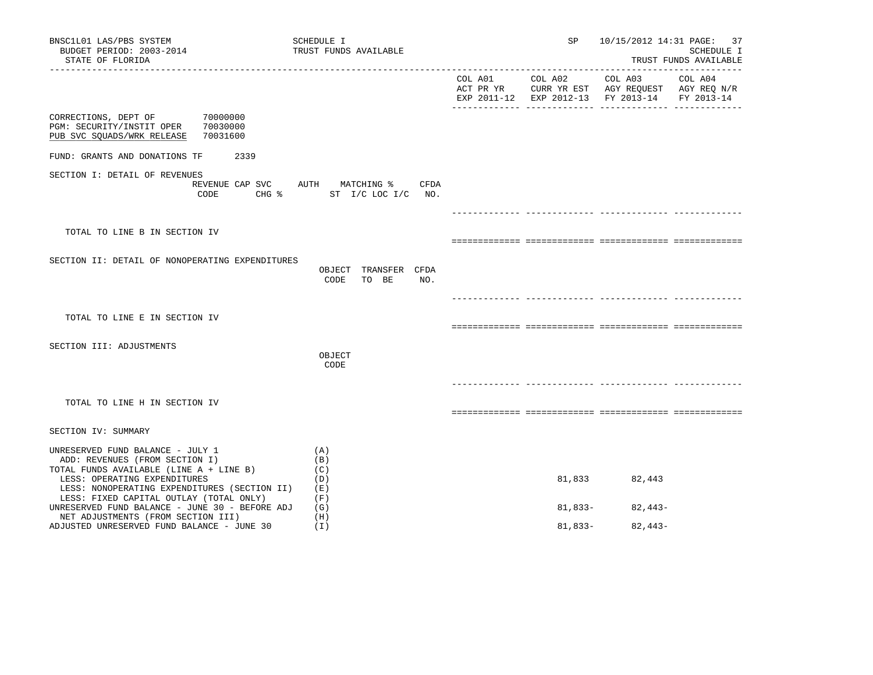| BNSC1L01 LAS/PBS SYSTEM<br>BUDGET PERIOD: 2003-2014<br>STATE OF FLORIDA                                                                                   | SCHEDULE I<br>TRUST FUNDS AVAILABLE                 | SP              |                                                                                                | 10/15/2012 14:31 PAGE: 37<br>SCHEDULE I<br>TRUST FUNDS AVAILABLE |
|-----------------------------------------------------------------------------------------------------------------------------------------------------------|-----------------------------------------------------|-----------------|------------------------------------------------------------------------------------------------|------------------------------------------------------------------|
|                                                                                                                                                           |                                                     | COL A01 COL A02 | COL A03<br>ACT PR YR CURR YR EST AGY REQUEST AGY REQ N/R<br>EXP 2011-12 EXP 2012-13 FY 2013-14 | COL A04<br>FY 2013-14                                            |
| 70000000<br>CORRECTIONS, DEPT OF<br>70030000<br>PGM: SECURITY/INSTIT OPER<br>70031600<br>PUB SVC SQUADS/WRK RELEASE                                       |                                                     |                 |                                                                                                |                                                                  |
| FUND: GRANTS AND DONATIONS TF<br>2339                                                                                                                     |                                                     |                 |                                                                                                |                                                                  |
| SECTION I: DETAIL OF REVENUES<br>REVENUE CAP SVC<br>CODE                                                                                                  | AUTH MATCHING %<br>CFDA<br>CHG % ST I/C LOC I/C NO. |                 |                                                                                                |                                                                  |
|                                                                                                                                                           |                                                     |                 |                                                                                                |                                                                  |
| TOTAL TO LINE B IN SECTION IV                                                                                                                             |                                                     |                 |                                                                                                |                                                                  |
| SECTION II: DETAIL OF NONOPERATING EXPENDITURES                                                                                                           | OBJECT TRANSFER CFDA<br>CODE<br>TO BE<br>NO.        |                 |                                                                                                |                                                                  |
|                                                                                                                                                           |                                                     |                 |                                                                                                |                                                                  |
| TOTAL TO LINE E IN SECTION IV                                                                                                                             |                                                     |                 |                                                                                                |                                                                  |
| SECTION III: ADJUSTMENTS                                                                                                                                  |                                                     |                 |                                                                                                |                                                                  |
|                                                                                                                                                           | OBJECT<br>CODE                                      |                 |                                                                                                |                                                                  |
|                                                                                                                                                           |                                                     |                 |                                                                                                |                                                                  |
| TOTAL TO LINE H IN SECTION IV                                                                                                                             |                                                     |                 |                                                                                                |                                                                  |
| SECTION IV: SUMMARY                                                                                                                                       |                                                     |                 |                                                                                                |                                                                  |
| UNRESERVED FUND BALANCE - JULY 1                                                                                                                          | (A)                                                 |                 |                                                                                                |                                                                  |
| ADD: REVENUES (FROM SECTION I)<br>TOTAL FUNDS AVAILABLE (LINE A + LINE B)<br>LESS: OPERATING EXPENDITURES<br>LESS: NONOPERATING EXPENDITURES (SECTION II) | (B)<br>(C)<br>(D)<br>(E)                            | 81,833          | 82,443                                                                                         |                                                                  |
| LESS: FIXED CAPITAL OUTLAY (TOTAL ONLY)<br>UNRESERVED FUND BALANCE - JUNE 30 - BEFORE ADJ                                                                 | (F)<br>(G)                                          | 81,833-         | $82,443-$                                                                                      |                                                                  |
| NET ADJUSTMENTS (FROM SECTION III)<br>ADJUSTED UNRESERVED FUND BALANCE - JUNE 30                                                                          | (H)<br>(I)                                          | $81,833-$       | $82,443-$                                                                                      |                                                                  |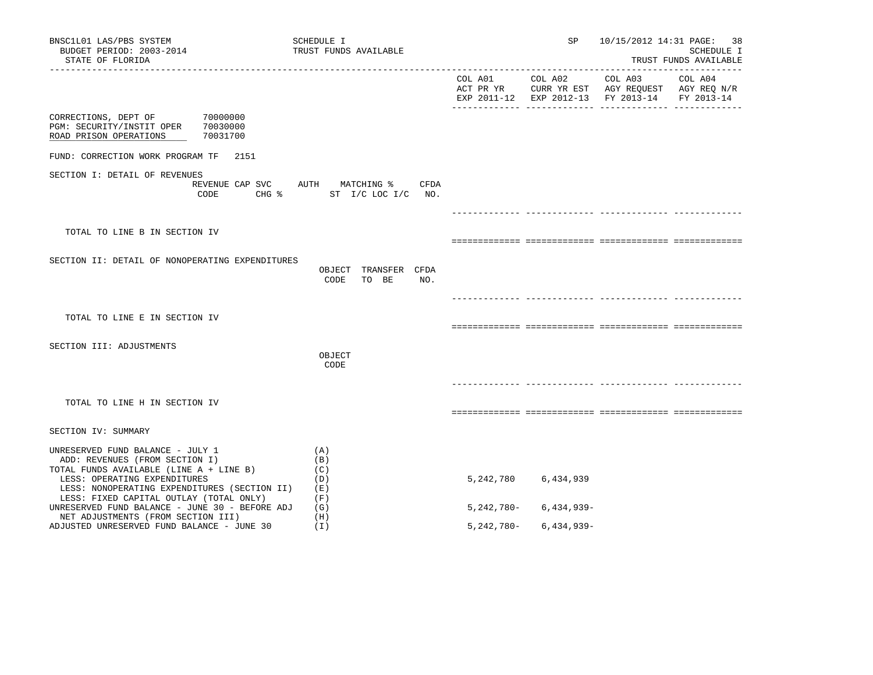| BNSC1L01 LAS/PBS SYSTEM<br>BUDGET PERIOD: 2003-2014<br>STATE OF FLORIDA<br>----------------                                                                                                   | SCHEDULE I<br>TRUST FUNDS AVAILABLE                              |            | SP and the set of the set of the set of the set of the set of the set of the set of the set of the set of the set of the set of the set of the set of the set of the set of the set of the set of the set of the set of the se | 10/15/2012 14:31 PAGE: 38                                                                                                                                                                                                                                     | SCHEDULE I<br>TRUST FUNDS AVAILABLE |
|-----------------------------------------------------------------------------------------------------------------------------------------------------------------------------------------------|------------------------------------------------------------------|------------|--------------------------------------------------------------------------------------------------------------------------------------------------------------------------------------------------------------------------------|---------------------------------------------------------------------------------------------------------------------------------------------------------------------------------------------------------------------------------------------------------------|-------------------------------------|
|                                                                                                                                                                                               |                                                                  |            |                                                                                                                                                                                                                                | $\begin{tabular}{lllllllllll} \multicolumn{2}{l}{{\text{COL A02}}} & \multicolumn{2}{c}{\text{COL A03}} & \multicolumn{2}{c}{\text{COL A04}} \end{tabular}$<br>ACT PR YR CURR YR EST AGY REQUEST AGY REQ N/R<br>EXP 2011-12 EXP 2012-13 FY 2013-14 FY 2013-14 |                                     |
| CORRECTIONS, DEPT OF 70000000<br>PGM: SECURITY/INSTIT OPER 70030000<br>ROAD PRISON OPERATIONS<br>70031700                                                                                     |                                                                  |            |                                                                                                                                                                                                                                |                                                                                                                                                                                                                                                               |                                     |
| FUND: CORRECTION WORK PROGRAM TF 2151                                                                                                                                                         |                                                                  |            |                                                                                                                                                                                                                                |                                                                                                                                                                                                                                                               |                                     |
| SECTION I: DETAIL OF REVENUES<br>CODE                                                                                                                                                         | REVENUE CAP SVC AUTH MATCHING % CFDA<br>CHG % ST I/C LOC I/C NO. |            |                                                                                                                                                                                                                                |                                                                                                                                                                                                                                                               |                                     |
|                                                                                                                                                                                               |                                                                  |            |                                                                                                                                                                                                                                |                                                                                                                                                                                                                                                               |                                     |
| TOTAL TO LINE B IN SECTION IV                                                                                                                                                                 |                                                                  |            |                                                                                                                                                                                                                                |                                                                                                                                                                                                                                                               |                                     |
| SECTION II: DETAIL OF NONOPERATING EXPENDITURES                                                                                                                                               | OBJECT TRANSFER CFDA<br>CODE<br>TO BE<br>NO.                     |            |                                                                                                                                                                                                                                |                                                                                                                                                                                                                                                               |                                     |
|                                                                                                                                                                                               |                                                                  |            |                                                                                                                                                                                                                                |                                                                                                                                                                                                                                                               |                                     |
| TOTAL TO LINE E IN SECTION IV                                                                                                                                                                 |                                                                  |            |                                                                                                                                                                                                                                |                                                                                                                                                                                                                                                               |                                     |
| SECTION III: ADJUSTMENTS                                                                                                                                                                      | OBJECT<br>CODE                                                   |            |                                                                                                                                                                                                                                |                                                                                                                                                                                                                                                               |                                     |
|                                                                                                                                                                                               |                                                                  |            |                                                                                                                                                                                                                                |                                                                                                                                                                                                                                                               |                                     |
| TOTAL TO LINE H IN SECTION IV                                                                                                                                                                 |                                                                  |            |                                                                                                                                                                                                                                |                                                                                                                                                                                                                                                               |                                     |
| SECTION IV: SUMMARY                                                                                                                                                                           |                                                                  |            |                                                                                                                                                                                                                                |                                                                                                                                                                                                                                                               |                                     |
| UNRESERVED FUND BALANCE - JULY 1<br>ADD: REVENUES (FROM SECTION I)<br>TOTAL FUNDS AVAILABLE (LINE A + LINE B)<br>LESS: OPERATING EXPENDITURES<br>LESS: NONOPERATING EXPENDITURES (SECTION II) | (A)<br>(B)<br>(C)<br>(D)<br>(E)                                  |            | 5, 242, 780 6, 434, 939                                                                                                                                                                                                        |                                                                                                                                                                                                                                                               |                                     |
| LESS: FIXED CAPITAL OUTLAY (TOTAL ONLY)<br>UNRESERVED FUND BALANCE - JUNE 30 - BEFORE ADJ                                                                                                     | (F)<br>(G)                                                       |            | $5,242,780 - 6,434,939 -$                                                                                                                                                                                                      |                                                                                                                                                                                                                                                               |                                     |
| NET ADJUSTMENTS (FROM SECTION III)<br>ADJUSTED UNRESERVED FUND BALANCE - JUNE 30                                                                                                              | (H)<br>(I)                                                       | 5,242,780- | $6,434,939-$                                                                                                                                                                                                                   |                                                                                                                                                                                                                                                               |                                     |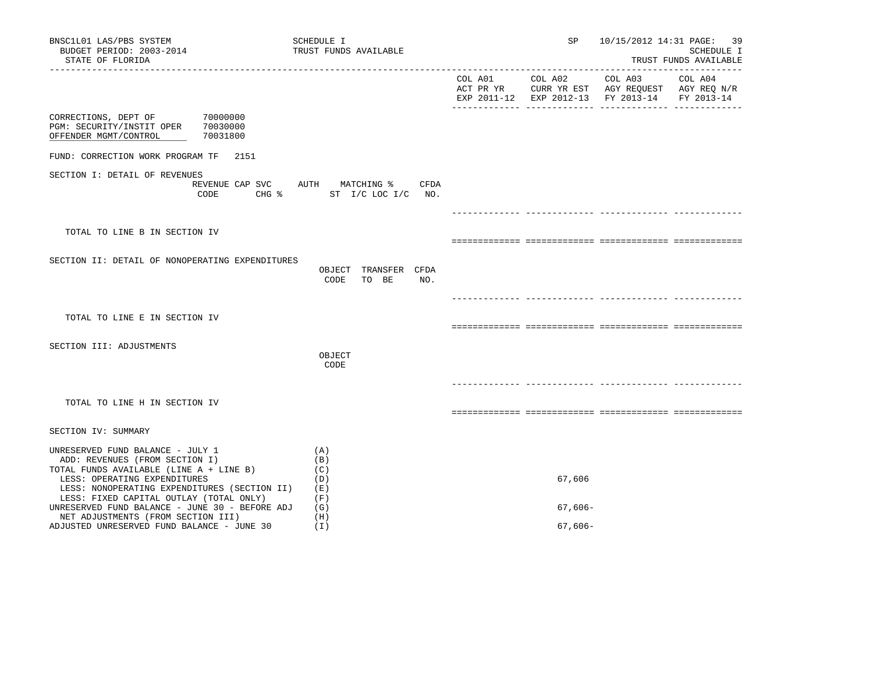| BNSC1L01 LAS/PBS SYSTEM<br>BUDGET PERIOD: 2003-2014<br>STATE OF FLORIDA                                                                                                                                                                  | SCHEDULE I<br>TRUST FUNDS AVAILABLE                              | SP        |                                                                                                | 10/15/2012 14:31 PAGE: 39<br>SCHEDULE I<br>TRUST FUNDS AVAILABLE |
|------------------------------------------------------------------------------------------------------------------------------------------------------------------------------------------------------------------------------------------|------------------------------------------------------------------|-----------|------------------------------------------------------------------------------------------------|------------------------------------------------------------------|
|                                                                                                                                                                                                                                          |                                                                  |           | ACT PR YR CURR YR EST AGY REQUEST AGY REQ N/R<br>EXP 2011-12 EXP 2012-13 FY 2013-14 FY 2013-14 |                                                                  |
| CORRECTIONS, DEPT OF 70000000<br>PGM: SECURITY/INSTIT OPER 70030000<br>OFFENDER MGMT/CONTROL<br>70031800                                                                                                                                 |                                                                  |           |                                                                                                |                                                                  |
| FUND: CORRECTION WORK PROGRAM TF 2151                                                                                                                                                                                                    |                                                                  |           |                                                                                                |                                                                  |
| SECTION I: DETAIL OF REVENUES<br>CODE                                                                                                                                                                                                    | REVENUE CAP SVC AUTH MATCHING % CFDA<br>CHG % ST I/C LOC I/C NO. |           |                                                                                                |                                                                  |
|                                                                                                                                                                                                                                          |                                                                  |           |                                                                                                |                                                                  |
| TOTAL TO LINE B IN SECTION IV                                                                                                                                                                                                            |                                                                  |           |                                                                                                |                                                                  |
| SECTION II: DETAIL OF NONOPERATING EXPENDITURES                                                                                                                                                                                          | OBJECT TRANSFER CFDA<br>CODE<br>TO BE<br>NO.                     |           |                                                                                                |                                                                  |
| TOTAL TO LINE E IN SECTION IV                                                                                                                                                                                                            |                                                                  |           |                                                                                                |                                                                  |
|                                                                                                                                                                                                                                          |                                                                  |           |                                                                                                |                                                                  |
| SECTION III: ADJUSTMENTS                                                                                                                                                                                                                 | OBJECT<br>CODE                                                   |           |                                                                                                |                                                                  |
| TOTAL TO LINE H IN SECTION IV                                                                                                                                                                                                            |                                                                  |           |                                                                                                |                                                                  |
| SECTION IV: SUMMARY                                                                                                                                                                                                                      |                                                                  |           |                                                                                                |                                                                  |
| UNRESERVED FUND BALANCE - JULY 1<br>ADD: REVENUES (FROM SECTION I)<br>TOTAL FUNDS AVAILABLE (LINE A + LINE B)<br>LESS: OPERATING EXPENDITURES<br>LESS: NONOPERATING EXPENDITURES (SECTION II)<br>LESS: FIXED CAPITAL OUTLAY (TOTAL ONLY) | (A)<br>(B)<br>(C)<br>(D)<br>( E )<br>(F)                         | 67,606    |                                                                                                |                                                                  |
| UNRESERVED FUND BALANCE - JUNE 30 - BEFORE ADJ<br>NET ADJUSTMENTS (FROM SECTION III)                                                                                                                                                     | (G)<br>(H)                                                       | $67,606-$ |                                                                                                |                                                                  |
| ADJUSTED UNRESERVED FUND BALANCE - JUNE 30                                                                                                                                                                                               | (I)                                                              | $67,606-$ |                                                                                                |                                                                  |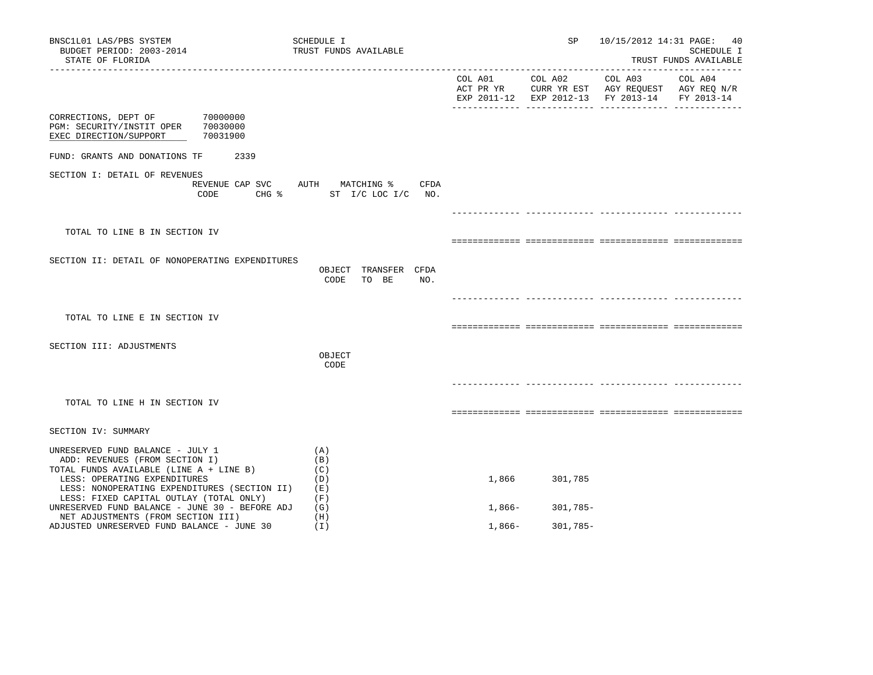| BNSC1L01 LAS/PBS SYSTEM<br>BUDGET PERIOD: 2003-2014<br>STATE OF FLORIDA                                                                                                                       | SCHEDULE I<br>TRUST FUNDS AVAILABLE                                 |          | SP              |                                                                                                | 10/15/2012 14:31 PAGE: 40<br>SCHEDULE I<br>TRUST FUNDS AVAILABLE |
|-----------------------------------------------------------------------------------------------------------------------------------------------------------------------------------------------|---------------------------------------------------------------------|----------|-----------------|------------------------------------------------------------------------------------------------|------------------------------------------------------------------|
|                                                                                                                                                                                               |                                                                     |          | COL A01 COL A02 | COL A03<br>ACT PR YR CURR YR EST AGY REQUEST AGY REQ N/R<br>EXP 2011-12 EXP 2012-13 FY 2013-14 | COL A04<br>FY 2013-14                                            |
| 70000000<br>CORRECTIONS, DEPT OF<br>70030000<br>PGM: SECURITY/INSTIT OPER<br>70031900<br>EXEC DIRECTION/SUPPORT                                                                               |                                                                     |          |                 |                                                                                                |                                                                  |
| FUND: GRANTS AND DONATIONS TF<br>2339                                                                                                                                                         |                                                                     |          |                 |                                                                                                |                                                                  |
| SECTION I: DETAIL OF REVENUES<br>CODE                                                                                                                                                         | REVENUE CAP SVC AUTH MATCHING %<br>CFDA<br>CHG % ST I/C LOC I/C NO. |          |                 |                                                                                                |                                                                  |
|                                                                                                                                                                                               |                                                                     |          |                 |                                                                                                |                                                                  |
| TOTAL TO LINE B IN SECTION IV                                                                                                                                                                 |                                                                     |          |                 |                                                                                                |                                                                  |
| SECTION II: DETAIL OF NONOPERATING EXPENDITURES                                                                                                                                               | OBJECT TRANSFER CFDA<br>TO BE<br>NO.<br>CODE                        |          |                 |                                                                                                |                                                                  |
|                                                                                                                                                                                               |                                                                     |          |                 |                                                                                                |                                                                  |
| TOTAL TO LINE E IN SECTION IV                                                                                                                                                                 |                                                                     |          |                 |                                                                                                |                                                                  |
| SECTION III: ADJUSTMENTS                                                                                                                                                                      | OBJECT<br>CODE                                                      |          |                 |                                                                                                |                                                                  |
|                                                                                                                                                                                               |                                                                     |          |                 |                                                                                                |                                                                  |
| TOTAL TO LINE H IN SECTION IV                                                                                                                                                                 |                                                                     |          |                 |                                                                                                |                                                                  |
| SECTION IV: SUMMARY                                                                                                                                                                           |                                                                     |          |                 |                                                                                                |                                                                  |
| UNRESERVED FUND BALANCE - JULY 1<br>ADD: REVENUES (FROM SECTION I)<br>TOTAL FUNDS AVAILABLE (LINE A + LINE B)<br>LESS: OPERATING EXPENDITURES<br>LESS: NONOPERATING EXPENDITURES (SECTION II) | (A)<br>(B)<br>(C)<br>(D)<br>(E)<br>(F)                              | 1,866    | 301,785         |                                                                                                |                                                                  |
| LESS: FIXED CAPITAL OUTLAY (TOTAL ONLY)<br>UNRESERVED FUND BALANCE - JUNE 30 - BEFORE ADJ                                                                                                     | (G)                                                                 | 1,866-   | 301,785-        |                                                                                                |                                                                  |
| NET ADJUSTMENTS (FROM SECTION III)<br>ADJUSTED UNRESERVED FUND BALANCE - JUNE 30                                                                                                              | (H)<br>(I)                                                          | $1,866-$ | $301,785-$      |                                                                                                |                                                                  |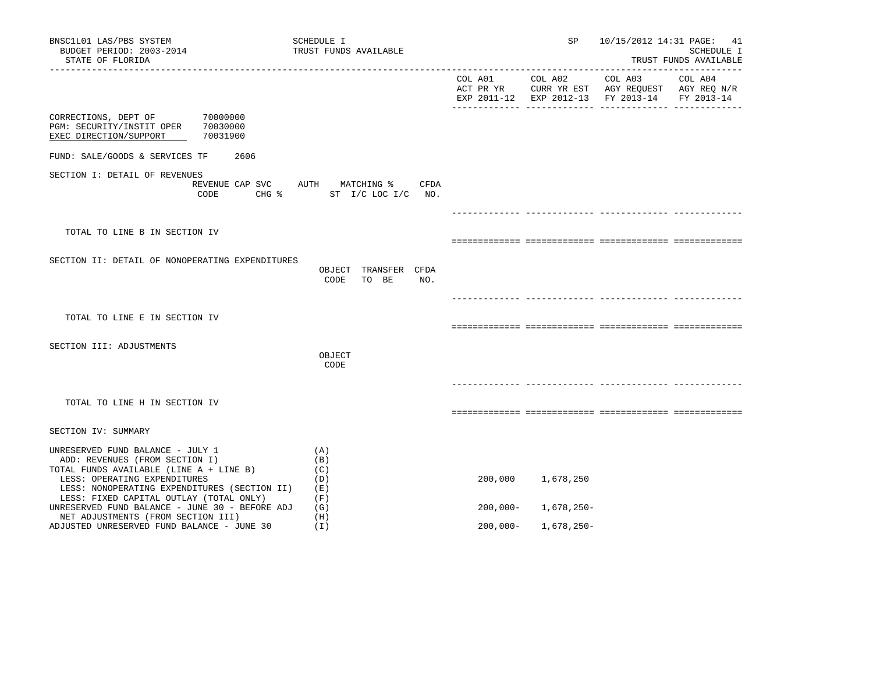| BNSC1L01 LAS/PBS SYSTEM<br>BUDGET PERIOD: 2003-2014<br>STATE OF FLORIDA                                                                                                                                                                  | SCHEDULE I<br>TRUST FUNDS AVAILABLE                              |             | SP              |                                                                                                                   | 10/15/2012 14:31 PAGE: 41<br>SCHEDULE I<br>TRUST FUNDS AVAILABLE |
|------------------------------------------------------------------------------------------------------------------------------------------------------------------------------------------------------------------------------------------|------------------------------------------------------------------|-------------|-----------------|-------------------------------------------------------------------------------------------------------------------|------------------------------------------------------------------|
|                                                                                                                                                                                                                                          |                                                                  |             | COL A01 COL A02 | COL A03 COL A04<br>ACT PR YR CURR YR EST AGY REQUEST AGY REQ N/R<br>EXP 2011-12 EXP 2012-13 FY 2013-14 FY 2013-14 |                                                                  |
| 70000000<br>CORRECTIONS, DEPT OF<br>PGM: SECURITY/INSTIT OPER 70030000<br>70031900<br>EXEC DIRECTION/SUPPORT                                                                                                                             |                                                                  |             |                 |                                                                                                                   |                                                                  |
| FUND: SALE/GOODS & SERVICES TF                                                                                                                                                                                                           | 2606                                                             |             |                 |                                                                                                                   |                                                                  |
| SECTION I: DETAIL OF REVENUES<br>CODE                                                                                                                                                                                                    | REVENUE CAP SVC AUTH MATCHING % CFDA<br>CHG % ST I/C LOC I/C NO. |             |                 |                                                                                                                   |                                                                  |
|                                                                                                                                                                                                                                          |                                                                  |             |                 |                                                                                                                   |                                                                  |
| TOTAL TO LINE B IN SECTION IV                                                                                                                                                                                                            |                                                                  |             |                 |                                                                                                                   |                                                                  |
| SECTION II: DETAIL OF NONOPERATING EXPENDITURES                                                                                                                                                                                          | OBJECT TRANSFER CFDA<br>NO.<br>CODE<br>TO BE                     |             |                 |                                                                                                                   |                                                                  |
|                                                                                                                                                                                                                                          |                                                                  |             |                 |                                                                                                                   |                                                                  |
| TOTAL TO LINE E IN SECTION IV                                                                                                                                                                                                            |                                                                  |             |                 |                                                                                                                   |                                                                  |
| SECTION III: ADJUSTMENTS                                                                                                                                                                                                                 | OBJECT<br>CODE                                                   |             |                 |                                                                                                                   |                                                                  |
| TOTAL TO LINE H IN SECTION IV                                                                                                                                                                                                            |                                                                  |             |                 |                                                                                                                   |                                                                  |
| SECTION IV: SUMMARY                                                                                                                                                                                                                      |                                                                  |             |                 |                                                                                                                   |                                                                  |
| UNRESERVED FUND BALANCE - JULY 1<br>ADD: REVENUES (FROM SECTION I)<br>TOTAL FUNDS AVAILABLE (LINE A + LINE B)<br>LESS: OPERATING EXPENDITURES<br>LESS: NONOPERATING EXPENDITURES (SECTION II)<br>LESS: FIXED CAPITAL OUTLAY (TOTAL ONLY) | (A)<br>(B)<br>(C)<br>(D)<br>(E)<br>(F)                           | 200,000     | 1,678,250       |                                                                                                                   |                                                                  |
| UNRESERVED FUND BALANCE - JUNE 30 - BEFORE ADJ<br>NET ADJUSTMENTS (FROM SECTION III)                                                                                                                                                     | (G)<br>(H)                                                       | $200,000 -$ | 1,678,250-      |                                                                                                                   |                                                                  |
| ADJUSTED UNRESERVED FUND BALANCE - JUNE 30                                                                                                                                                                                               | (I)                                                              | $200,000 -$ | 1,678,250-      |                                                                                                                   |                                                                  |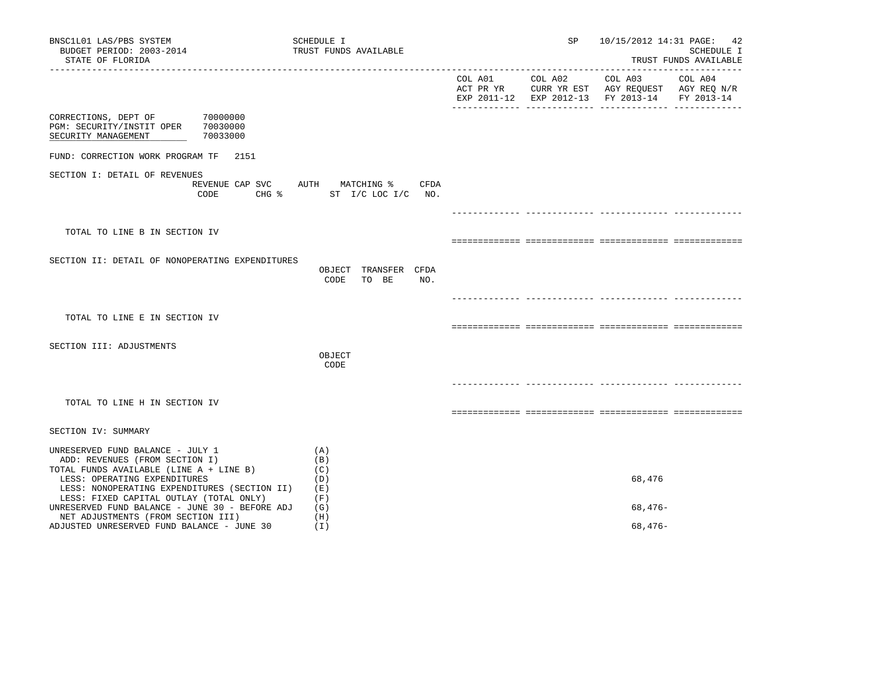| BNSC1L01 LAS/PBS SYSTEM<br>BUDGET PERIOD: 2003-2014<br>STATE OF FLORIDA                                                                                                                       |          | SCHEDULE I<br>TRUST FUNDS AVAILABLE                              | SP |                                                                                                                                   | 10/15/2012 14:31 PAGE: 42<br>SCHEDULE I<br>TRUST FUNDS AVAILABLE |
|-----------------------------------------------------------------------------------------------------------------------------------------------------------------------------------------------|----------|------------------------------------------------------------------|----|-----------------------------------------------------------------------------------------------------------------------------------|------------------------------------------------------------------|
|                                                                                                                                                                                               |          |                                                                  |    | COL A01 COL A02 COL A03 COL A04<br>ACT PR YR CURR YR EST AGY REQUEST AGY REQ N/R<br>EXP 2011-12 EXP 2012-13 FY 2013-14 FY 2013-14 |                                                                  |
| CORRECTIONS, DEPT OF 70000000<br>PGM: SECURITY/INSTIT OPER 70030000<br>SECURITY MANAGEMENT                                                                                                    | 70033000 |                                                                  |    |                                                                                                                                   |                                                                  |
| FUND: CORRECTION WORK PROGRAM TF 2151                                                                                                                                                         |          |                                                                  |    |                                                                                                                                   |                                                                  |
| SECTION I: DETAIL OF REVENUES                                                                                                                                                                 | CODE     | REVENUE CAP SVC AUTH MATCHING % CFDA<br>CHG % ST I/C LOC I/C NO. |    |                                                                                                                                   |                                                                  |
|                                                                                                                                                                                               |          |                                                                  |    |                                                                                                                                   |                                                                  |
| TOTAL TO LINE B IN SECTION IV                                                                                                                                                                 |          |                                                                  |    |                                                                                                                                   |                                                                  |
| SECTION II: DETAIL OF NONOPERATING EXPENDITURES                                                                                                                                               |          | OBJECT TRANSFER CFDA<br>CODE<br>TO BE<br>NO.                     |    |                                                                                                                                   |                                                                  |
| TOTAL TO LINE E IN SECTION IV                                                                                                                                                                 |          |                                                                  |    |                                                                                                                                   |                                                                  |
| SECTION III: ADJUSTMENTS                                                                                                                                                                      |          | OBJECT<br>CODE                                                   |    |                                                                                                                                   |                                                                  |
| TOTAL TO LINE H IN SECTION IV                                                                                                                                                                 |          |                                                                  |    |                                                                                                                                   |                                                                  |
| SECTION IV: SUMMARY                                                                                                                                                                           |          |                                                                  |    |                                                                                                                                   |                                                                  |
| UNRESERVED FUND BALANCE - JULY 1<br>ADD: REVENUES (FROM SECTION I)<br>TOTAL FUNDS AVAILABLE (LINE A + LINE B)<br>LESS: OPERATING EXPENDITURES<br>LESS: NONOPERATING EXPENDITURES (SECTION II) |          | (A)<br>(B)<br>(C)<br>(D)<br>( E )                                |    | 68,476                                                                                                                            |                                                                  |
| LESS: FIXED CAPITAL OUTLAY (TOTAL ONLY)<br>UNRESERVED FUND BALANCE - JUNE 30 - BEFORE ADJ                                                                                                     |          | (F)<br>(G)<br>(H)                                                |    | $68,476-$                                                                                                                         |                                                                  |
| NET ADJUSTMENTS (FROM SECTION III)<br>ADJUSTED UNRESERVED FUND BALANCE - JUNE 30                                                                                                              |          | (I)                                                              |    | $68,476-$                                                                                                                         |                                                                  |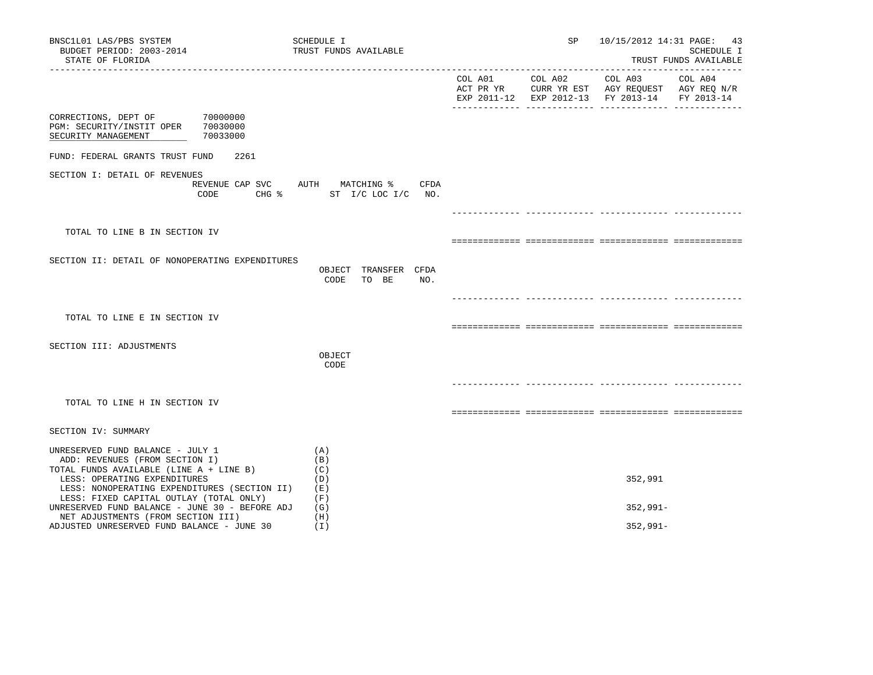| BNSC1L01 LAS/PBS SYSTEM<br>BUDGET PERIOD: 2003-2014<br>STATE OF FLORIDA                                                                                                                       |          | SCHEDULE I<br>TRUST FUNDS AVAILABLE                                 | SP | 10/15/2012 14:31 PAGE: 43                                                                                                         | SCHEDULE I<br>TRUST FUNDS AVAILABLE |
|-----------------------------------------------------------------------------------------------------------------------------------------------------------------------------------------------|----------|---------------------------------------------------------------------|----|-----------------------------------------------------------------------------------------------------------------------------------|-------------------------------------|
|                                                                                                                                                                                               |          |                                                                     |    | COL A01 COL A02 COL A03 COL A04<br>ACT PR YR CURR YR EST AGY REQUEST AGY REQ N/R<br>EXP 2011-12 EXP 2012-13 FY 2013-14 FY 2013-14 |                                     |
| CORRECTIONS, DEPT OF 70000000<br>PGM: SECURITY/INSTIT OPER 70030000<br>SECURITY MANAGEMENT                                                                                                    | 70033000 |                                                                     |    |                                                                                                                                   |                                     |
| FUND: FEDERAL GRANTS TRUST FUND                                                                                                                                                               | 2261     |                                                                     |    |                                                                                                                                   |                                     |
| SECTION I: DETAIL OF REVENUES                                                                                                                                                                 | CODE     | REVENUE CAP SVC AUTH MATCHING %<br>CFDA<br>CHG % ST I/C LOC I/C NO. |    |                                                                                                                                   |                                     |
|                                                                                                                                                                                               |          |                                                                     |    |                                                                                                                                   |                                     |
| TOTAL TO LINE B IN SECTION IV                                                                                                                                                                 |          |                                                                     |    |                                                                                                                                   |                                     |
| SECTION II: DETAIL OF NONOPERATING EXPENDITURES                                                                                                                                               |          | OBJECT TRANSFER CFDA<br>CODE<br>TO BE<br>NO.                        |    |                                                                                                                                   |                                     |
|                                                                                                                                                                                               |          |                                                                     |    |                                                                                                                                   |                                     |
| TOTAL TO LINE E IN SECTION IV                                                                                                                                                                 |          |                                                                     |    |                                                                                                                                   |                                     |
| SECTION III: ADJUSTMENTS                                                                                                                                                                      |          | OBJECT<br>CODE                                                      |    |                                                                                                                                   |                                     |
| TOTAL TO LINE H IN SECTION IV                                                                                                                                                                 |          |                                                                     |    |                                                                                                                                   |                                     |
| SECTION IV: SUMMARY                                                                                                                                                                           |          |                                                                     |    |                                                                                                                                   |                                     |
| UNRESERVED FUND BALANCE - JULY 1<br>ADD: REVENUES (FROM SECTION I)<br>TOTAL FUNDS AVAILABLE (LINE A + LINE B)<br>LESS: OPERATING EXPENDITURES<br>LESS: NONOPERATING EXPENDITURES (SECTION II) |          | (A)<br>(B)<br>(C)<br>(D)<br>(E)                                     |    | 352,991                                                                                                                           |                                     |
| LESS: FIXED CAPITAL OUTLAY (TOTAL ONLY)<br>UNRESERVED FUND BALANCE - JUNE 30 - BEFORE ADJ                                                                                                     |          | (F)<br>(G)                                                          |    | $352,991 -$                                                                                                                       |                                     |
| NET ADJUSTMENTS (FROM SECTION III)<br>ADJUSTED UNRESERVED FUND BALANCE - JUNE 30                                                                                                              |          | (H)<br>(I)                                                          |    | $352,991 -$                                                                                                                       |                                     |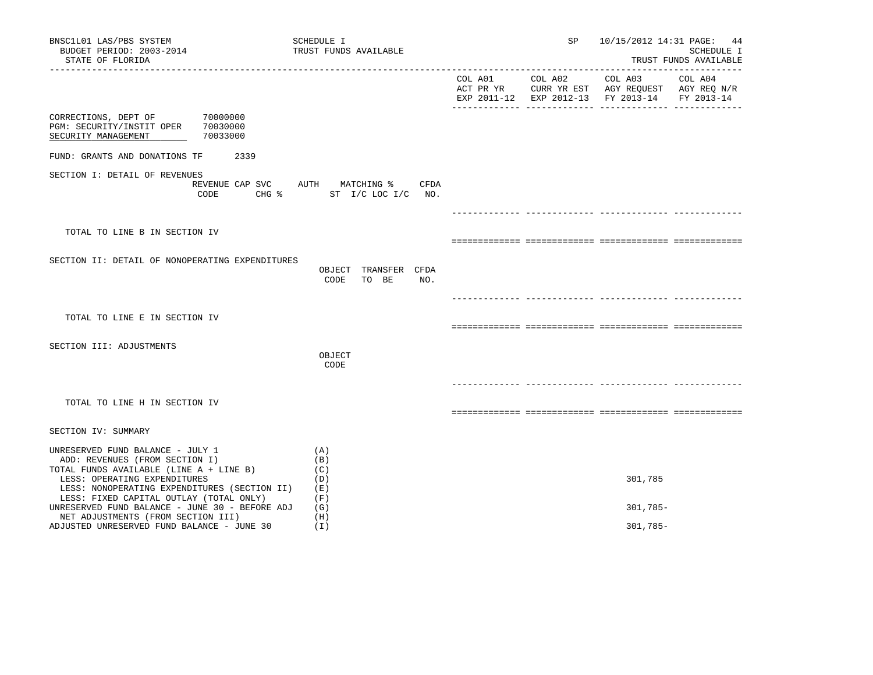| BNSC1L01 LAS/PBS SYSTEM<br>BUDGET PERIOD: 2003-2014<br>STATE OF FLORIDA                                                                                                                       | SCHEDULE I<br>TRUST FUNDS AVAILABLE                              | SP              |                                                                                                                   | 10/15/2012 14:31 PAGE: 44<br>SCHEDULE I<br>TRUST FUNDS AVAILABLE |
|-----------------------------------------------------------------------------------------------------------------------------------------------------------------------------------------------|------------------------------------------------------------------|-----------------|-------------------------------------------------------------------------------------------------------------------|------------------------------------------------------------------|
|                                                                                                                                                                                               |                                                                  | COL A01 COL A02 | COL A03 COL A04<br>ACT PR YR CURR YR EST AGY REQUEST AGY REQ N/R<br>EXP 2011-12 EXP 2012-13 FY 2013-14 FY 2013-14 |                                                                  |
| CORRECTIONS, DEPT OF 70000000<br>PGM: SECURITY/INSTIT OPER 70030000<br>70033000<br>SECURITY MANAGEMENT                                                                                        |                                                                  |                 |                                                                                                                   |                                                                  |
| FUND: GRANTS AND DONATIONS TF<br>2339                                                                                                                                                         |                                                                  |                 |                                                                                                                   |                                                                  |
| SECTION I: DETAIL OF REVENUES<br>CODE                                                                                                                                                         | REVENUE CAP SVC AUTH MATCHING % CFDA<br>CHG % ST I/C LOC I/C NO. |                 |                                                                                                                   |                                                                  |
|                                                                                                                                                                                               |                                                                  |                 |                                                                                                                   |                                                                  |
| TOTAL TO LINE B IN SECTION IV                                                                                                                                                                 |                                                                  |                 |                                                                                                                   |                                                                  |
| SECTION II: DETAIL OF NONOPERATING EXPENDITURES                                                                                                                                               | OBJECT TRANSFER CFDA<br>TO BE<br>NO.<br>CODE                     |                 |                                                                                                                   |                                                                  |
|                                                                                                                                                                                               |                                                                  |                 |                                                                                                                   |                                                                  |
| TOTAL TO LINE E IN SECTION IV                                                                                                                                                                 |                                                                  |                 |                                                                                                                   |                                                                  |
| SECTION III: ADJUSTMENTS                                                                                                                                                                      | OBJECT<br>CODE                                                   |                 |                                                                                                                   |                                                                  |
| TOTAL TO LINE H IN SECTION IV                                                                                                                                                                 |                                                                  |                 |                                                                                                                   |                                                                  |
| SECTION IV: SUMMARY                                                                                                                                                                           |                                                                  |                 |                                                                                                                   |                                                                  |
| UNRESERVED FUND BALANCE - JULY 1<br>ADD: REVENUES (FROM SECTION I)<br>TOTAL FUNDS AVAILABLE (LINE A + LINE B)<br>LESS: OPERATING EXPENDITURES<br>LESS: NONOPERATING EXPENDITURES (SECTION II) | (A)<br>(B)<br>(C)<br>(D)<br>(E)                                  |                 | 301,785                                                                                                           |                                                                  |
| LESS: FIXED CAPITAL OUTLAY (TOTAL ONLY)<br>UNRESERVED FUND BALANCE - JUNE 30 - BEFORE ADJ                                                                                                     | (F)<br>(G)                                                       |                 | $301,785-$                                                                                                        |                                                                  |
| NET ADJUSTMENTS (FROM SECTION III)<br>ADJUSTED UNRESERVED FUND BALANCE - JUNE 30                                                                                                              | (H)<br>(I)                                                       |                 | $301,785-$                                                                                                        |                                                                  |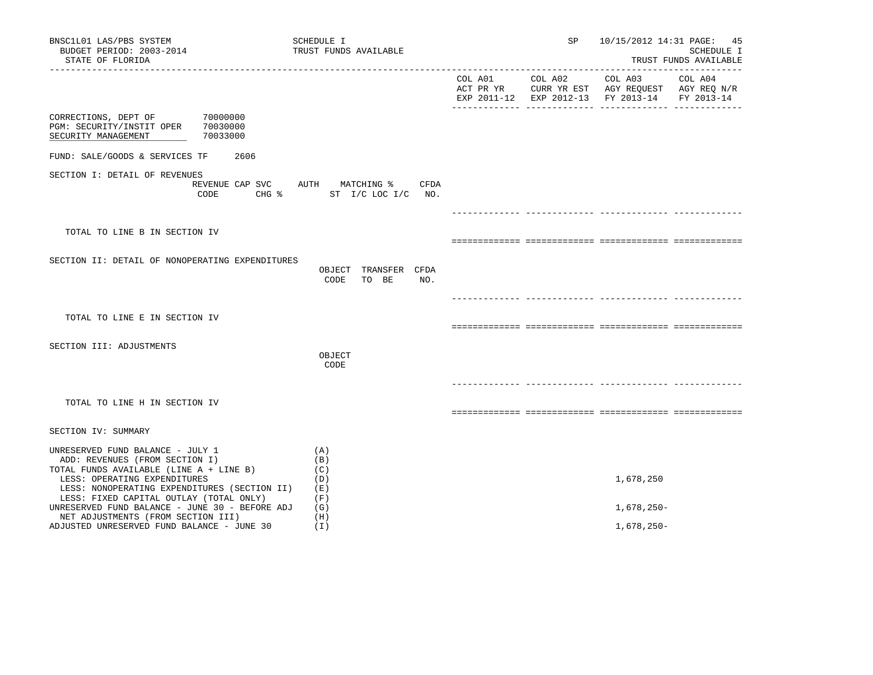| BNSC1L01 LAS/PBS SYSTEM<br>BUDGET PERIOD: 2003-2014<br>STATE OF FLORIDA                                                                                                                       |          | SCHEDULE I<br>TRUST FUNDS AVAILABLE                              | SP              |                                                                                                                   | 10/15/2012 14:31 PAGE: 45<br>SCHEDULE I<br>TRUST FUNDS AVAILABLE |
|-----------------------------------------------------------------------------------------------------------------------------------------------------------------------------------------------|----------|------------------------------------------------------------------|-----------------|-------------------------------------------------------------------------------------------------------------------|------------------------------------------------------------------|
|                                                                                                                                                                                               |          |                                                                  | COL A01 COL A02 | COL A03 COL A04<br>ACT PR YR CURR YR EST AGY REQUEST AGY REQ N/R<br>EXP 2011-12 EXP 2012-13 FY 2013-14 FY 2013-14 |                                                                  |
| CORRECTIONS, DEPT OF 70000000<br>PGM: SECURITY/INSTIT OPER 70030000<br>SECURITY MANAGEMENT                                                                                                    | 70033000 |                                                                  |                 |                                                                                                                   |                                                                  |
| FUND: SALE/GOODS & SERVICES TF                                                                                                                                                                | 2606     |                                                                  |                 |                                                                                                                   |                                                                  |
| SECTION I: DETAIL OF REVENUES                                                                                                                                                                 | CODE     | REVENUE CAP SVC AUTH MATCHING % CFDA<br>CHG % ST I/C LOC I/C NO. |                 |                                                                                                                   |                                                                  |
|                                                                                                                                                                                               |          |                                                                  |                 |                                                                                                                   |                                                                  |
| TOTAL TO LINE B IN SECTION IV                                                                                                                                                                 |          |                                                                  |                 |                                                                                                                   |                                                                  |
| SECTION II: DETAIL OF NONOPERATING EXPENDITURES                                                                                                                                               |          | OBJECT TRANSFER CFDA<br>CODE<br>TO BE<br>NO.                     |                 |                                                                                                                   |                                                                  |
| TOTAL TO LINE E IN SECTION IV                                                                                                                                                                 |          |                                                                  |                 |                                                                                                                   |                                                                  |
| SECTION III: ADJUSTMENTS                                                                                                                                                                      |          | OBJECT<br>CODE                                                   |                 |                                                                                                                   |                                                                  |
| TOTAL TO LINE H IN SECTION IV                                                                                                                                                                 |          |                                                                  |                 |                                                                                                                   |                                                                  |
| SECTION IV: SUMMARY                                                                                                                                                                           |          |                                                                  |                 |                                                                                                                   |                                                                  |
| UNRESERVED FUND BALANCE - JULY 1<br>ADD: REVENUES (FROM SECTION I)<br>TOTAL FUNDS AVAILABLE (LINE A + LINE B)<br>LESS: OPERATING EXPENDITURES<br>LESS: NONOPERATING EXPENDITURES (SECTION II) |          | (A)<br>(B)<br>(C)<br>(D)<br>( E )                                |                 | 1,678,250                                                                                                         |                                                                  |
| LESS: FIXED CAPITAL OUTLAY (TOTAL ONLY)<br>UNRESERVED FUND BALANCE - JUNE 30 - BEFORE ADJ                                                                                                     |          | (F)<br>(G)                                                       |                 | 1,678,250-                                                                                                        |                                                                  |
| NET ADJUSTMENTS (FROM SECTION III)<br>ADJUSTED UNRESERVED FUND BALANCE - JUNE 30                                                                                                              |          | (H)<br>(I)                                                       |                 | 1,678,250-                                                                                                        |                                                                  |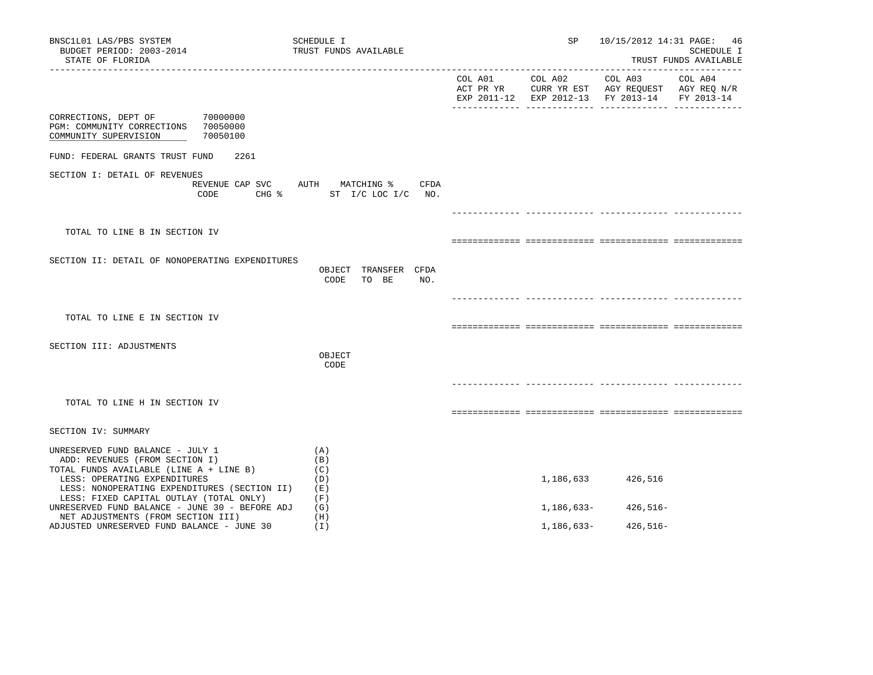| BNSC1L01 LAS/PBS SYSTEM<br>BUDGET PERIOD: 2003-2014<br>STATE OF FLORIDA                                                                                                                       | SCHEDULE I<br>TRUST FUNDS AVAILABLE                              | SP              | 10/15/2012 14:31 PAGE:                                                                                            | 46<br>SCHEDULE I<br>TRUST FUNDS AVAILABLE |
|-----------------------------------------------------------------------------------------------------------------------------------------------------------------------------------------------|------------------------------------------------------------------|-----------------|-------------------------------------------------------------------------------------------------------------------|-------------------------------------------|
|                                                                                                                                                                                               |                                                                  | COL A01 COL A02 | COL A03 COL A04<br>ACT PR YR CURR YR EST AGY REQUEST AGY REQ N/R<br>EXP 2011-12 EXP 2012-13 FY 2013-14 FY 2013-14 |                                           |
| 70000000<br>CORRECTIONS, DEPT OF<br>PGM: COMMUNITY CORRECTIONS 70050000<br>70050100<br>COMMUNITY SUPERVISION                                                                                  |                                                                  |                 |                                                                                                                   |                                           |
| FUND: FEDERAL GRANTS TRUST FUND<br>2261                                                                                                                                                       |                                                                  |                 |                                                                                                                   |                                           |
| SECTION I: DETAIL OF REVENUES<br>CODE                                                                                                                                                         | REVENUE CAP SVC AUTH MATCHING % CFDA<br>CHG % ST I/C LOC I/C NO. |                 |                                                                                                                   |                                           |
|                                                                                                                                                                                               |                                                                  |                 |                                                                                                                   |                                           |
| TOTAL TO LINE B IN SECTION IV                                                                                                                                                                 |                                                                  |                 |                                                                                                                   |                                           |
| SECTION II: DETAIL OF NONOPERATING EXPENDITURES                                                                                                                                               | OBJECT TRANSFER CFDA<br>CODE<br>TO BE<br>NO.                     |                 |                                                                                                                   |                                           |
|                                                                                                                                                                                               |                                                                  |                 |                                                                                                                   |                                           |
| TOTAL TO LINE E IN SECTION IV                                                                                                                                                                 |                                                                  |                 |                                                                                                                   |                                           |
| SECTION III: ADJUSTMENTS                                                                                                                                                                      | OBJECT<br>CODE                                                   |                 |                                                                                                                   |                                           |
| TOTAL TO LINE H IN SECTION IV                                                                                                                                                                 |                                                                  |                 |                                                                                                                   |                                           |
| SECTION IV: SUMMARY                                                                                                                                                                           |                                                                  |                 |                                                                                                                   |                                           |
| UNRESERVED FUND BALANCE - JULY 1<br>ADD: REVENUES (FROM SECTION I)<br>TOTAL FUNDS AVAILABLE (LINE A + LINE B)<br>LESS: OPERATING EXPENDITURES<br>LESS: NONOPERATING EXPENDITURES (SECTION II) | (A)<br>(B)<br>(C)<br>(D)<br>(E)                                  |                 | 1, 186, 633 426, 516                                                                                              |                                           |
| LESS: FIXED CAPITAL OUTLAY (TOTAL ONLY)<br>UNRESERVED FUND BALANCE - JUNE 30 - BEFORE ADJ                                                                                                     | (F)<br>(G)                                                       |                 | $1,186,633-426,516-$                                                                                              |                                           |
| NET ADJUSTMENTS (FROM SECTION III)<br>ADJUSTED UNRESERVED FUND BALANCE - JUNE 30                                                                                                              | (H)<br>(I)                                                       | 1,186,633-      | 426,516-                                                                                                          |                                           |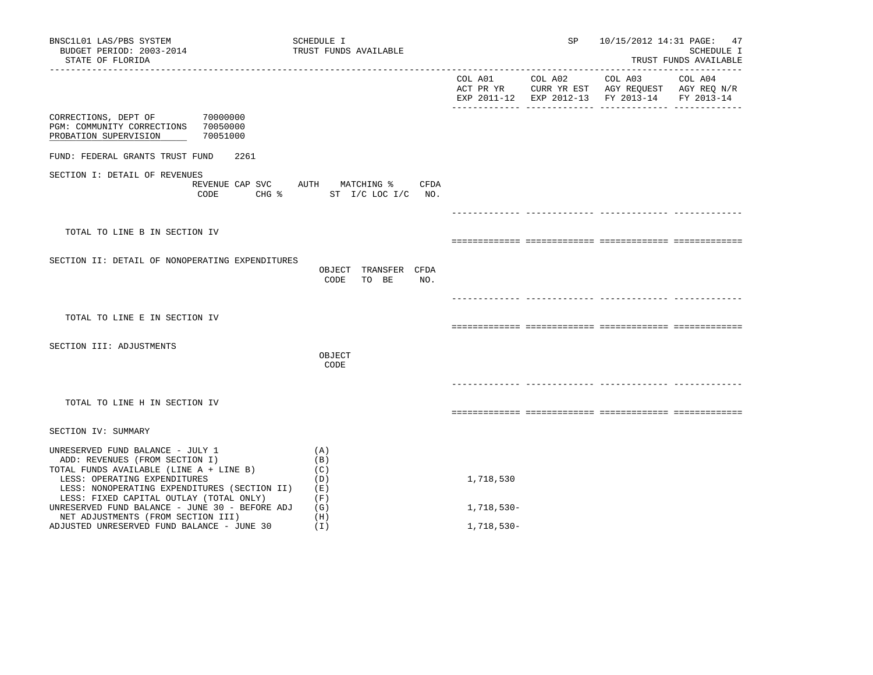| BNSC1L01 LAS/PBS SYSTEM<br>BUDGET PERIOD: 2003-2014<br>STATE OF FLORIDA                                                                                                                                                                  | SCHEDULE I<br>TRUST FUNDS AVAILABLE                              |            | SP              | 10/15/2012 14:31 PAGE: 47                                                                                         | SCHEDULE I<br>TRUST FUNDS AVAILABLE |
|------------------------------------------------------------------------------------------------------------------------------------------------------------------------------------------------------------------------------------------|------------------------------------------------------------------|------------|-----------------|-------------------------------------------------------------------------------------------------------------------|-------------------------------------|
|                                                                                                                                                                                                                                          |                                                                  |            | COL A01 COL A02 | COL A03 COL A04<br>ACT PR YR CURR YR EST AGY REQUEST AGY REQ N/R<br>EXP 2011-12 EXP 2012-13 FY 2013-14 FY 2013-14 |                                     |
| 70000000<br>CORRECTIONS, DEPT OF<br>PGM: COMMUNITY CORRECTIONS 70050000<br>70051000<br>PROBATION SUPERVISION                                                                                                                             |                                                                  |            |                 |                                                                                                                   |                                     |
| FUND: FEDERAL GRANTS TRUST FUND<br>2261                                                                                                                                                                                                  |                                                                  |            |                 |                                                                                                                   |                                     |
| SECTION I: DETAIL OF REVENUES<br>CODE                                                                                                                                                                                                    | REVENUE CAP SVC AUTH MATCHING % CFDA<br>CHG % ST I/C LOC I/C NO. |            |                 |                                                                                                                   |                                     |
|                                                                                                                                                                                                                                          |                                                                  |            |                 |                                                                                                                   |                                     |
| TOTAL TO LINE B IN SECTION IV                                                                                                                                                                                                            |                                                                  |            |                 |                                                                                                                   |                                     |
| SECTION II: DETAIL OF NONOPERATING EXPENDITURES                                                                                                                                                                                          | OBJECT TRANSFER CFDA<br>CODE<br>TO BE<br>NO.                     |            |                 |                                                                                                                   |                                     |
|                                                                                                                                                                                                                                          |                                                                  |            |                 |                                                                                                                   |                                     |
| TOTAL TO LINE E IN SECTION IV                                                                                                                                                                                                            |                                                                  |            |                 |                                                                                                                   |                                     |
| SECTION III: ADJUSTMENTS                                                                                                                                                                                                                 | OBJECT<br>CODE                                                   |            |                 |                                                                                                                   |                                     |
| TOTAL TO LINE H IN SECTION IV                                                                                                                                                                                                            |                                                                  |            |                 |                                                                                                                   |                                     |
| SECTION IV: SUMMARY                                                                                                                                                                                                                      |                                                                  |            |                 |                                                                                                                   |                                     |
| UNRESERVED FUND BALANCE - JULY 1<br>ADD: REVENUES (FROM SECTION I)<br>TOTAL FUNDS AVAILABLE (LINE A + LINE B)<br>LESS: OPERATING EXPENDITURES<br>LESS: NONOPERATING EXPENDITURES (SECTION II)<br>LESS: FIXED CAPITAL OUTLAY (TOTAL ONLY) | (A)<br>(B)<br>(C)<br>(D)<br>(E)<br>(F)                           | 1,718,530  |                 |                                                                                                                   |                                     |
| UNRESERVED FUND BALANCE - JUNE 30 - BEFORE ADJ<br>NET ADJUSTMENTS (FROM SECTION III)                                                                                                                                                     | (G)<br>(H)                                                       | 1,718,530- |                 |                                                                                                                   |                                     |
| ADJUSTED UNRESERVED FUND BALANCE - JUNE 30                                                                                                                                                                                               | (I)                                                              | 1,718,530- |                 |                                                                                                                   |                                     |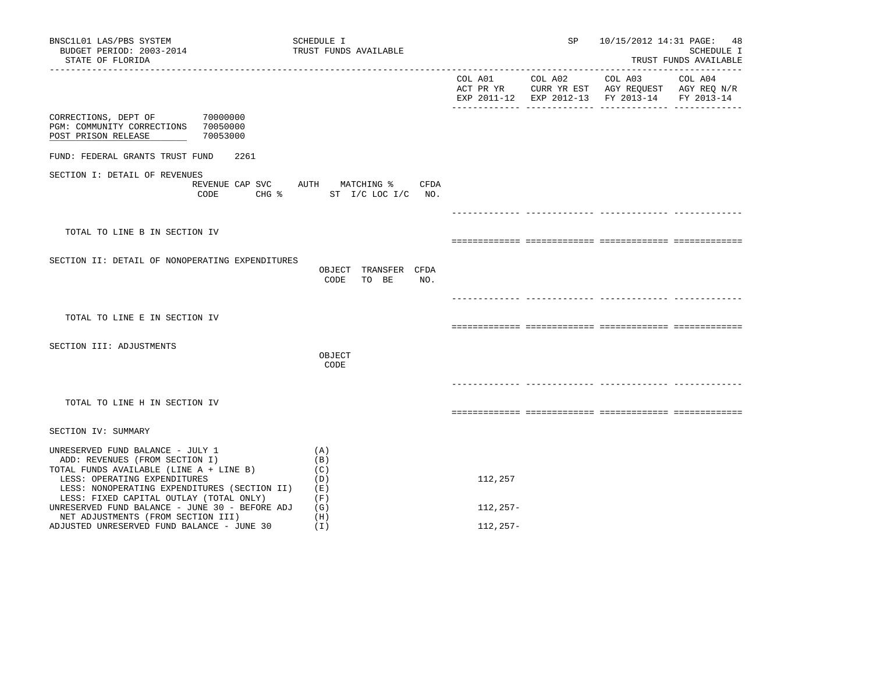| BNSC1L01 LAS/PBS SYSTEM<br>BUDGET PERIOD: 2003-2014<br>STATE OF FLORIDA                                                                                                                                                                  | SCHEDULE I<br>TRUST FUNDS AVAILABLE                              |             | SP              | 10/15/2012 14:31 PAGE: 48                                                                                         | SCHEDULE I<br>TRUST FUNDS AVAILABLE |
|------------------------------------------------------------------------------------------------------------------------------------------------------------------------------------------------------------------------------------------|------------------------------------------------------------------|-------------|-----------------|-------------------------------------------------------------------------------------------------------------------|-------------------------------------|
|                                                                                                                                                                                                                                          |                                                                  |             | COL A01 COL A02 | COL A03 COL A04<br>ACT PR YR CURR YR EST AGY REQUEST AGY REQ N/R<br>EXP 2011-12 EXP 2012-13 FY 2013-14 FY 2013-14 |                                     |
| CORRECTIONS, DEPT OF 70000000<br>PGM: COMMUNITY CORRECTIONS 70050000<br>70053000<br>POST PRISON RELEASE                                                                                                                                  |                                                                  |             |                 |                                                                                                                   |                                     |
| FUND: FEDERAL GRANTS TRUST FUND<br>2261                                                                                                                                                                                                  |                                                                  |             |                 |                                                                                                                   |                                     |
| SECTION I: DETAIL OF REVENUES<br>CODE                                                                                                                                                                                                    | REVENUE CAP SVC AUTH MATCHING % CFDA<br>CHG % ST I/C LOC I/C NO. |             |                 |                                                                                                                   |                                     |
|                                                                                                                                                                                                                                          |                                                                  |             |                 |                                                                                                                   |                                     |
| TOTAL TO LINE B IN SECTION IV                                                                                                                                                                                                            |                                                                  |             |                 |                                                                                                                   |                                     |
| SECTION II: DETAIL OF NONOPERATING EXPENDITURES                                                                                                                                                                                          | OBJECT TRANSFER CFDA<br>CODE<br>TO BE<br>NO.                     |             |                 |                                                                                                                   |                                     |
|                                                                                                                                                                                                                                          |                                                                  |             |                 |                                                                                                                   |                                     |
| TOTAL TO LINE E IN SECTION IV                                                                                                                                                                                                            |                                                                  |             |                 |                                                                                                                   |                                     |
| SECTION III: ADJUSTMENTS                                                                                                                                                                                                                 | OBJECT<br>CODE                                                   |             |                 |                                                                                                                   |                                     |
| TOTAL TO LINE H IN SECTION IV                                                                                                                                                                                                            |                                                                  |             |                 |                                                                                                                   |                                     |
| SECTION IV: SUMMARY                                                                                                                                                                                                                      |                                                                  |             |                 |                                                                                                                   |                                     |
| UNRESERVED FUND BALANCE - JULY 1<br>ADD: REVENUES (FROM SECTION I)<br>TOTAL FUNDS AVAILABLE (LINE A + LINE B)<br>LESS: OPERATING EXPENDITURES<br>LESS: NONOPERATING EXPENDITURES (SECTION II)<br>LESS: FIXED CAPITAL OUTLAY (TOTAL ONLY) | (A)<br>(B)<br>(C)<br>(D)<br>(E)<br>(F)                           | 112,257     |                 |                                                                                                                   |                                     |
| UNRESERVED FUND BALANCE - JUNE 30 - BEFORE ADJ<br>NET ADJUSTMENTS (FROM SECTION III)                                                                                                                                                     | (G)<br>(H)                                                       | 112,257-    |                 |                                                                                                                   |                                     |
| ADJUSTED UNRESERVED FUND BALANCE - JUNE 30                                                                                                                                                                                               | (I)                                                              | $112, 257-$ |                 |                                                                                                                   |                                     |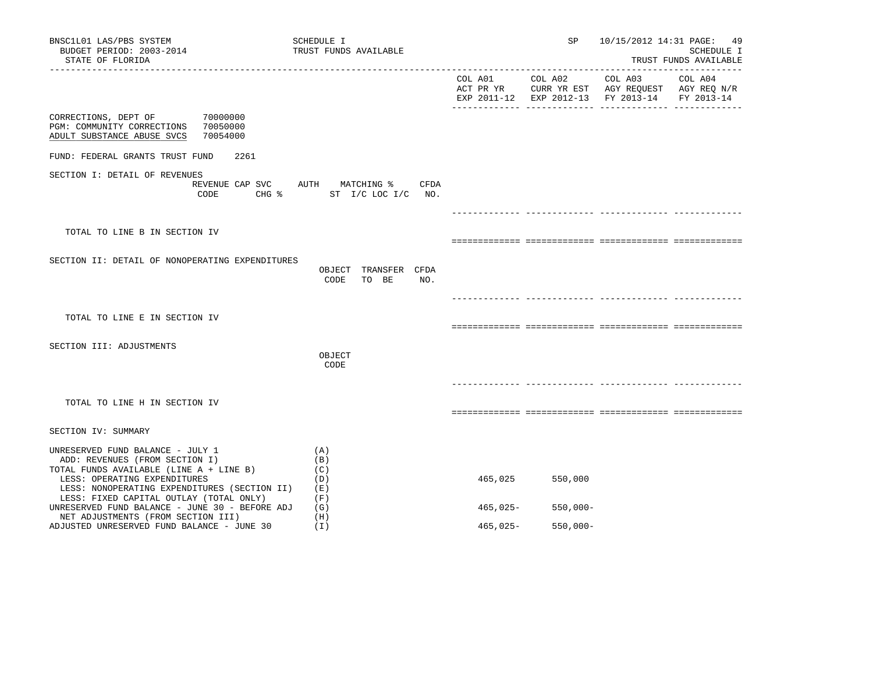| BNSC1L01 LAS/PBS SYSTEM<br>BUDGET PERIOD: 2003-2014<br>STATE OF FLORIDA                                                                                                                       | SCHEDULE I<br>TRUST FUNDS AVAILABLE                               |          | SP              | 10/15/2012 14:31 PAGE: 49                                                                      | SCHEDULE I<br>TRUST FUNDS AVAILABLE |
|-----------------------------------------------------------------------------------------------------------------------------------------------------------------------------------------------|-------------------------------------------------------------------|----------|-----------------|------------------------------------------------------------------------------------------------|-------------------------------------|
|                                                                                                                                                                                               |                                                                   |          | COL A01 COL A02 | COL A03<br>ACT PR YR CURR YR EST AGY REQUEST AGY REQ N/R<br>EXP 2011-12 EXP 2012-13 FY 2013-14 | COL A04<br>FY 2013-14               |
| CORRECTIONS, DEPT OF<br>70000000<br>70050000<br>PGM: COMMUNITY CORRECTIONS<br>ADULT SUBSTANCE ABUSE SVCS<br>70054000                                                                          |                                                                   |          |                 |                                                                                                |                                     |
| FUND: FEDERAL GRANTS TRUST FUND<br>2261                                                                                                                                                       |                                                                   |          |                 |                                                                                                |                                     |
| SECTION I: DETAIL OF REVENUES<br>CODE<br>$CHG$ $\approx$                                                                                                                                      | REVENUE CAP SVC AUTH MATCHING %<br>CFDA<br>ST $I/C$ LOC $I/C$ NO. |          |                 |                                                                                                |                                     |
|                                                                                                                                                                                               |                                                                   |          |                 |                                                                                                |                                     |
| TOTAL TO LINE B IN SECTION IV                                                                                                                                                                 |                                                                   |          |                 |                                                                                                |                                     |
| SECTION II: DETAIL OF NONOPERATING EXPENDITURES                                                                                                                                               | OBJECT TRANSFER CFDA<br>CODE<br>TO BE<br>NO.                      |          |                 |                                                                                                |                                     |
|                                                                                                                                                                                               |                                                                   |          |                 |                                                                                                |                                     |
| TOTAL TO LINE E IN SECTION IV                                                                                                                                                                 |                                                                   |          |                 |                                                                                                |                                     |
|                                                                                                                                                                                               |                                                                   |          |                 |                                                                                                |                                     |
| SECTION III: ADJUSTMENTS                                                                                                                                                                      | OBJECT<br>CODE                                                    |          |                 |                                                                                                |                                     |
|                                                                                                                                                                                               |                                                                   |          |                 |                                                                                                |                                     |
| TOTAL TO LINE H IN SECTION IV                                                                                                                                                                 |                                                                   |          |                 |                                                                                                |                                     |
| SECTION IV: SUMMARY                                                                                                                                                                           |                                                                   |          |                 |                                                                                                |                                     |
| UNRESERVED FUND BALANCE - JULY 1<br>ADD: REVENUES (FROM SECTION I)<br>TOTAL FUNDS AVAILABLE (LINE A + LINE B)<br>LESS: OPERATING EXPENDITURES<br>LESS: NONOPERATING EXPENDITURES (SECTION II) | (A)<br>(B)<br>(C)<br>(D)<br>(E)                                   | 465,025  | 550,000         |                                                                                                |                                     |
| LESS: FIXED CAPITAL OUTLAY (TOTAL ONLY)<br>UNRESERVED FUND BALANCE - JUNE 30 - BEFORE ADJ                                                                                                     | (F)<br>(G)                                                        | 465,025- | $550,000-$      |                                                                                                |                                     |
| NET ADJUSTMENTS (FROM SECTION III)<br>ADJUSTED UNRESERVED FUND BALANCE - JUNE 30                                                                                                              | (H)<br>(I)                                                        | 465,025- | $550,000 -$     |                                                                                                |                                     |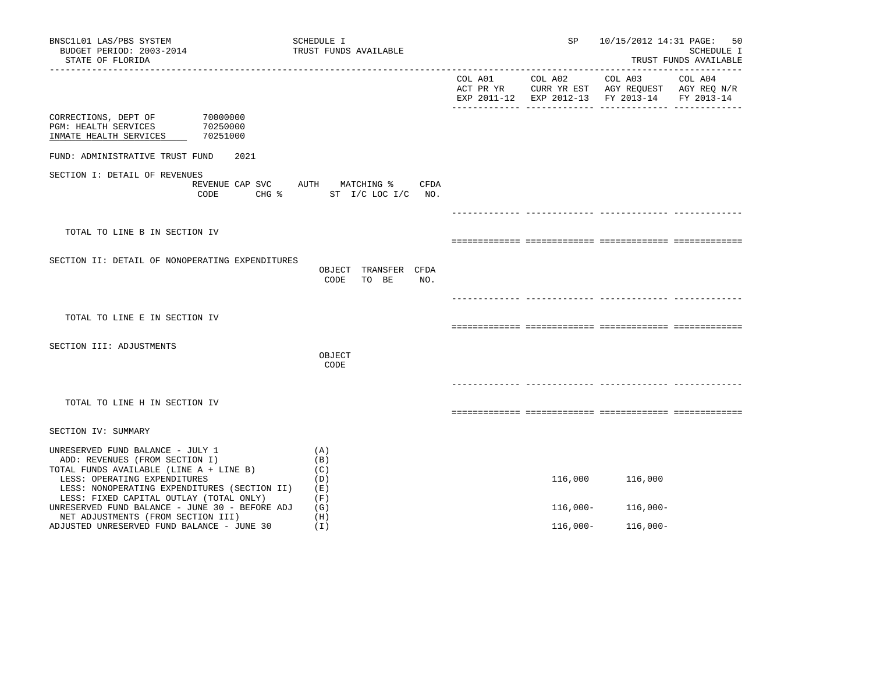| BNSC1L01 LAS/PBS SYSTEM<br>BUDGET PERIOD: 2003-2014<br>STATE OF FLORIDA                                                                                                                                                                  | SCHEDULE I<br>TRUST FUNDS AVAILABLE                                 | SP              | 10/15/2012 14:31 PAGE: 50                                                                                         | SCHEDULE I<br>TRUST FUNDS AVAILABLE |
|------------------------------------------------------------------------------------------------------------------------------------------------------------------------------------------------------------------------------------------|---------------------------------------------------------------------|-----------------|-------------------------------------------------------------------------------------------------------------------|-------------------------------------|
|                                                                                                                                                                                                                                          |                                                                     | COL A01 COL A02 | COL A03 COL A04<br>ACT PR YR CURR YR EST AGY REQUEST AGY REQ N/R<br>EXP 2011-12 EXP 2012-13 FY 2013-14 FY 2013-14 |                                     |
| 70000000<br>CORRECTIONS, DEPT OF<br>70250000<br>PGM: HEALTH SERVICES<br>70251000<br>INMATE HEALTH SERVICES                                                                                                                               |                                                                     |                 |                                                                                                                   |                                     |
| FUND: ADMINISTRATIVE TRUST FUND<br>2021                                                                                                                                                                                                  |                                                                     |                 |                                                                                                                   |                                     |
| SECTION I: DETAIL OF REVENUES<br>CODE                                                                                                                                                                                                    | REVENUE CAP SVC AUTH MATCHING %<br>CFDA<br>CHG % ST I/C LOC I/C NO. |                 |                                                                                                                   |                                     |
|                                                                                                                                                                                                                                          |                                                                     |                 |                                                                                                                   |                                     |
| TOTAL TO LINE B IN SECTION IV                                                                                                                                                                                                            |                                                                     |                 |                                                                                                                   |                                     |
| SECTION II: DETAIL OF NONOPERATING EXPENDITURES                                                                                                                                                                                          | OBJECT TRANSFER CFDA<br>CODE<br>TO BE<br>NO.                        |                 |                                                                                                                   |                                     |
|                                                                                                                                                                                                                                          |                                                                     |                 |                                                                                                                   |                                     |
| TOTAL TO LINE E IN SECTION IV                                                                                                                                                                                                            |                                                                     |                 |                                                                                                                   |                                     |
| SECTION III: ADJUSTMENTS                                                                                                                                                                                                                 | OBJECT<br>CODE                                                      |                 |                                                                                                                   |                                     |
| TOTAL TO LINE H IN SECTION IV                                                                                                                                                                                                            |                                                                     |                 |                                                                                                                   |                                     |
| SECTION IV: SUMMARY                                                                                                                                                                                                                      |                                                                     |                 |                                                                                                                   |                                     |
|                                                                                                                                                                                                                                          |                                                                     |                 |                                                                                                                   |                                     |
| UNRESERVED FUND BALANCE - JULY 1<br>ADD: REVENUES (FROM SECTION I)<br>TOTAL FUNDS AVAILABLE (LINE A + LINE B)<br>LESS: OPERATING EXPENDITURES<br>LESS: NONOPERATING EXPENDITURES (SECTION II)<br>LESS: FIXED CAPITAL OUTLAY (TOTAL ONLY) | (A)<br>(B)<br>(C)<br>(D)<br>(E)<br>(F)                              | 116,000         | 116,000                                                                                                           |                                     |
| UNRESERVED FUND BALANCE - JUNE 30 - BEFORE ADJ                                                                                                                                                                                           | (G)<br>(H)                                                          | $116,000-$      | 116,000-                                                                                                          |                                     |
| NET ADJUSTMENTS (FROM SECTION III)<br>ADJUSTED UNRESERVED FUND BALANCE - JUNE 30                                                                                                                                                         | (I)                                                                 | $116,000-$      | $116,000-$                                                                                                        |                                     |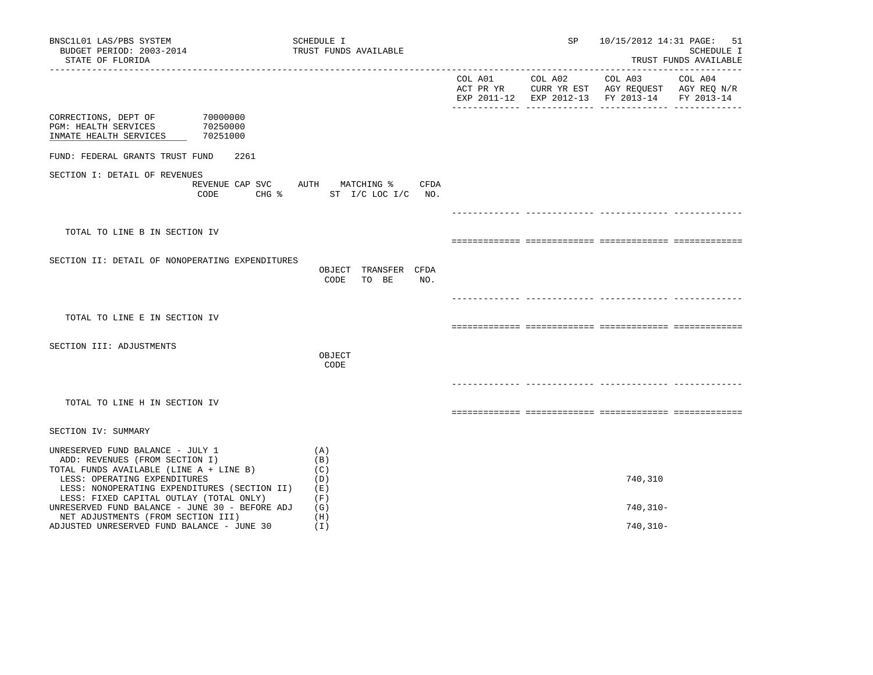| BNSC1L01 LAS/PBS SYSTEM<br>BUDGET PERIOD: 2003-2014<br>STATE OF FLORIDA                                                                                                                       | SCHEDULE I<br>TRUST FUNDS AVAILABLE                                             | SP              | 10/15/2012 14:31 PAGE: 51                                                                                         | SCHEDULE I<br>TRUST FUNDS AVAILABLE |
|-----------------------------------------------------------------------------------------------------------------------------------------------------------------------------------------------|---------------------------------------------------------------------------------|-----------------|-------------------------------------------------------------------------------------------------------------------|-------------------------------------|
|                                                                                                                                                                                               |                                                                                 | COL A01 COL A02 | COL A03 COL A04<br>ACT PR YR CURR YR EST AGY REQUEST AGY REQ N/R<br>EXP 2011-12 EXP 2012-13 FY 2013-14 FY 2013-14 |                                     |
| 70000000<br>CORRECTIONS, DEPT OF<br>PGM: HEALTH SERVICES<br>70250000<br>INMATE HEALTH SERVICES<br>70251000                                                                                    |                                                                                 |                 |                                                                                                                   |                                     |
| FUND: FEDERAL GRANTS TRUST FUND<br>2261                                                                                                                                                       |                                                                                 |                 |                                                                                                                   |                                     |
| SECTION I: DETAIL OF REVENUES<br>CODE                                                                                                                                                         | REVENUE CAP SVC AUTH MATCHING %<br>CFDA<br>CHG $\frac{1}{2}$ ST I/C LOC I/C NO. |                 |                                                                                                                   |                                     |
|                                                                                                                                                                                               |                                                                                 |                 |                                                                                                                   |                                     |
| TOTAL TO LINE B IN SECTION IV                                                                                                                                                                 |                                                                                 |                 |                                                                                                                   |                                     |
| SECTION II: DETAIL OF NONOPERATING EXPENDITURES                                                                                                                                               | OBJECT TRANSFER CFDA<br>CODE<br>TO BE<br>NO.                                    |                 |                                                                                                                   |                                     |
|                                                                                                                                                                                               |                                                                                 |                 |                                                                                                                   |                                     |
| TOTAL TO LINE E IN SECTION IV                                                                                                                                                                 |                                                                                 |                 |                                                                                                                   |                                     |
| SECTION III: ADJUSTMENTS                                                                                                                                                                      | OBJECT<br>CODE                                                                  |                 |                                                                                                                   |                                     |
|                                                                                                                                                                                               |                                                                                 |                 |                                                                                                                   |                                     |
| TOTAL TO LINE H IN SECTION IV                                                                                                                                                                 |                                                                                 |                 |                                                                                                                   |                                     |
| SECTION IV: SUMMARY                                                                                                                                                                           |                                                                                 |                 |                                                                                                                   |                                     |
| UNRESERVED FUND BALANCE - JULY 1<br>ADD: REVENUES (FROM SECTION I)<br>TOTAL FUNDS AVAILABLE (LINE A + LINE B)<br>LESS: OPERATING EXPENDITURES<br>LESS: NONOPERATING EXPENDITURES (SECTION II) | (A)<br>(B)<br>(C)<br>(D)<br>(E)                                                 |                 | 740,310                                                                                                           |                                     |
| LESS: FIXED CAPITAL OUTLAY (TOTAL ONLY)<br>UNRESERVED FUND BALANCE - JUNE 30 - BEFORE ADJ                                                                                                     | (F)<br>(G)                                                                      |                 | $740, 310 -$                                                                                                      |                                     |
| NET ADJUSTMENTS (FROM SECTION III)<br>ADJUSTED UNRESERVED FUND BALANCE - JUNE 30                                                                                                              | (H)<br>(I)                                                                      |                 | $740, 310 -$                                                                                                      |                                     |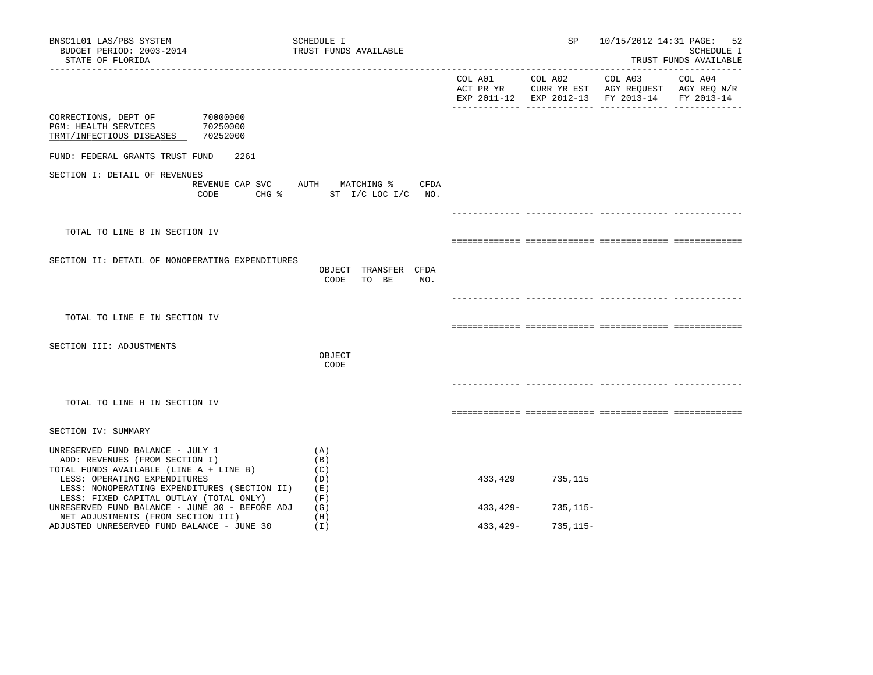| BNSC1L01 LAS/PBS SYSTEM<br>BUDGET PERIOD: 2003-2014<br>STATE OF FLORIDA                                                                                                                                                                  | SCHEDULE I<br>TRUST FUNDS AVAILABLE                              |          | SP           |                                                                                                | 10/15/2012 14:31 PAGE: 52<br>SCHEDULE I<br>TRUST FUNDS AVAILABLE |
|------------------------------------------------------------------------------------------------------------------------------------------------------------------------------------------------------------------------------------------|------------------------------------------------------------------|----------|--------------|------------------------------------------------------------------------------------------------|------------------------------------------------------------------|
|                                                                                                                                                                                                                                          |                                                                  |          |              | ACT PR YR CURR YR EST AGY REQUEST AGY REQ N/R<br>EXP 2011-12 EXP 2012-13 FY 2013-14 FY 2013-14 |                                                                  |
| CORRECTIONS, DEPT OF<br>70000000<br>70250000<br>PGM: HEALTH SERVICES<br>TRMT/INFECTIOUS DISEASES 70252000                                                                                                                                |                                                                  |          |              |                                                                                                |                                                                  |
| FUND: FEDERAL GRANTS TRUST FUND<br>2261                                                                                                                                                                                                  |                                                                  |          |              |                                                                                                |                                                                  |
| SECTION I: DETAIL OF REVENUES<br>CODE                                                                                                                                                                                                    | REVENUE CAP SVC AUTH MATCHING % CFDA<br>CHG % ST I/C LOC I/C NO. |          |              |                                                                                                |                                                                  |
|                                                                                                                                                                                                                                          |                                                                  |          |              |                                                                                                |                                                                  |
| TOTAL TO LINE B IN SECTION IV                                                                                                                                                                                                            |                                                                  |          |              |                                                                                                |                                                                  |
| SECTION II: DETAIL OF NONOPERATING EXPENDITURES                                                                                                                                                                                          | OBJECT TRANSFER CFDA<br>CODE<br>TO BE<br>NO.                     |          |              |                                                                                                |                                                                  |
|                                                                                                                                                                                                                                          |                                                                  |          |              |                                                                                                |                                                                  |
| TOTAL TO LINE E IN SECTION IV                                                                                                                                                                                                            |                                                                  |          |              |                                                                                                |                                                                  |
| SECTION III: ADJUSTMENTS                                                                                                                                                                                                                 | OBJECT<br>CODE                                                   |          |              |                                                                                                |                                                                  |
| TOTAL TO LINE H IN SECTION IV                                                                                                                                                                                                            |                                                                  |          |              |                                                                                                |                                                                  |
| SECTION IV: SUMMARY                                                                                                                                                                                                                      |                                                                  |          |              |                                                                                                |                                                                  |
| UNRESERVED FUND BALANCE - JULY 1<br>ADD: REVENUES (FROM SECTION I)<br>TOTAL FUNDS AVAILABLE (LINE A + LINE B)<br>LESS: OPERATING EXPENDITURES<br>LESS: NONOPERATING EXPENDITURES (SECTION II)<br>LESS: FIXED CAPITAL OUTLAY (TOTAL ONLY) | (A)<br>(B)<br>(C)<br>(D)<br>( E )<br>(F)                         | 433,429  | 735,115      |                                                                                                |                                                                  |
| UNRESERVED FUND BALANCE - JUNE 30 - BEFORE ADJ<br>NET ADJUSTMENTS (FROM SECTION III)                                                                                                                                                     | (G)<br>(H)                                                       | 433,429- | 735,115–     |                                                                                                |                                                                  |
| ADJUSTED UNRESERVED FUND BALANCE - JUNE 30                                                                                                                                                                                               | (I)                                                              | 433,429- | $735, 115 -$ |                                                                                                |                                                                  |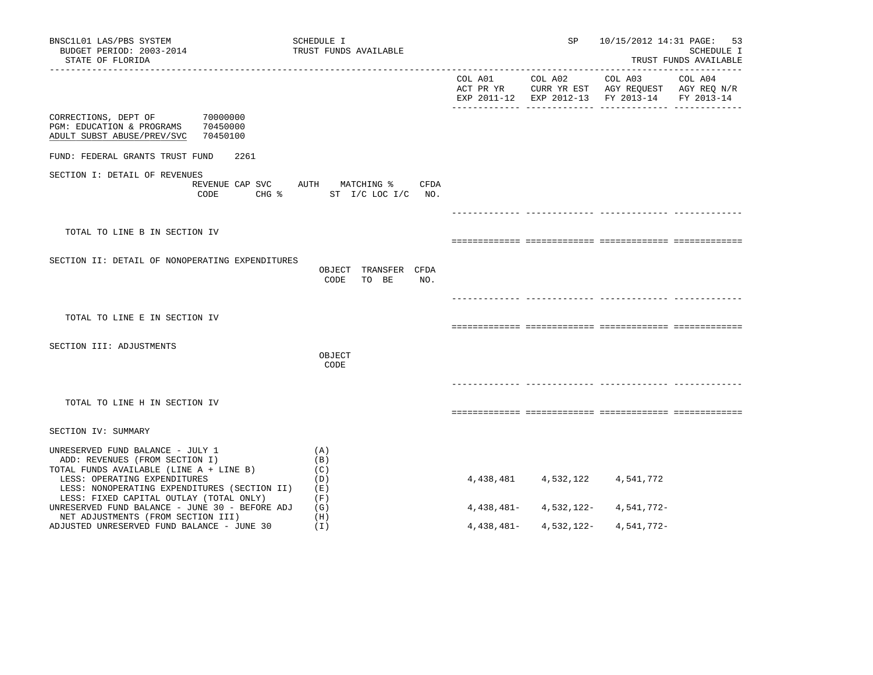| BNSC1L01 LAS/PBS SYSTEM<br>BUDGET PERIOD: 2003-2014<br>STATE OF FLORIDA                                                                                                                       | SCHEDULE I<br>TRUST FUNDS AVAILABLE                      |            | SP              |                                                                                                | 10/15/2012 14:31 PAGE: 53<br>SCHEDULE I<br>TRUST FUNDS AVAILABLE |
|-----------------------------------------------------------------------------------------------------------------------------------------------------------------------------------------------|----------------------------------------------------------|------------|-----------------|------------------------------------------------------------------------------------------------|------------------------------------------------------------------|
|                                                                                                                                                                                               |                                                          |            | COL A01 COL A02 | COL A03<br>ACT PR YR CURR YR EST AGY REQUEST AGY REQ N/R<br>EXP 2011-12 EXP 2012-13 FY 2013-14 | COL A04<br>FY 2013-14                                            |
| 70000000<br>CORRECTIONS, DEPT OF<br>PGM: EDUCATION & PROGRAMS<br>70450000<br>ADULT SUBST ABUSE/PREV/SVC<br>70450100                                                                           |                                                          |            |                 |                                                                                                |                                                                  |
| FUND: FEDERAL GRANTS TRUST FUND<br>2261                                                                                                                                                       |                                                          |            |                 |                                                                                                |                                                                  |
| SECTION I: DETAIL OF REVENUES<br>REVENUE CAP SVC<br>CODE<br>CHG %                                                                                                                             | AUTH MATCHING %<br>CFDA<br>$ST$ $I/C$ $LOC$ $I/C$ $NO$ . |            |                 |                                                                                                |                                                                  |
|                                                                                                                                                                                               |                                                          |            |                 |                                                                                                |                                                                  |
| TOTAL TO LINE B IN SECTION IV                                                                                                                                                                 |                                                          |            |                 |                                                                                                |                                                                  |
| SECTION II: DETAIL OF NONOPERATING EXPENDITURES                                                                                                                                               | OBJECT TRANSFER CFDA<br>CODE<br>TO BE<br>NO.             |            |                 |                                                                                                |                                                                  |
|                                                                                                                                                                                               |                                                          |            |                 |                                                                                                |                                                                  |
| TOTAL TO LINE E IN SECTION IV                                                                                                                                                                 |                                                          |            |                 |                                                                                                |                                                                  |
| SECTION III: ADJUSTMENTS                                                                                                                                                                      | OBJECT<br>CODE                                           |            |                 |                                                                                                |                                                                  |
|                                                                                                                                                                                               |                                                          |            |                 |                                                                                                |                                                                  |
| TOTAL TO LINE H IN SECTION IV                                                                                                                                                                 |                                                          |            |                 |                                                                                                |                                                                  |
| SECTION IV: SUMMARY                                                                                                                                                                           |                                                          |            |                 |                                                                                                |                                                                  |
| UNRESERVED FUND BALANCE - JULY 1<br>ADD: REVENUES (FROM SECTION I)<br>TOTAL FUNDS AVAILABLE (LINE A + LINE B)<br>LESS: OPERATING EXPENDITURES<br>LESS: NONOPERATING EXPENDITURES (SECTION II) | (A)<br>(B)<br>(C)<br>(D)<br>(E)                          | 4,438,481  | 4,532,122       | 4,541,772                                                                                      |                                                                  |
| LESS: FIXED CAPITAL OUTLAY (TOTAL ONLY)<br>UNRESERVED FUND BALANCE - JUNE 30 - BEFORE ADJ                                                                                                     | (F)<br>(G)                                               | 4,438,481- | 4,532,122-      | 4,541,772-                                                                                     |                                                                  |
| NET ADJUSTMENTS (FROM SECTION III)<br>ADJUSTED UNRESERVED FUND BALANCE - JUNE 30                                                                                                              | (H)<br>(1)                                               | 4,438,481- | 4,532,122-      | 4,541,772-                                                                                     |                                                                  |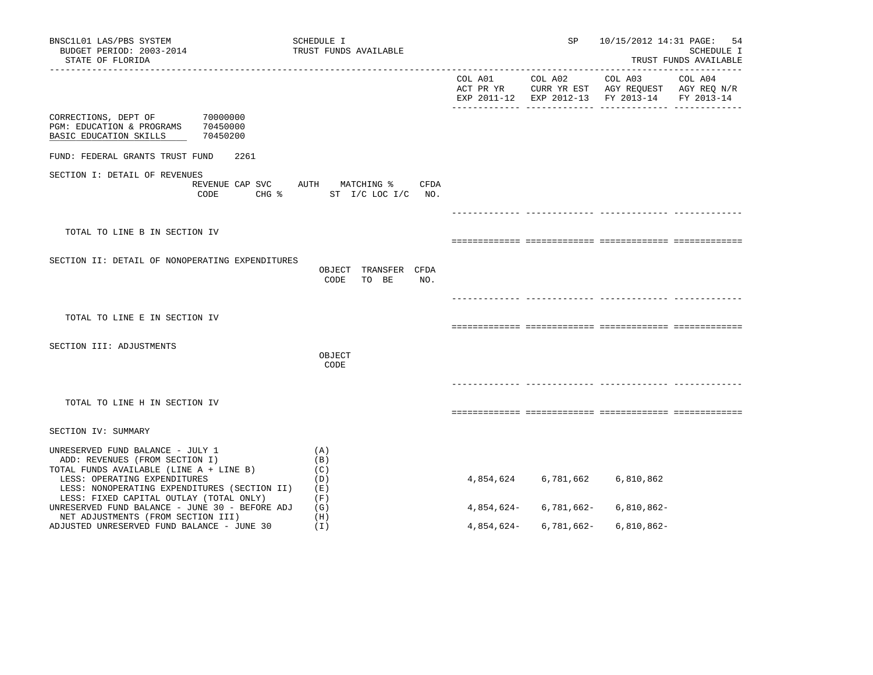| BNSC1L01 LAS/PBS SYSTEM<br>BUDGET PERIOD: 2003-2014<br>STATE OF FLORIDA                                                                                                                       | SCHEDULE I<br>TRUST FUNDS AVAILABLE                                             |            | SP              | 10/15/2012 14:31 PAGE:                                                                         | 54<br>SCHEDULE I<br>TRUST FUNDS AVAILABLE |
|-----------------------------------------------------------------------------------------------------------------------------------------------------------------------------------------------|---------------------------------------------------------------------------------|------------|-----------------|------------------------------------------------------------------------------------------------|-------------------------------------------|
|                                                                                                                                                                                               |                                                                                 |            | COL A01 COL A02 | COL A03<br>ACT PR YR CURR YR EST AGY REQUEST AGY REQ N/R<br>EXP 2011-12 EXP 2012-13 FY 2013-14 | COL A04<br>FY 2013-14                     |
| CORRECTIONS, DEPT OF<br>70000000<br>PGM: EDUCATION & PROGRAMS 70450000<br>BASIC EDUCATION SKILLS<br>70450200                                                                                  |                                                                                 |            |                 |                                                                                                |                                           |
| FUND: FEDERAL GRANTS TRUST FUND<br>2261                                                                                                                                                       |                                                                                 |            |                 |                                                                                                |                                           |
| SECTION I: DETAIL OF REVENUES<br>CODE                                                                                                                                                         | REVENUE CAP SVC AUTH MATCHING %<br>CFDA<br>CHG $\frac{1}{2}$ ST I/C LOC I/C NO. |            |                 |                                                                                                |                                           |
|                                                                                                                                                                                               |                                                                                 |            |                 |                                                                                                |                                           |
| TOTAL TO LINE B IN SECTION IV                                                                                                                                                                 |                                                                                 |            |                 |                                                                                                |                                           |
| SECTION II: DETAIL OF NONOPERATING EXPENDITURES                                                                                                                                               | OBJECT TRANSFER CFDA<br>CODE<br>TO BE<br>NO.                                    |            |                 |                                                                                                |                                           |
|                                                                                                                                                                                               |                                                                                 |            |                 |                                                                                                |                                           |
| TOTAL TO LINE E IN SECTION IV                                                                                                                                                                 |                                                                                 |            |                 |                                                                                                |                                           |
| SECTION III: ADJUSTMENTS                                                                                                                                                                      |                                                                                 |            |                 |                                                                                                |                                           |
|                                                                                                                                                                                               | OBJECT<br>CODE                                                                  |            |                 |                                                                                                |                                           |
|                                                                                                                                                                                               |                                                                                 |            |                 |                                                                                                |                                           |
| TOTAL TO LINE H IN SECTION IV                                                                                                                                                                 |                                                                                 |            |                 |                                                                                                |                                           |
| SECTION IV: SUMMARY                                                                                                                                                                           |                                                                                 |            |                 |                                                                                                |                                           |
| UNRESERVED FUND BALANCE - JULY 1<br>ADD: REVENUES (FROM SECTION I)<br>TOTAL FUNDS AVAILABLE (LINE A + LINE B)<br>LESS: OPERATING EXPENDITURES<br>LESS: NONOPERATING EXPENDITURES (SECTION II) | (A)<br>(B)<br>(C)<br>(D)<br>(E)                                                 | 4,854,624  | 6,781,662       | 6,810,862                                                                                      |                                           |
| LESS: FIXED CAPITAL OUTLAY (TOTAL ONLY)<br>UNRESERVED FUND BALANCE - JUNE 30 - BEFORE ADJ                                                                                                     | (F)<br>(G)                                                                      | 4,854,624- | 6,781,662-      | 6,810,862-                                                                                     |                                           |
| NET ADJUSTMENTS (FROM SECTION III)<br>ADJUSTED UNRESERVED FUND BALANCE - JUNE 30                                                                                                              | (H)<br>(I)                                                                      | 4,854,624- | 6,781,662-      | 6,810,862-                                                                                     |                                           |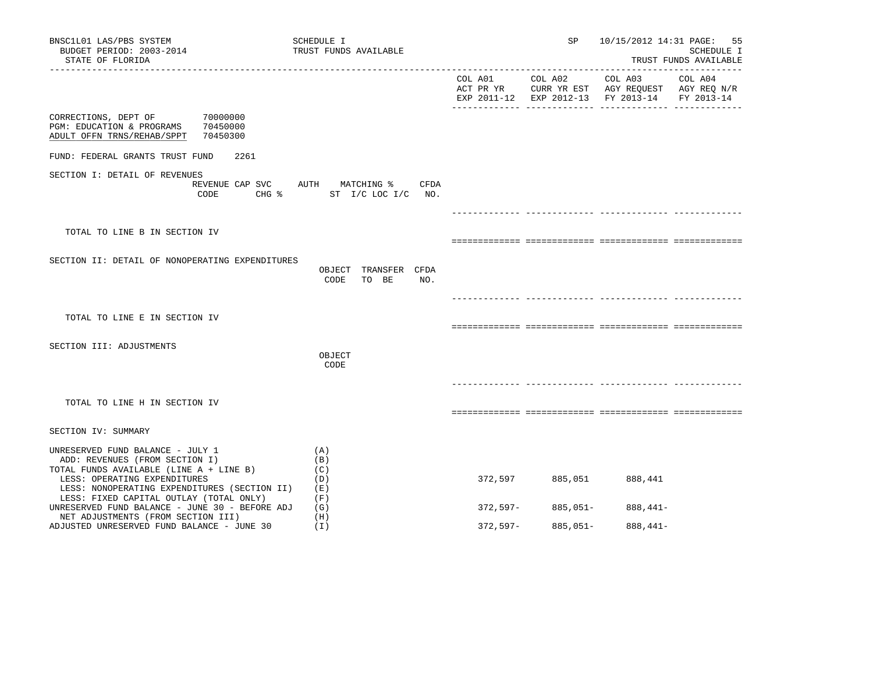| BNSC1L01 LAS/PBS SYSTEM<br>BUDGET PERIOD: 2003-2014<br>STATE OF FLORIDA                                                                                                                       | SCHEDULE I<br>TRUST FUNDS AVAILABLE       |            | SP              |                                                                                                                   | 10/15/2012 14:31 PAGE: 55<br>SCHEDULE I<br>TRUST FUNDS AVAILABLE |
|-----------------------------------------------------------------------------------------------------------------------------------------------------------------------------------------------|-------------------------------------------|------------|-----------------|-------------------------------------------------------------------------------------------------------------------|------------------------------------------------------------------|
|                                                                                                                                                                                               |                                           |            | COL A01 COL A02 | COL A03 COL A04<br>ACT PR YR CURR YR EST AGY REQUEST AGY REQ N/R<br>EXP 2011-12 EXP 2012-13 FY 2013-14 FY 2013-14 |                                                                  |
| 70000000<br>CORRECTIONS, DEPT OF<br>PGM: EDUCATION & PROGRAMS<br>70450000<br>ADULT OFFN TRNS/REHAB/SPPT<br>70450300                                                                           |                                           |            |                 |                                                                                                                   |                                                                  |
| FUND: FEDERAL GRANTS TRUST FUND<br>2261                                                                                                                                                       |                                           |            |                 |                                                                                                                   |                                                                  |
| SECTION I: DETAIL OF REVENUES<br>REVENUE CAP SVC AUTH MATCHING %<br>CODE                                                                                                                      | CFDA<br>CHG % ST I/C LOC I/C NO.          |            |                 |                                                                                                                   |                                                                  |
|                                                                                                                                                                                               |                                           |            |                 |                                                                                                                   |                                                                  |
| TOTAL TO LINE B IN SECTION IV                                                                                                                                                                 |                                           |            |                 |                                                                                                                   |                                                                  |
| SECTION II: DETAIL OF NONOPERATING EXPENDITURES                                                                                                                                               | OBJECT TRANSFER CFDA<br>CODE TO BE<br>NO. |            |                 |                                                                                                                   |                                                                  |
|                                                                                                                                                                                               |                                           |            |                 |                                                                                                                   |                                                                  |
| TOTAL TO LINE E IN SECTION IV                                                                                                                                                                 |                                           |            |                 |                                                                                                                   |                                                                  |
| SECTION III: ADJUSTMENTS                                                                                                                                                                      |                                           |            |                 |                                                                                                                   |                                                                  |
|                                                                                                                                                                                               | OBJECT<br>CODE                            |            |                 |                                                                                                                   |                                                                  |
|                                                                                                                                                                                               |                                           |            |                 |                                                                                                                   |                                                                  |
| TOTAL TO LINE H IN SECTION IV                                                                                                                                                                 |                                           |            |                 |                                                                                                                   |                                                                  |
| SECTION IV: SUMMARY                                                                                                                                                                           |                                           |            |                 |                                                                                                                   |                                                                  |
|                                                                                                                                                                                               |                                           |            |                 |                                                                                                                   |                                                                  |
| UNRESERVED FUND BALANCE - JULY 1<br>ADD: REVENUES (FROM SECTION I)<br>TOTAL FUNDS AVAILABLE (LINE A + LINE B)<br>LESS: OPERATING EXPENDITURES<br>LESS: NONOPERATING EXPENDITURES (SECTION II) | (A)<br>(B)<br>(C)<br>(D)<br>(E)           | 372,597    | 885,051         | 888,441                                                                                                           |                                                                  |
| LESS: FIXED CAPITAL OUTLAY (TOTAL ONLY)<br>UNRESERVED FUND BALANCE - JUNE 30 - BEFORE ADJ                                                                                                     | (F)<br>(G)                                | 372,597-   | 885,051-        | 888,441-                                                                                                          |                                                                  |
| NET ADJUSTMENTS (FROM SECTION III)<br>ADJUSTED UNRESERVED FUND BALANCE - JUNE 30                                                                                                              | (H)<br>(I)                                | $372,597-$ | $885,051 -$     | $888,441-$                                                                                                        |                                                                  |